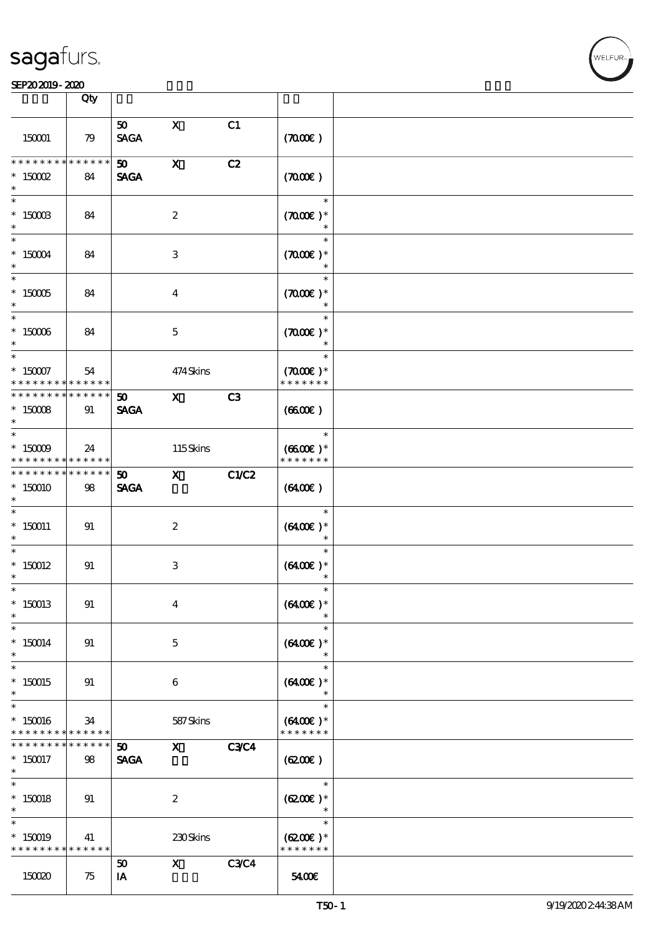#### SEP202019-2020

|                                         | Qty                   |                                |                               |             |                                               |  |
|-----------------------------------------|-----------------------|--------------------------------|-------------------------------|-------------|-----------------------------------------------|--|
| 150001                                  | 79                    | 50<br><b>SAGA</b>              | $\mathbf{x}$                  | C1          | (700)                                         |  |
| * * * * * * * *<br>$*$ 150002<br>$\ast$ | *****<br>84           | 50 <sub>1</sub><br><b>SAGA</b> | $\mathbf{x}$                  | C2          | (700)                                         |  |
| $\ast$<br>$*$ 150003                    | 84                    |                                | $\boldsymbol{2}$              |             | $\ast$<br>$(7000\varepsilon)*$<br>$\ast$      |  |
| $\ast$<br>$*$ 150004                    | 84                    |                                | 3                             |             | $\ast$<br>$(7000\varepsilon)*$<br>$\ast$      |  |
| $*$ 150005                              | 84                    |                                | $\overline{\mathbf{4}}$       |             | $\ast$<br>$(7000\varepsilon)*$                |  |
| $*$ 150006<br>$\ast$                    | 84                    |                                | $\mathbf{5}$                  |             | $\ast$<br>$(7000\varepsilon)*$                |  |
| $*$<br>$* 150007$<br>* * * * * * * *    | 54<br>******          |                                | 474Skins                      |             | $\ast$<br>$(7000\text{E})$ *<br>* * * * * * * |  |
| * * * * * * * *<br>$*$ 150008<br>$\ast$ | $* * * * * * *$<br>91 | 50 <sub>o</sub><br><b>SAGA</b> | $\mathbf{X}$                  | C3          | (6600)                                        |  |
| $*$<br>$*$ 150009<br>* * * * * * * *    | 24<br>******          |                                | 115Skins                      |             | $\ast$<br>$(6600E)*$<br>* * * * * * *         |  |
| * * * * * * * *<br>$*150010$<br>$\ast$  | $******$<br>98        | 50 <sub>1</sub><br><b>SAGA</b> | $\mathbf{x}$                  | C1/C2       | $(6400\varepsilon)$                           |  |
| $*150011$<br>$\ast$                     | 91                    |                                | $\boldsymbol{z}$              |             | $\ast$<br>$(6400)$ *<br>$\ast$                |  |
| $\ast$<br>$*$ 150012<br>$\ast$          | 91                    |                                | 3                             |             | $\ast$<br>$(6400)$ *                          |  |
| $\ast$<br>$*150013$<br>$\ast$           | 91                    |                                | $\overline{\mathbf{4}}$       |             | $(6400)$ *                                    |  |
| $\ast$<br>$*150014$<br>$\ast$           | 91                    |                                | $\mathbf{5}$                  |             | $\ast$<br>$(6400)$ *<br>$\ast$                |  |
| $\ast$<br>$*150015$<br>$\ast$<br>$\ast$ | 91                    |                                | $\boldsymbol{6}$              |             | $\ast$<br>$(6400)$ *<br>$\ast$<br>$\ast$      |  |
| $*150016$<br>* * * * * * * *            | 34<br>******          |                                | 587Skins                      |             | $(6400)$ *<br>* * * * * * *                   |  |
| * * * * * * * *<br>$*150017$<br>$\ast$  | * * * * * *<br>98     | 50<br><b>SAGA</b>              | $\mathbf{X}$                  | <b>C3C4</b> | (6200)                                        |  |
| $\ast$<br>$*150018$<br>$\ast$           | 91                    |                                | $\boldsymbol{2}$              |             | $\ast$<br>$(6200)$ *<br>$\ast$                |  |
| $\ast$<br>$*150019$<br>* * * * * * * *  | 41<br>* * * * * *     |                                | 230Skins                      |             | $\ast$<br>$(6200\text{E})*$<br>* * * * * * *  |  |
| 150020                                  | 75                    | 50<br>IA                       | $\mathbf{x}$ and $\mathbf{x}$ | <b>C3C4</b> | 5400E                                         |  |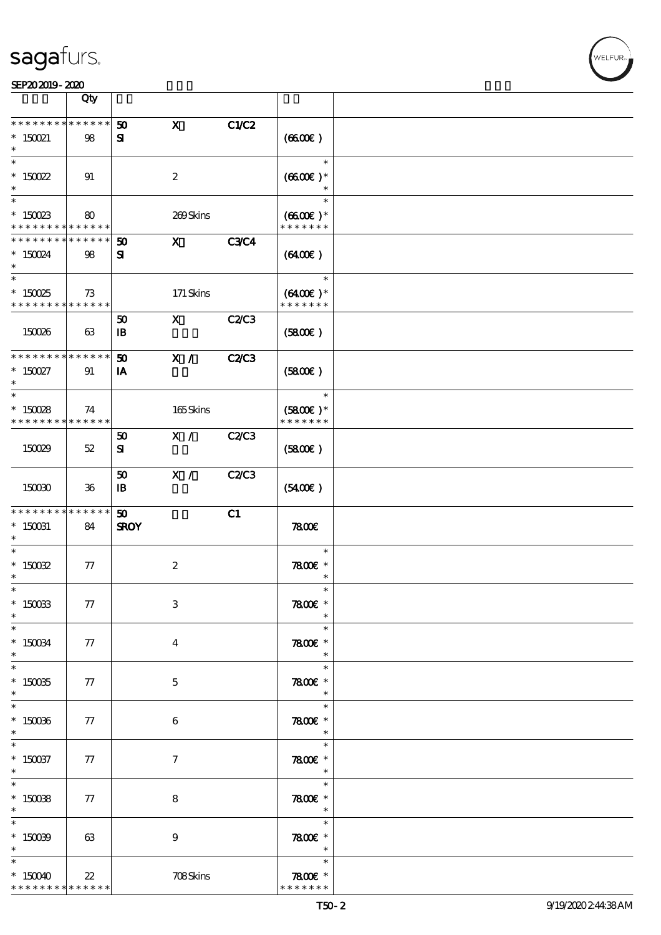|                                          | Qty               |                             |                  |              |                                           |  |
|------------------------------------------|-------------------|-----------------------------|------------------|--------------|-------------------------------------------|--|
| * * * * * * * *                          | $* * * * * * *$   | 50                          | $\mathbf{x}$     | C1/C2        |                                           |  |
| $*$ 150021                               | 98                | ${\bf s}$                   |                  |              | (6600)                                    |  |
| $\ast$<br>$* 150022$                     | 91                |                             | $\boldsymbol{2}$ |              | $\ast$<br>$(6600\text{E})*$               |  |
|                                          |                   |                             |                  |              |                                           |  |
| $*$ 150023                               | 80                |                             | 269Skins         |              | $\ast$<br>$(6600\text{E})*$               |  |
| * * * * * * * * * * * * * *              |                   |                             |                  |              | * * * * * * *                             |  |
| * * * * * * * *<br>$* 150024$            | * * * * * *<br>98 | 50<br>${\bf s}$             | $\mathbf{x}$     | <b>C3C4</b>  | (6400)                                    |  |
| $\ast$                                   |                   |                             |                  |              | $\ast$                                    |  |
| $*150025$                                | 73                |                             | $171$ Skins      |              | $(6400)$ *                                |  |
| * * * * * * * * <mark>* * * * * *</mark> |                   | 50                          | $\mathbf{X}$     | C2C3         | * * * * * * *                             |  |
| 150026                                   | 63                | $\mathbf{B}$                |                  |              | (5800)                                    |  |
| * * * * * * * * <mark>*</mark>           | * * * * * *       | 50                          | X /              | <b>C2/C3</b> |                                           |  |
| $*$ 150027<br>$\ast$                     | 91                | IA                          |                  |              | (5800)                                    |  |
| $\ast$                                   |                   |                             |                  |              | $\ast$                                    |  |
| $*150028$<br>* * * * * * * *             | 74<br>******      |                             | 165Skins         |              | $(5800\text{E})*$<br>* * * * * * *        |  |
|                                          |                   | 50                          | X /              | C2C3         |                                           |  |
| 150029                                   | $52\,$            | ${\bf s}$                   |                  |              | (5800)                                    |  |
|                                          |                   | 50                          | X /              | <b>C2/C3</b> |                                           |  |
| 150030                                   | $36\,$            | $\mathbf{B}$                |                  |              | (5400)                                    |  |
|                                          |                   |                             |                  |              |                                           |  |
| * * * * * * * *                          | * * * * * *       | $\boldsymbol{\mathfrak{D}}$ |                  | C1           |                                           |  |
| $*$ 150031<br>$\ast$                     | 84                | <b>SROY</b>                 |                  |              | 7800                                      |  |
| $\ast$                                   |                   |                             |                  |              | $\ast$                                    |  |
| $*$ 150032<br>$\ast$                     | 77                |                             | $\boldsymbol{2}$ |              | $7800$ $*$<br>$\ast$                      |  |
| $\ast$<br>$*$ 150033                     | 77                |                             | $\,3$            |              | $\ast$<br>7800€ *                         |  |
| $\ast$                                   |                   |                             |                  |              | $\ast$                                    |  |
| $*$ 150034                               | 77                |                             | $\bf{4}$         |              | $\ast$<br>$7800$ $*$                      |  |
| $\ast$<br>$\ddot{x}$                     |                   |                             |                  |              | $\ast$<br>$\ast$                          |  |
| $* 150035$                               | 77                |                             | $\mathbf{5}$     |              | $7800$ £ *                                |  |
| $\ast$<br>$\overline{\ast}$              |                   |                             |                  |              | $*$<br>$\ast$                             |  |
| $*150036$                                | 77                |                             | 6                |              | 7800 £*                                   |  |
| $\ast$<br>$\ast$                         |                   |                             |                  |              | $\overline{\phantom{a}}$<br>$\ast$        |  |
| $*$ 150037<br>$\ast$                     | 77                |                             | $\tau$           |              | $7800$ $*$<br>$\star$                     |  |
|                                          |                   |                             |                  |              | $\ast$                                    |  |
| $*$<br>$*$ 150038<br>$\ast$              | 77                |                             | 8                |              | $7800$ $*$<br>$\rightarrow$ $\rightarrow$ |  |
| $\overline{\ast}$                        |                   |                             |                  |              | $\ast$                                    |  |
| $* 15009$                                | 63                |                             | 9                |              | $7800$ $*$<br>$\overline{\phantom{a}}$    |  |
| $\ast$<br>$*150040$                      | $22\,$            |                             | 708Skins         |              | $\ast$<br>7800 $\varepsilon$ *            |  |

т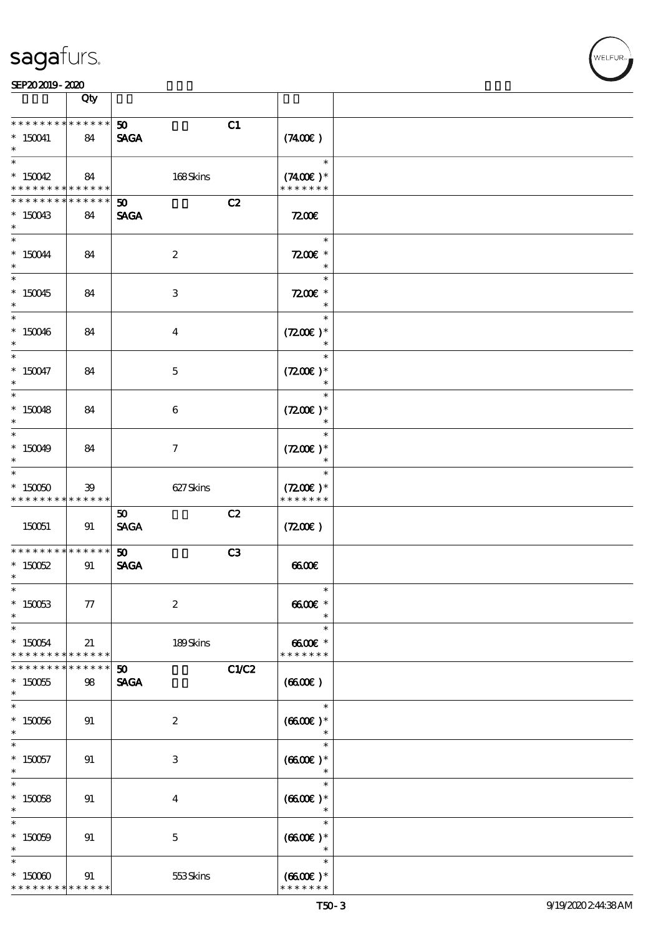#### SEP202019-2020 EXP = 2020 EXP = 2020 EXP = 2020 EXP = 2020 EXP = 2020 EXP = 2020 EXP = 2020 EXP = 2020 EXP = 2

|                                                         | Qty                   |                                            |                                                 |  |
|---------------------------------------------------------|-----------------------|--------------------------------------------|-------------------------------------------------|--|
| * * * * * * * *<br>$* 150041$                           | $* * * * * * *$<br>84 | 50 <sub>o</sub><br><b>SAGA</b>             | C1<br>$(7400\varepsilon)$                       |  |
| $\overline{\ast}$                                       |                       |                                            | $\ast$                                          |  |
| $*150042$<br>* * * * * * * *                            | 84<br>******          | 168Skins                                   | $(7400)$ *<br>* * * * * * *                     |  |
| * * * * * * * *<br>$*150043$                            | * * * * * *<br>84     | $\boldsymbol{\mathfrak{D}}$<br><b>SAGA</b> | C2<br>7200E                                     |  |
| $\ast$<br>$\ast$                                        |                       |                                            | $\ast$                                          |  |
| $*150044$<br>$\ast$                                     | 84                    | $\boldsymbol{2}$                           | $7200$ £ *<br>$\ast$                            |  |
| $*150045$<br>$\ast$                                     | 84                    | 3                                          | $\ast$<br>$7200E$ *<br>$\ast$                   |  |
| $*$<br>$*150046$<br>$\ast$                              | 84                    | $\overline{\mathbf{4}}$                    | $\ast$<br>$(7200)$ *<br>$\ast$                  |  |
| $\overline{\ast}$<br>$* 150047$<br>$\ast$               | 84                    | $\mathbf 5$                                | $\ast$<br>$(7200)$ *<br>$\ast$                  |  |
| $\overline{\ast}$<br>$*150048$<br>$\ast$                | 84                    | 6                                          | $\ast$<br>$(7200)$ *<br>$\ast$                  |  |
| $\overline{\phantom{0}}$<br>$*150049$<br>$\ast$         | 84                    | $\tau$                                     | $\ast$<br>$(7200)$ *<br>$\ast$                  |  |
| $\overline{\phantom{0}}$<br>$*15000$<br>* * * * * * * * | $39$<br>* * * * * *   | 627Skins                                   | $\ast$<br>$(7200)$ *<br>* * * * * * *           |  |
| 150051                                                  | 91                    | 50<br><b>SAGA</b>                          | C2<br>(720)                                     |  |
| * * * * * * * *<br>$* 150052$<br>$\ast$                 | $******$<br>91        | 50 <sub>o</sub><br><b>SAGA</b>             | C3<br>6600                                      |  |
| $\ast$<br>$*$ 150063<br>$\ast$                          | 77                    | $\boldsymbol{2}$                           | $\ast$<br>$6600$ $*$<br>$\ast$                  |  |
| $\ast$<br>$* 150054$<br>* * * * * * * *                 | 21<br>******          | 189Skins                                   | $\ast$<br>$6600E$ *<br>* * * * * * *            |  |
| * * * * * * *<br>$*150055$<br>$\ast$                    | *****<br>98           | 50<br><b>SAGA</b>                          | C1/C2<br>(6600)                                 |  |
| $\ast$<br>$*150066$<br>$\ast$                           | 91                    | $\boldsymbol{z}$                           | $\ast$<br>$(6600)$ *<br>$\ast$                  |  |
| $\ast$<br>$*150057$<br>$\ast$                           | 91                    | 3                                          | $\ast$<br>$(6600)$ *<br>$\ast$                  |  |
| $\ast$<br>$* 150058$<br>$\ast$                          | 91                    | $\bf{4}$                                   | $\ast$<br>$(6600)$ *<br>$\ast$                  |  |
| $\ast$<br>$* 150009$                                    | 91                    | $\mathbf{5}$                               | $\ast$<br>$(660E)*$<br>$\ast$                   |  |
| $\ast$<br>$*15000$<br>* * * * * * * *                   | 91<br>* * * * * *     | 553Skins                                   | $\ast$<br>$(6600\varepsilon)*$<br>* * * * * * * |  |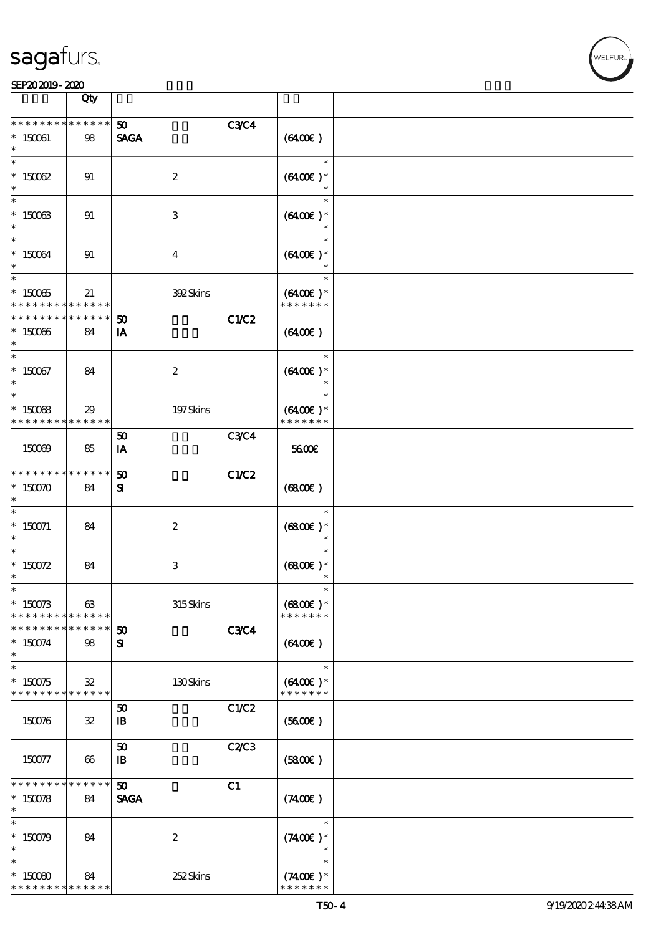#### SEP202019-2020

|                                                                 | Qty               |                                |             |                                       |  |
|-----------------------------------------------------------------|-------------------|--------------------------------|-------------|---------------------------------------|--|
| * * * * * * * *<br>$*$ 150061                                   | * * * * * *<br>98 | 50 <sub>o</sub><br><b>SAGA</b> | <b>C3C4</b> | (6400)                                |  |
| $\ast$<br>$* 15002$                                             | 91                | $\boldsymbol{2}$               |             | $\ast$<br>$(6400)$ *<br>$\ast$        |  |
| $\overline{\ast}$<br>$*$ 150063<br>$\ast$                       | 91                | 3                              |             | $\ast$<br>$(6400)$ *                  |  |
| $\ast$<br>$* 150064$<br>$\ast$                                  | 91                | $\overline{4}$                 |             | $\ast$<br>$(6400)$ *                  |  |
| $*15005$<br>* * * * * * * * <mark>*</mark>                      | 21<br>******      | 392Skins                       |             | $\ast$<br>$(6400)$ *<br>* * * * * * * |  |
| * * * * * * * *<br>$*150066$<br>$\ast$                          | * * * * * *<br>84 | 50<br>IA                       | C1/C2       | (6400)                                |  |
| $\ast$<br>$*150067$<br>$\ast$                                   | 84                | $\boldsymbol{2}$               |             | $\ast$<br>$(6400)$ *<br>$\ast$        |  |
| $\overline{\ast}$<br>$*15008$<br>* * * * * * * *                | 29<br>* * * * * * | 197Skins                       |             | $\ast$<br>$(6400)$ *<br>* * * * * * * |  |
| 150069                                                          | 85                | 50<br>IA                       | <b>C3C4</b> | 5600E                                 |  |
| * * * * * * * *<br>$*$ 150070<br>$\ast$                         | * * * * * *<br>84 | 50<br>${\bf s}$                | C1/C2       | (6800)                                |  |
| $\ast$<br>$* 150071$<br>$\ast$                                  | 84                | $\boldsymbol{2}$               |             | $\ast$<br>$(6800)$ *<br>$\ast$        |  |
| $\ast$<br>* $150072$<br>$^{\ast}$                               | 84                | $\ensuremath{\mathsf{3}}$      |             | $\ast$<br>$(6800)$ *<br>$\ast$        |  |
| $\ast$<br>$*150073$<br>* * * * * * * *                          | 63<br>* * * * * * | 315Skins                       |             | $\ast$<br>$(6800)$ *<br>* * * * * * * |  |
| * * * * * * * *<br>$*150074$<br>$\ast$                          | * * * * * *<br>98 | 50<br>${\bf s}$                | <b>C3C4</b> | (6400)                                |  |
| $\ast$<br>$*150075$<br>* * * * * * * * <mark>* * * * * *</mark> | ${\bf 32}$        | 130Skins                       |             | $\ast$<br>$(6400)$ *<br>* * * * * * * |  |
| 150076                                                          | ${\bf 3\!2}$      | 50<br>$\mathbf{B}$             | C1/C2       | (5600)                                |  |
| 150077                                                          | 66                | 50<br>$\mathbf{B}$             | C2C3        | (5800)                                |  |
| * * * * * * * *<br>$*150078$<br>$\ast$                          | * * * * * *<br>84 | 50<br><b>SAGA</b>              | C1          | (7400)                                |  |
| $\ast$<br>$*150079$                                             | 84                | $\boldsymbol{2}$               |             | $\ast$<br>$(7400)$ *<br>$\ast$        |  |
| $\ast$<br>$*15000$<br>* * * * * * * *                           | 84<br>* * * * * * | 252Skins                       |             | $\ast$<br>$(7400)$ *<br>* * * * * * * |  |

ℸ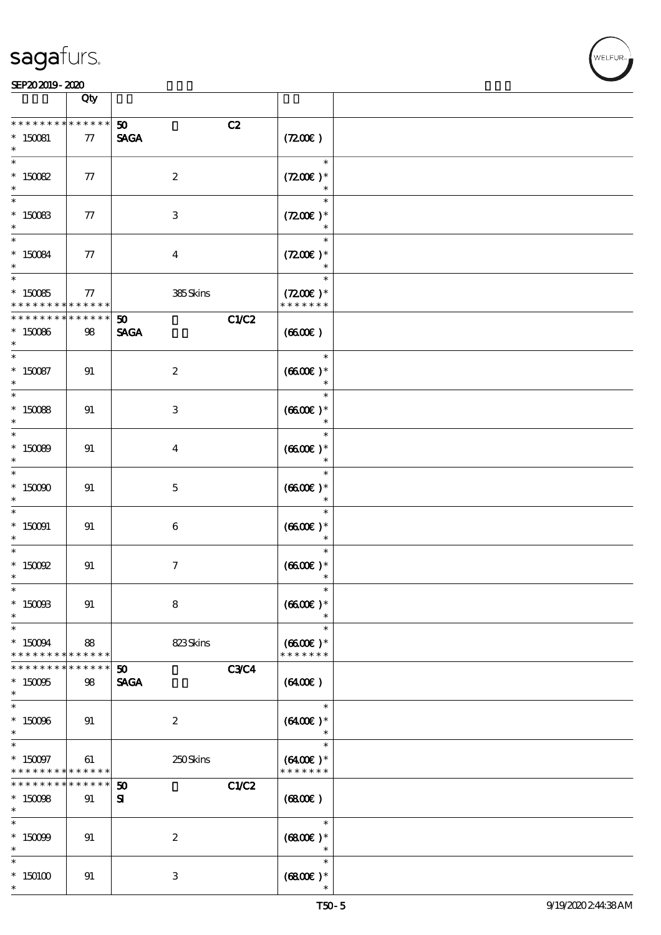|                                                         | Qty                   |                                                     |                                              |  |
|---------------------------------------------------------|-----------------------|-----------------------------------------------------|----------------------------------------------|--|
| * * * * * * * *<br>$* 150081$                           | * * * * * *<br>77     | C2<br>50 <sub>2</sub><br><b>SAGA</b>                | (7200)                                       |  |
| $\overline{\ast}$<br>$* 150082$                         | 77                    | $\boldsymbol{2}$                                    | $\ast$<br>$(7200)$ *<br>$\ast$               |  |
| $*$ 150083<br>$\ast$                                    | 77                    | $\ensuremath{\mathbf{3}}$                           | $\ast$<br>$(7200)$ *<br>$\ast$               |  |
| $\overline{\mathbf{r}}$<br>$* 150084$<br>$\ast$         | 77                    | $\overline{\mathbf{4}}$                             | $\ast$<br>$(7200)$ *                         |  |
| $\overline{\phantom{0}}$<br>$*15005$<br>* * * * * * * * | 77<br>$* * * * * * *$ | 385Skins                                            | $\ast$<br>$(7200)$ *<br>* * * * * * *        |  |
| * * * * * * * *<br>$*150066$<br>$\ast$                  | $******$<br>98        | C1/C2<br>$\boldsymbol{\mathfrak{D}}$<br><b>SAGA</b> | (6600E)                                      |  |
| $\overline{\ast}$<br>$*150087$<br>$\ast$                | 91                    | $\boldsymbol{z}$                                    | $\ast$<br>$(6600)$ *<br>$\ast$               |  |
| $*$ 150088<br>$\ast$                                    | 91                    | 3                                                   | $\ast$<br>$(6600E)*$<br>$\ast$               |  |
| $\overline{\phantom{0}}$<br>$*15000$<br>$\ast$          | 91                    | $\overline{\mathbf{4}}$                             | $\ast$<br>$(6600)$ *<br>$\ast$               |  |
| $\ast$<br>$*$ 150000<br>$\ast$                          | 91                    | $\mathbf{5}$                                        | $\ast$<br>$(6600)$ *                         |  |
| $\ast$<br>$*$ 150091<br>$\ast$                          | 91                    | $\boldsymbol{6}$                                    | $\ast$<br>$(6600E)*$<br>$\ast$               |  |
| $\ast$<br>$*$ 150002<br>$\ast$                          | 91                    | $\tau$                                              | $\ast$<br>$(6600)$ *<br>$\ast$               |  |
| $\ast$<br>$*$ 150088<br>$\ast$                          | 91                    | 8                                                   | $\ast$<br>$(6600)$ *                         |  |
| $\ast$<br>$* 150094$<br>* * * * * * * *                 | 88<br>******          | 823Skins                                            | $\ast$<br>$(6600\text{E})*$<br>* * * * * * * |  |
| * * * * * * *<br>$*150005$<br>$\ast$                    | *****<br>98           | 50 <sub>o</sub><br><b>C3C4</b><br><b>SAGA</b>       | $(6400\varepsilon)$                          |  |
| $\ast$<br>$*150006$<br>$\ast$                           | 91                    | $\boldsymbol{z}$                                    | $\ast$<br>$(6400)$ *<br>$\ast$               |  |
| $\ast$<br>$* 150097$<br>* * * * * * * *                 | 61<br>$* * * * * * *$ | 250Skins                                            | $\ast$<br>$(6400)$ *<br>* * * * * * *        |  |
| * * * * * * * *<br>$*15008$<br>$\ast$                   | * * * * * *  <br>91   | C1/C2<br>50<br>${\bf s}$                            | (6800)                                       |  |
| $\ast$<br>$* 15009$<br>$\ast$                           | 91                    | $\boldsymbol{2}$                                    | $\ast$<br>$(6800)$ *<br>$\ast$               |  |
| $\ast$<br>$*150100$<br>$\ast$                           | 91                    | 3                                                   | $\ast$<br>$(6800)$ *                         |  |

VELFUR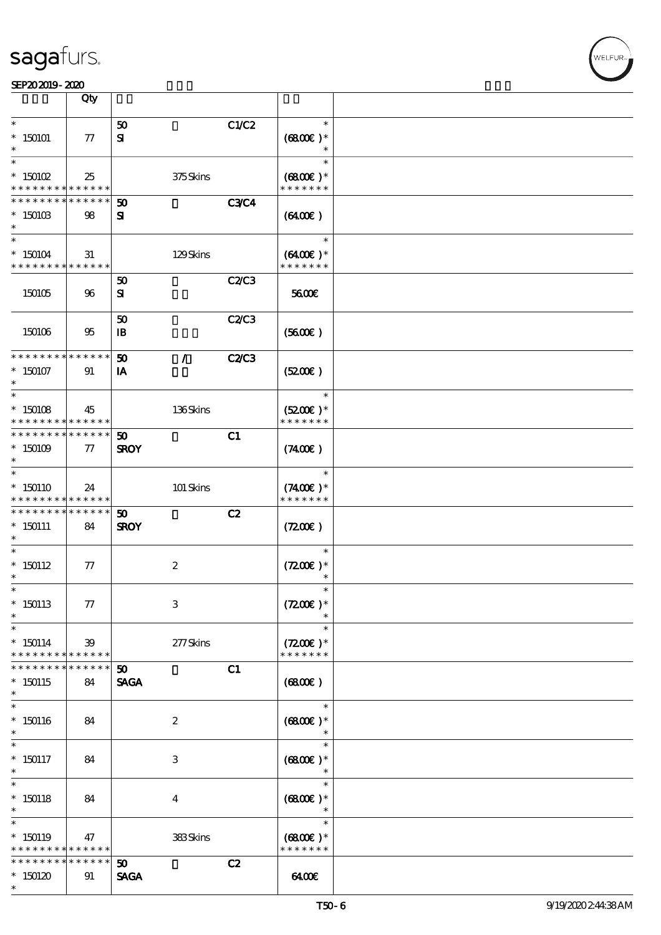|                                            | Qty                        |                             |                               |                             |  |
|--------------------------------------------|----------------------------|-----------------------------|-------------------------------|-----------------------------|--|
| $\ast$                                     |                            | 50                          | C1/C2                         | $\ast$                      |  |
| $*150101$                                  | 77                         | ${\bf s}$                   |                               | $(6800)$ *                  |  |
|                                            |                            |                             |                               | $\ast$                      |  |
| $\ast$                                     |                            |                             |                               | $\ast$                      |  |
| $*$ 150102                                 | 25                         |                             | 375Skins                      | $(6800)$ *<br>* * * * * * * |  |
| * * * * * * * *<br>* * * * * * *           | * * * * * *<br>* * * * * * | 50                          | <b>C3C4</b>                   |                             |  |
| $*15010B$                                  | 98                         | ${\bf s}$                   |                               | $(6400\varepsilon)$         |  |
| $\ast$                                     |                            |                             |                               |                             |  |
| $\ast$                                     |                            |                             |                               | $\ast$                      |  |
| $*150104$                                  | 31                         |                             | 129Skins                      | $(6400)$ *                  |  |
| * * * * * * * * * * * * * *                |                            |                             |                               | * * * * * * *               |  |
|                                            |                            | 50                          | <b>C2/C3</b>                  |                             |  |
| 150105                                     | 96                         | ${\bf s}$                   |                               | 5600E                       |  |
|                                            |                            | 50                          | C2C3                          |                             |  |
| 150106                                     | 95                         | $\mathbf{B}$                |                               | (5600)                      |  |
|                                            |                            |                             |                               |                             |  |
| * * * * * * * * <mark>* * * * * * *</mark> |                            | 50                          | <b>C2/C3</b><br>$\mathcal{L}$ |                             |  |
| $*150107$                                  | 91                         | IA                          |                               | (5200)                      |  |
| $\ast$<br>$\ast$                           |                            |                             |                               | $\ast$                      |  |
| $*150108$                                  | 45                         |                             | 136Skins                      | $(5200)$ *                  |  |
| * * * * * * * *                            | * * * * * *                |                             |                               | * * * * * * *               |  |
| * * * * * * * *                            | * * * * * *                | 50                          | C1                            |                             |  |
| $*150109$                                  | $\pi$                      | <b>SROY</b>                 |                               | $(7400\varepsilon)$         |  |
| $\ast$                                     |                            |                             |                               |                             |  |
| $\ast$                                     |                            |                             |                               | $\ast$                      |  |
| $*150110$<br>* * * * * * * *               | 24<br>* * * * * *          |                             | 101 Skins                     | $(7400)$ *<br>* * * * * * * |  |
| * * * * * * * *                            | * * * * * *                | $\boldsymbol{\mathfrak{w}}$ | C2                            |                             |  |
| $*150111$                                  | 84                         | <b>SROY</b>                 |                               | (720)                       |  |
| $\ast$                                     |                            |                             |                               |                             |  |
| $\ast$                                     |                            |                             |                               | $\ast$                      |  |
| $*150112$<br>$\ast$                        | 77                         | $\boldsymbol{z}$            |                               | $(7200)$ *<br>$\ast$        |  |
| $\ast$                                     |                            |                             |                               | $\ast$                      |  |
| $*150113$                                  | 77                         | $\,3$                       |                               | $(7200)$ *                  |  |
| $\ast$                                     |                            |                             |                               |                             |  |
| $\ast$                                     |                            |                             |                               | $\ast$                      |  |
| $*150114$                                  | 39                         |                             | 277Skins                      | $(7200)$ *                  |  |
| * * * * * * * *                            | ******                     |                             |                               | * * * * * * *               |  |
| * * * * * * *                              | * * * * *                  | 50 <sub>2</sub>             | C1                            |                             |  |
| $*150115$<br>$\ast$                        | 84                         | <b>SAGA</b>                 |                               | (6800)                      |  |
| $\ast$                                     |                            |                             |                               | $\ast$                      |  |
| $*150116$                                  | 84                         | $\boldsymbol{z}$            |                               | $(6800)$ *                  |  |
| $\ast$                                     |                            |                             |                               | $\ast$                      |  |
| $\ast$                                     |                            |                             |                               | $\ast$                      |  |
| $*150117$                                  | 84                         | 3                           |                               | $(6800)$ *                  |  |
| $\ast$<br>$\overline{\ast}$                |                            |                             |                               | $\ast$<br>$\ast$            |  |
| $*150118$                                  | 84                         | $\bf{4}$                    |                               | $(6800)$ *                  |  |
| $\ast$                                     |                            |                             |                               | $\ast$                      |  |
| $\ast$                                     |                            |                             |                               | $\ast$                      |  |
| $*150119$                                  | 47                         |                             | 383Skins                      | $(6800)$ *                  |  |
| * * * * * * * *<br>* * * * * * * *         | * * * * * *<br>* * * * * * |                             |                               | * * * * * * *               |  |
| $*150120$                                  | 91                         | 50<br><b>SAGA</b>           | C2                            | 6400                        |  |
| $\ast$                                     |                            |                             |                               |                             |  |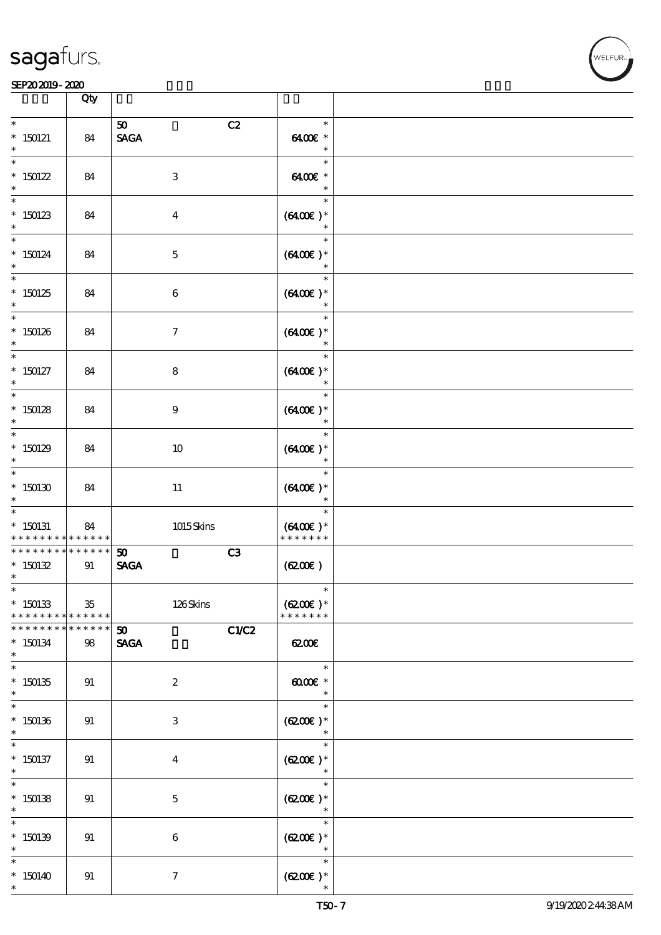

WELFUR

#### SEP202019-2020

|                                                  | Qty               |                                         |                                          |  |
|--------------------------------------------------|-------------------|-----------------------------------------|------------------------------------------|--|
| $\ast$<br>$*150121$<br>$\ast$                    | 84                | C2<br>50<br><b>SAGA</b>                 | $\ast$<br>6400€ *<br>$\ast$              |  |
| $\ast$<br>$*$ 150122<br>$\ast$                   | 84                | $\ensuremath{\mathbf{3}}$               | $\ast$<br>6400€ *<br>$\ast$              |  |
| $\ast$<br>$*150123$<br>$\ast$                    | 84                | $\boldsymbol{4}$                        | $\ast$<br>$(6400)$ *<br>$\ast$           |  |
| $\ast$<br>$*$ 150124<br>$\ast$                   | 84                | $\mathbf 5$                             | $\ast$<br>$(6400)$ *                     |  |
| $\overline{\ast}$<br>$*150125$<br>$\ast$         | 84                | $\boldsymbol{6}$                        | $\ast$<br>$(6400\epsilon)*$<br>$\ast$    |  |
| $\ast$<br>$*150126$<br>$\ast$                    | 84                | $\boldsymbol{7}$                        | $\ast$<br>$(6400\varepsilon)*$<br>$\ast$ |  |
| $\ast$<br>$*$ 150127<br>$\ast$                   | 84                | ${\bf 8}$                               | $\ast$<br>$(6400)$ *<br>$\ast$           |  |
| $\overline{\phantom{0}}$<br>$*150128$<br>$\ast$  | 84                | $\boldsymbol{9}$                        | $\ast$<br>$(6400\text{E})*$<br>$\ast$    |  |
| $\ast$<br>$*150129$<br>$\ast$                    | 84                | 10                                      | $\ast$<br>$(6400)$ *<br>$\ast$           |  |
| $\ast$<br>$^*$ 150130 $\,$<br>$\ast$             | 84                | $11\,$                                  | $\ast$<br>$(6400)$ *<br>$\ast$           |  |
| $\ast$<br>$*$ 150131<br>* * * * * * * *          | 84<br>* * * * * * | $1015$ Skins                            | $\ast$<br>$(6400E)*$<br>* * * * * * *    |  |
| * * * * * * * *<br>$*150132$<br>$\ast$           | * * * * * *<br>91 | C3<br>50<br><b>SAGA</b>                 | (620)                                    |  |
| $*$<br>$*$ 150133<br>* * * * * * * * * * * * * * | $35\,$            | 126Skins                                | $\ast$<br>$(6200)$ *<br>* * * * * * *    |  |
| * * * * * * *<br>$*150134$<br>$\ast$             | * * * * * *<br>98 | C1/C2<br>50 <sub>o</sub><br><b>SAGA</b> | 6200                                     |  |
| $\overline{\ast}$<br>$*150135$<br>$\ast$         | 91                | $\boldsymbol{2}$                        | $\ast$<br>00000<br>$\ast$                |  |
| $\ast$<br>$*150136$<br>$\ast$                    | 91                | $\ensuremath{\mathbf{3}}$               | $\ast$<br>$(6200)$ *                     |  |
| $\ast$<br>$*$ 150137<br>$\ast$                   | 91                | $\boldsymbol{4}$                        | $\ast$<br>$(6200)$ *<br>$\ast$           |  |
| $\overline{\ast}$<br>$*150138$<br>$\ast$         | 91                | $\bf 5$                                 | $\ast$<br>$(6200)$ *<br>$\ast$           |  |
| $\ast$<br>$*150139$<br>$\ast$                    | 91                | $\,6\,$                                 | $\ast$<br>$(6200)$ *<br>$\ast$           |  |
| $\ast$<br>$*150140$<br>$\ast$                    | 91                | $\boldsymbol{\tau}$                     | $\ast$<br>$(6200\varepsilon)*$           |  |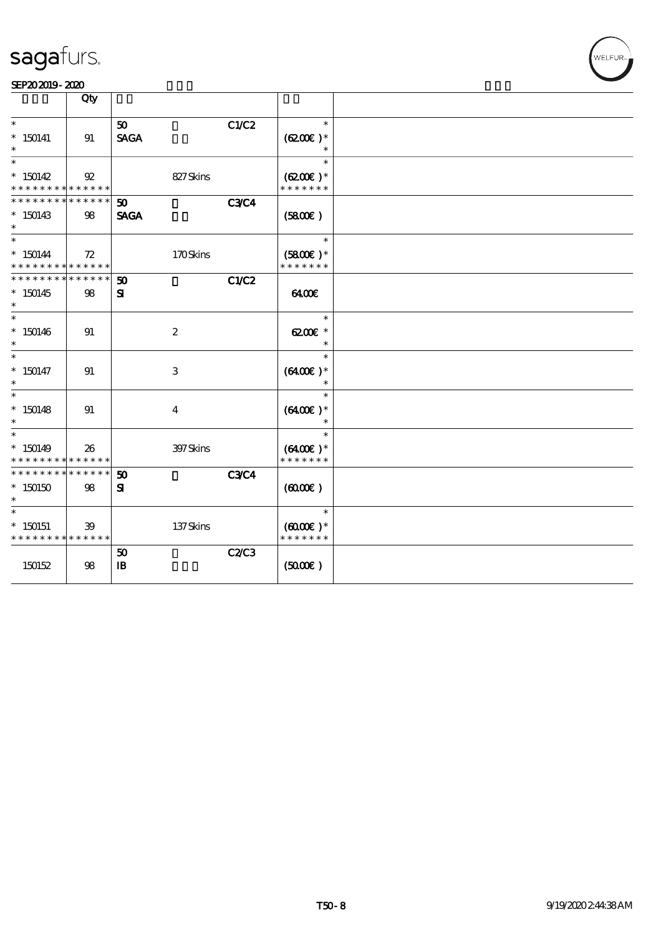

|                                                             | Qty            |                             |              |                             |  |
|-------------------------------------------------------------|----------------|-----------------------------|--------------|-----------------------------|--|
| $\ast$                                                      |                |                             |              | $\ast$                      |  |
| $*150141$                                                   |                | 50<br><b>SAGA</b>           | C1/C2        |                             |  |
|                                                             | 91             |                             |              | $(6200)$ *                  |  |
| $\ast$                                                      |                |                             |              | $\ast$                      |  |
| $*150142$                                                   | $\mathfrak{P}$ | 827Skins                    |              | $(6200)$ *                  |  |
| * * * * * * * * * * * * * *                                 |                |                             |              | * * * * * * *               |  |
| * * * * * * * *                                             | * * * * * *    | 50                          | <b>C3C4</b>  |                             |  |
| $*150143$                                                   | $98\,$         | <b>SAGA</b>                 |              | (5800)                      |  |
| $\ast$<br>$\ast$                                            |                |                             |              | $\ast$                      |  |
| $* 150144$                                                  |                | 170Skins                    |              |                             |  |
| * * * * * * * * * * * * * *                                 | 72             |                             |              | $(5800)$ *<br>* * * * * * * |  |
| * * * * * * * *                                             | * * * * * *    | $\boldsymbol{\mathfrak{D}}$ | C1/C2        |                             |  |
| $*150145$                                                   | 98             | ${\bf s}$                   |              | 6400E                       |  |
| $\ast$                                                      |                |                             |              |                             |  |
| $\ast$                                                      |                |                             |              | $\ast$                      |  |
| $*150146$                                                   | 91             | $\boldsymbol{2}$            |              | 6200€ *                     |  |
| $\ast$<br>$\ast$                                            |                |                             |              | $\ast$<br>$\ast$            |  |
| $* 150147$                                                  | 91             | $\ensuremath{\mathbf{3}}$   |              | $(6400)$ *                  |  |
| $\ast$                                                      |                |                             |              |                             |  |
| $\ast$                                                      |                |                             |              | $\ast$                      |  |
| $*150148$                                                   | 91             | $\boldsymbol{4}$            |              | $(6400)$ *                  |  |
| $\ast$                                                      |                |                             |              | $\ast$                      |  |
| $\ast$                                                      |                |                             |              | $\ast$                      |  |
| $*150149$                                                   | 26             | 397Skins                    |              | $(6400)$ *                  |  |
| * * * * * * * * <mark>* * * * * *</mark><br>* * * * * * * * | * * * * * *    |                             | <b>C3C4</b>  | * * * * * * *               |  |
| $*150150$                                                   | 98             | 50<br>${\bf s}$             |              | $(6000\varepsilon)$         |  |
| $\ast$                                                      |                |                             |              |                             |  |
| $\ast$                                                      |                |                             |              | $\ast$                      |  |
| $*$ 150151                                                  | 39             | 137Skins                    |              | $(6000\varepsilon)*$        |  |
| * * * * * * * * * * * * * *                                 |                |                             |              | * * * * * * *               |  |
|                                                             |                | 50                          | <b>C2/C3</b> |                             |  |
| 150152                                                      | 98             | $\mathbf{B}$                |              | (5000)                      |  |
|                                                             |                |                             |              |                             |  |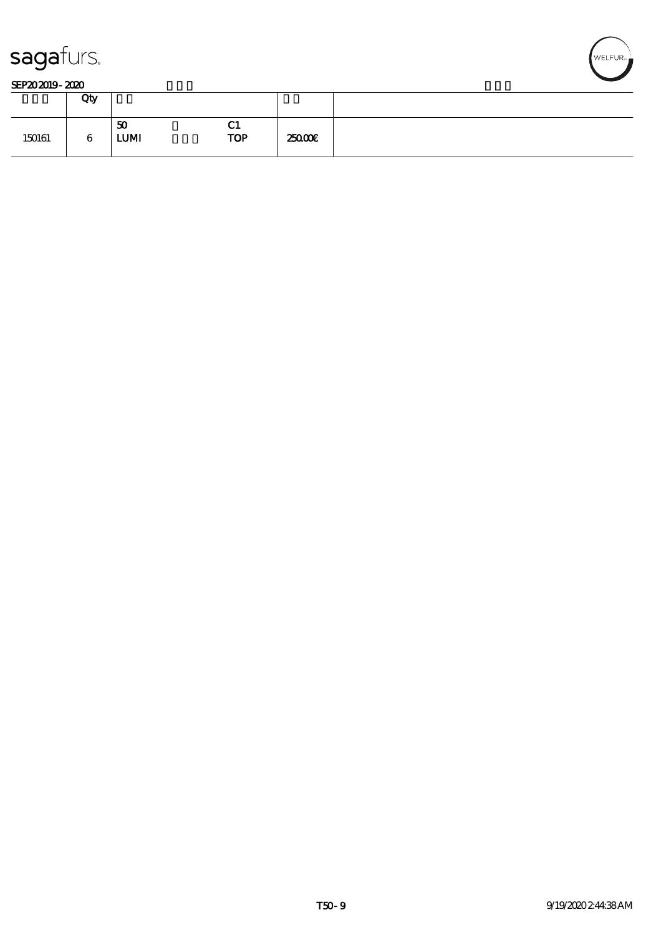

#### SEP202019-2020

|        | Qty |                   |                  |        |  |
|--------|-----|-------------------|------------------|--------|--|
| 150161 | 6   | 50<br><b>LUMI</b> | VТ<br><b>TOP</b> | 25000E |  |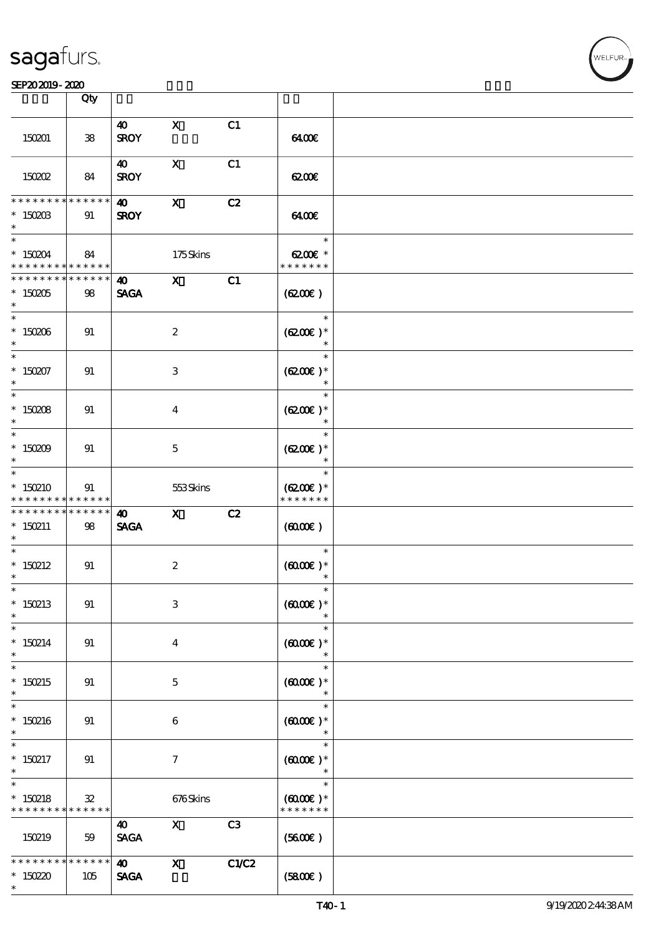#### SEP202019-2020

|                                                                    | Qty                              |                                      |                           |                |                                                                     |  |
|--------------------------------------------------------------------|----------------------------------|--------------------------------------|---------------------------|----------------|---------------------------------------------------------------------|--|
|                                                                    |                                  |                                      |                           |                |                                                                     |  |
| 150201                                                             | ${\bf 38}$                       | $\boldsymbol{\omega}$<br><b>SROY</b> | $\mathbf{x}$              | C1             | 6400                                                                |  |
| 150202                                                             | 84                               | $\boldsymbol{\omega}$<br><b>SROY</b> | $\mathbf{x}$              | C1             | 6200€                                                               |  |
| * * * * * * * *<br>$*$ 150203<br>$\ast$                            | * * * * * *<br>91                | $\boldsymbol{\omega}$<br><b>SROY</b> | $\boldsymbol{\mathsf{X}}$ | C2             | 6400                                                                |  |
| $* 150204$<br>* * * * * * * * <mark>* * * * * *</mark>             | 84                               |                                      | 175Skins                  |                | $\overline{\phantom{a}}$<br>$6200$ $\varepsilon$ *<br>* * * * * * * |  |
| * * * * * * * *<br>$*150005$<br>$\ast$                             | $\ast\ast\ast\ast\ast\ast$<br>98 | <b>40</b> X<br><b>SAGA</b>           |                           | C1             | (6200)                                                              |  |
| $*150006$<br>$\ast$                                                | 91                               |                                      | $\boldsymbol{2}$          |                | $\ast$<br>$(6200)$ *                                                |  |
| $* 150207$<br>$\ast$                                               | 91                               |                                      | 3                         |                | $\ast$<br>$(6200)$ *<br>$\ast$                                      |  |
| $* 150008$<br>$*$                                                  | 91                               |                                      | $\bf{4}$                  |                | $\ast$<br>$(6200\varepsilon)*$<br>$\ast$                            |  |
| $* 150009$<br>$\ast$                                               | 91                               |                                      | $\mathbf{5}$              |                | $\ast$<br>$(6200)$ *<br>$\ast$                                      |  |
| $\overline{\ast}$<br>$*150210$<br>* * * * * * * *                  | 91<br>$* * * * * * *$            |                                      | 553Skins                  |                | $\ast$<br>$(6200)$ *<br>* * * * * * *                               |  |
| * * * * * * * * <mark>* * * * * * *</mark><br>$* 150211$<br>$\ast$ | 98                               | 40<br><b>SAGA</b>                    | $\mathbf{X}$              | C2             | $(6000\varepsilon)$                                                 |  |
| $*$<br>$*$ 150212<br>$\ast$                                        | 91                               |                                      | $\boldsymbol{z}$          |                | $\ast$<br>$(6000\varepsilon)*$                                      |  |
| $\ast$<br>$*150213$<br>$\ast$                                      | 91                               |                                      | 3                         |                | $(0000\varepsilon)*$                                                |  |
| $\ast$<br>$* 150214$<br>$*$                                        | 91                               |                                      | $\bf{4}$                  |                | $\ast$<br>$(0,000)$ *<br>$\ast$                                     |  |
| $\ast$<br>$*150215$<br>$\ast$                                      | 91                               |                                      | $\mathbf{5}$              |                | $\ast$<br>$(0,000)$ *<br>$\ast$                                     |  |
| $\overline{\phantom{0}}$<br>$*150216$<br>$\ast$                    | 91                               |                                      | 6                         |                | $\ast$<br>$(6000\varepsilon)*$<br>$\ast$                            |  |
| $\ast$<br>$* 150217$<br>$\ast$                                     | 91                               |                                      | $\tau$                    |                | $\ast$<br>$(6000\varepsilon)*$                                      |  |
| $\ast$<br>$* 150218$<br>* * * * * * * * <mark>* * * * * * *</mark> | $\mathbf{32}$                    |                                      | 676Skins                  |                | $\ast$<br>$(6000\varepsilon)*$<br>* * * * * * *                     |  |
| 150219                                                             | 59                               | 40<br><b>SAGA</b>                    | $\mathbf{x}$              | C <sub>3</sub> | (5600)                                                              |  |
| * * * * * * *<br>$*15020$<br>$\ast$                                | $******$<br>105                  | $\boldsymbol{\omega}$<br><b>SAGA</b> | $\mathbf{x}$              | C1/C2          | (5800)                                                              |  |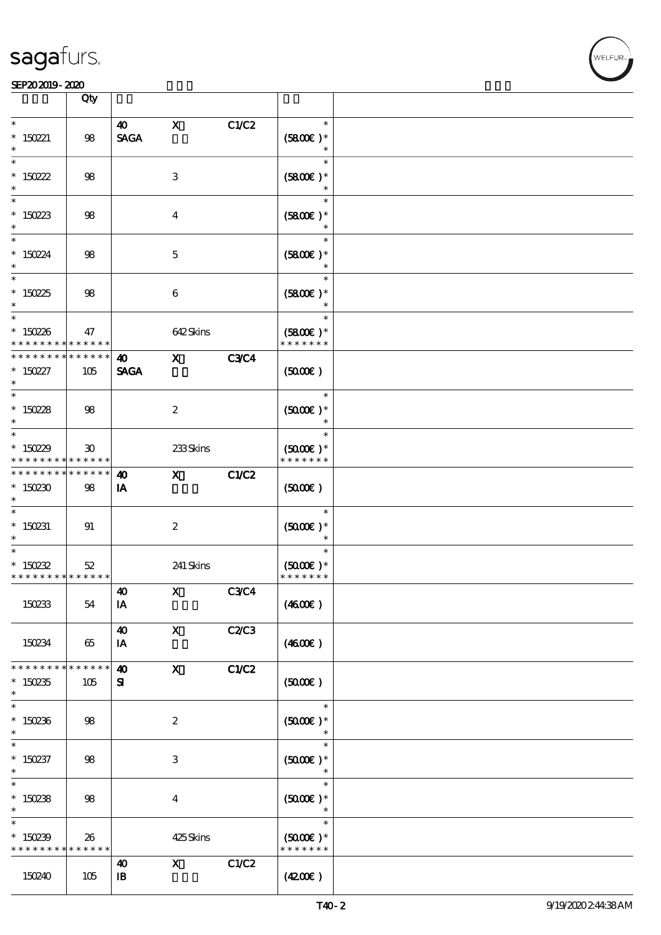#### SEP202019-2020 EXP = 2020 EXP = 2020 EXP = 2020 EXP = 2020 EXP = 2020 EXP = 2020 EXP = 2020 EXP = 2020 EXP = 2

|                                                     | Qty                                                       |                                      |                           |              |                                          |  |
|-----------------------------------------------------|-----------------------------------------------------------|--------------------------------------|---------------------------|--------------|------------------------------------------|--|
|                                                     |                                                           |                                      |                           |              |                                          |  |
| $\ast$<br>$*$ 150221<br>$\ast$                      | 98                                                        | $\boldsymbol{\omega}$<br><b>SAGA</b> | $\mathbf{x}$              | C1/C2        | $\ast$<br>$(5800)$ *                     |  |
| $\ast$<br>* $150222$<br>$\ast$                      | $98$                                                      |                                      | $\ensuremath{\mathsf{3}}$ |              | $\ast$<br>$(5800)$ *<br>$\ast$           |  |
| $\ast$<br>$*150223$<br>$\ast$                       | 98                                                        |                                      | $\boldsymbol{4}$          |              | $\ast$<br>$(5800)$ *<br>$\ast$           |  |
| $\ast$<br>$* 150224$<br>$\ast$                      | $98$                                                      |                                      | $\mathbf 5$               |              | $\ast$<br>$(5800)$ *<br>$\ast$           |  |
| $\ast$<br>$*150225$<br>$\ast$                       | 98                                                        |                                      | $\boldsymbol{6}$          |              | $\ast$<br>$(5800)$ *                     |  |
| $*$<br>$* 150226$<br>* * * * * * * *                | 47<br>$\ast\ast\ast\ast\ast\ast$                          |                                      | 642Skins                  |              | $\ast$<br>$(5800)$ *<br>* * * * * * *    |  |
| * * * * * * * *                                     | $* * * * * * *$                                           | $\boldsymbol{\omega}$                | $\mathbf{x}$              | <b>C3C4</b>  |                                          |  |
| $* 150227$<br>$\ast$                                | 105                                                       | <b>SAGA</b>                          |                           |              | (5000)                                   |  |
| $* 15028$<br>$*$                                    | 98                                                        |                                      | $\boldsymbol{2}$          |              | $\ast$<br>$(5000)$ *                     |  |
| $*$<br>$*15029$<br>* * * * * * * *                  | $\boldsymbol{\mathfrak{D}}$<br>$\ast\ast\ast\ast\ast\ast$ |                                      | 233Skins                  |              | $\ast$<br>$(5000)$ *<br>* * * * * * *    |  |
| * * * * * * * *<br>$*150230$<br>$\ast$              | * * * * * *<br>98                                         | $\boldsymbol{\omega}$<br>IA          | $\mathbf{X}$              | C1/C2        | (5000)                                   |  |
| $\ast$<br>$*$ 150231<br>$\ast$                      | 91                                                        |                                      | $\boldsymbol{z}$          |              | $\ast$<br>$(5000)$ *                     |  |
| $\ast$<br>$* 150232$<br>* * * * * * * * * * * * * * | 52                                                        |                                      | 241 Skins                 |              | $\ast$<br>$(5000)$ *<br>* * * * * * *    |  |
| 150233                                              | 54                                                        | 40<br>IA                             | $\mathbf X$               | <b>C3C4</b>  | (460E)                                   |  |
| 150234                                              | 65                                                        | $\boldsymbol{\omega}$<br>IA          | $\boldsymbol{\mathsf{X}}$ | <b>C2/C3</b> | (460E)                                   |  |
| * * * * * * * *<br>$*150235$<br>$\ast$              | * * * * * *<br>105                                        | $\boldsymbol{\omega}$<br>${\bf s}$   | $\mathbf x$               | C1/C2        | (5000)                                   |  |
| $\ast$<br>$*150236$<br>$\ast$                       | 98                                                        |                                      | $\boldsymbol{2}$          |              | $\ast$<br>$(5000\varepsilon)*$<br>$\ast$ |  |
| $\ast$<br>$* 150237$<br>$\ast$                      | 98                                                        |                                      | 3                         |              | $\ast$<br>$(5000)$ *                     |  |
| $\ast$<br>$*150238$<br>$\ast$                       | 98                                                        |                                      | $\overline{4}$            |              | $\ast$<br>$(5000)$ *                     |  |
| $\ast$<br>$*150239$<br>* * * * * * * *              | 26<br>* * * * * *                                         |                                      | 425Skins                  |              | $\ast$<br>$(5000)$ *<br>* * * * * * *    |  |
| 150240                                              | 105                                                       | 40<br>$\mathbf{B}$                   | $\mathbf{x}$              | C1/C2        | (420)                                    |  |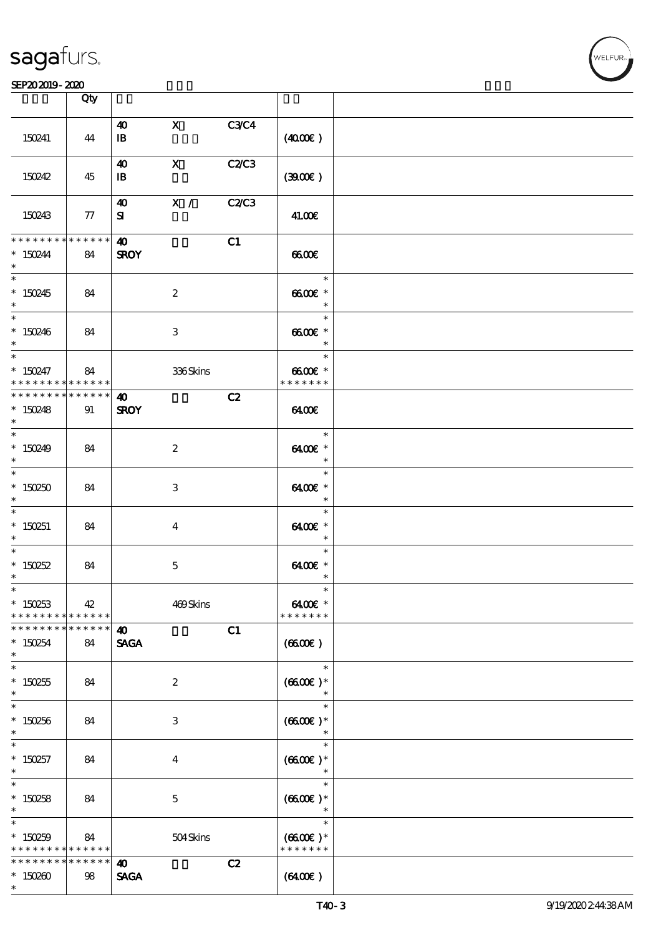### SEP202019-2020

|                                            | Qty             |                       |                         |             |                     |  |
|--------------------------------------------|-----------------|-----------------------|-------------------------|-------------|---------------------|--|
|                                            |                 | $\boldsymbol{\omega}$ | $\mathbf{X}$            | <b>C3C4</b> |                     |  |
| 150241                                     | 44              | $\mathbf{B}$          |                         |             | (400E)              |  |
|                                            |                 | 40                    | $\mathbf{X}$            | C2/C3       |                     |  |
| 150242                                     | 45              | $\mathbf{B}$          |                         |             | (300)               |  |
|                                            |                 | 40                    | X /                     | C2C3        |                     |  |
| 150243                                     | 77              | ${\bf s}$             |                         |             | 41.00€              |  |
| * * * * * * * *                            | $* * * * * * *$ | $\boldsymbol{\omega}$ |                         | C1          |                     |  |
| $* 150244$                                 | 84              | <b>SROY</b>           |                         |             | 6600                |  |
| $\ast$                                     |                 |                       |                         |             |                     |  |
| $\overline{\ast}$                          |                 |                       |                         |             | $\ast$              |  |
| $*150245$                                  | 84              |                       | $\boldsymbol{2}$        |             | $6600E$ *           |  |
| $\ast$                                     |                 |                       |                         |             | $\ast$              |  |
|                                            |                 |                       |                         |             | $\ast$              |  |
| $*150246$                                  | 84              |                       | 3                       |             | $6600E$ *           |  |
| $\ast$                                     |                 |                       |                         |             | $\ast$              |  |
| $\overline{\ast}$                          |                 |                       |                         |             | $\ast$              |  |
| $* 150247$                                 | 84              |                       | 336Skins                |             | 6600€ *             |  |
| * * * * * * * *                            | ******          |                       |                         |             | * * * * * * *       |  |
| * * * * * * * * <mark>* * * * * * *</mark> |                 | 40                    |                         | C2          |                     |  |
| $*150248$                                  | 91              | <b>SROY</b>           |                         |             | 6400                |  |
| $\ast$<br>$*$                              |                 |                       |                         |             | $\ast$              |  |
|                                            |                 |                       |                         |             |                     |  |
| * $150249$                                 | 84              |                       | $\boldsymbol{z}$        |             | 6400€ *<br>$\ast$   |  |
| $\ast$                                     |                 |                       |                         |             | $\ast$              |  |
|                                            |                 |                       |                         |             |                     |  |
| $*150250$<br>$\ast$                        | 84              |                       | 3                       |             | 6400€ *<br>$\ast$   |  |
| $\overline{\ast}$                          |                 |                       |                         |             | $\ast$              |  |
| $*150251$                                  | 84              |                       | $\overline{\mathbf{4}}$ |             | 6400€ *             |  |
| $\ast$                                     |                 |                       |                         |             | $\ast$              |  |
| $\ast$                                     |                 |                       |                         |             | $\ast$              |  |
| $*$ 150252                                 | 84              |                       | $\mathbf{5}$            |             | 6400€ *             |  |
| $\ast$                                     |                 |                       |                         |             | $\ast$              |  |
| $\ast$                                     |                 |                       |                         |             | ∗                   |  |
| $*150253$                                  | 42              |                       | 469Skins                |             | $6400E$ *           |  |
| * * * * * * * * <mark>* * * * * * *</mark> |                 |                       |                         |             | * * * * * * *       |  |
| * * * * * * * *                            | $* * * * * * *$ | 40                    |                         | C1          |                     |  |
| $*150254$                                  | 84              | <b>SAGA</b>           |                         |             | (6600)              |  |
| $\ast$                                     |                 |                       |                         |             |                     |  |
| $\ast$                                     |                 |                       |                         |             | $\ast$              |  |
| $*150255$                                  | 84              |                       | $\boldsymbol{z}$        |             | $(6600)$ *          |  |
| $\ast$                                     |                 |                       |                         |             | $\ast$              |  |
| $\ast$                                     |                 |                       |                         |             | $\ast$              |  |
| $*150256$                                  | 84              |                       | 3                       |             | $(6600E)*$          |  |
| $\ast$                                     |                 |                       |                         |             | $\ast$              |  |
| $\ast$                                     |                 |                       |                         |             | $\ast$              |  |
| $*150257$                                  | 84              |                       | $\bf{4}$                |             | $(6600)$ *          |  |
| $\ast$<br>$\ast$                           |                 |                       |                         |             | $\ast$<br>$\ast$    |  |
|                                            |                 |                       |                         |             |                     |  |
| $*150258$<br>$\ast$                        | 84              |                       | $\mathbf{5}$            |             | $(6600)$ *          |  |
| $\ast$                                     |                 |                       |                         |             | $\ast$              |  |
| $*150259$                                  | 84              |                       |                         |             | $(6600\text{E})*$   |  |
| * * * * * * * * * * * * * *                |                 |                       | 504Skins                |             | * * * * * * *       |  |
| * * * * * * * *                            | ******          | 40                    |                         | C2          |                     |  |
| $*150200$                                  | 98              | <b>SAGA</b>           |                         |             | $(6400\varepsilon)$ |  |
| $\ast$                                     |                 |                       |                         |             |                     |  |
|                                            |                 |                       |                         |             |                     |  |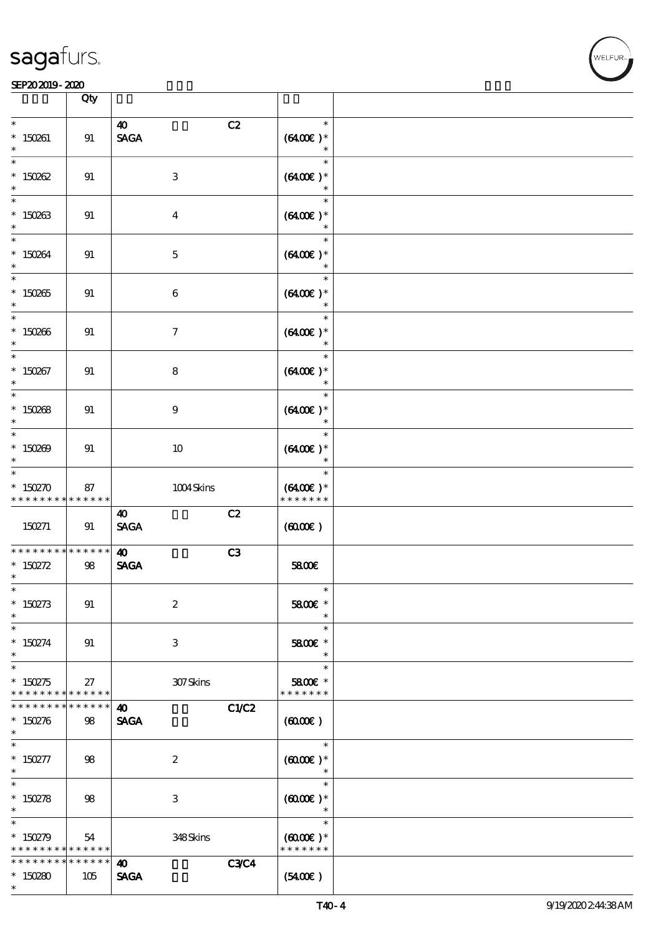|                                                                    | Qty                    |                                                               |                                                 |  |
|--------------------------------------------------------------------|------------------------|---------------------------------------------------------------|-------------------------------------------------|--|
| $\ast$<br>$* 150261$<br>$\ast$                                     | 91                     | $\boldsymbol{\omega}$<br><b>SAGA</b>                          | C2<br>$\ast$<br>$(6400)$ *<br>$\ast$            |  |
| $\ast$<br>$* 150002$<br>$\ast$                                     | 91                     | $\,3$                                                         | $\ast$<br>$(6400)$ *<br>$\ast$                  |  |
| $\ast$<br>$* 150263$<br>$\ast$                                     | 91                     | $\boldsymbol{4}$                                              | $\ast$<br>$(6400)$ *<br>$\ast$                  |  |
| $\ast$<br>$* 150264$<br>$\ast$                                     | 91                     | $\mathbf 5$                                                   | $\ast$<br>$(6400)$ *                            |  |
| $\overline{\ast}$<br>$^*$ 150265 $\,$<br>$\ast$                    | 91                     | $\boldsymbol{6}$                                              | $\ast$<br>$(6400\text{E})*$<br>$\ast$           |  |
| $\ast$<br>$^*$ 150266 $\,$<br>$\ast$                               | 91                     | $\boldsymbol{\tau}$                                           | $\ast$<br>$(6400)$ *<br>$\ast$                  |  |
| $\ast$<br>$* 150267$<br>$\ast$                                     | 91                     | $\bf8$                                                        | $\ast$<br>$(6400)$ *<br>$\ast$                  |  |
| $\ast$<br>$* 150088$<br>$\ast$                                     | 91                     | $\boldsymbol{9}$                                              | $\ast$<br>$(6400\text{E})*$<br>$\ast$           |  |
| $\ast$<br>$* 150209$<br>$\ast$                                     | 91                     | 10                                                            | $\ast$<br>$(6400)$ *<br>$\ast$                  |  |
| $\ast$<br>$* 150270$<br>* * * * * * * * * * * * * *                | 87                     | 1004Skins                                                     | $\ast$<br>$(6400)$ *<br>* * * * * * *           |  |
| 150271                                                             | 91                     | C2<br>$\boldsymbol{\omega}$<br>$\operatorname{\mathsf{SAGA}}$ | (6000)                                          |  |
| * * * * * * * * * * * * * *<br>* $150272$<br>$\ast$                | 98                     | C3<br>$\boldsymbol{\omega}$<br><b>SAGA</b>                    | 5800E                                           |  |
| $*$<br>$* 150273$<br>$\ast$                                        | 91                     | $\boldsymbol{2}$                                              | $\ast$<br>5800€ *                               |  |
| $\ast$<br>$* 150274$<br>$\ast$                                     | 91                     | 3                                                             | $\ast$<br>5800 £*<br>$\ast$                     |  |
| $\ast$<br>$* 150275$<br>* * * * * * * * * * * * * *                | 27                     | 307Skins                                                      | $\ast$<br>5800€ *<br>* * * * * * *              |  |
| * * * * * * * *<br>$^*$ 150276 $\,$<br>$\ast$                      | * * * * * *<br>98      | $\boldsymbol{\omega}$<br><b>SAGA</b>                          | C1/C2<br>$(6000\varepsilon)$                    |  |
| $\overline{\phantom{0}}$<br>$* 150277$<br>$*$                      | 98                     | $\boldsymbol{2}$                                              | $\ast$<br>$(6000\varepsilon)*$<br>$\ast$        |  |
| $\overline{\phantom{0}}$<br>$* 150278$<br>$\ast$                   | 98                     | $\,3\,$                                                       | $\ast$<br>$(6000\varepsilon)*$<br>$\ast$        |  |
| $\ast$<br>$* 150279$<br>* * * * * * * * <mark>* * * * * * *</mark> | 54                     | 348Skins                                                      | $\ast$<br>$(6000\varepsilon)*$<br>* * * * * * * |  |
| * * * * * * * *<br>$*150280$<br>$\ast$                             | $* * * * * * *$<br>105 | 40<br><b>SAGA</b>                                             | <b>C3C4</b><br>(5400)                           |  |

т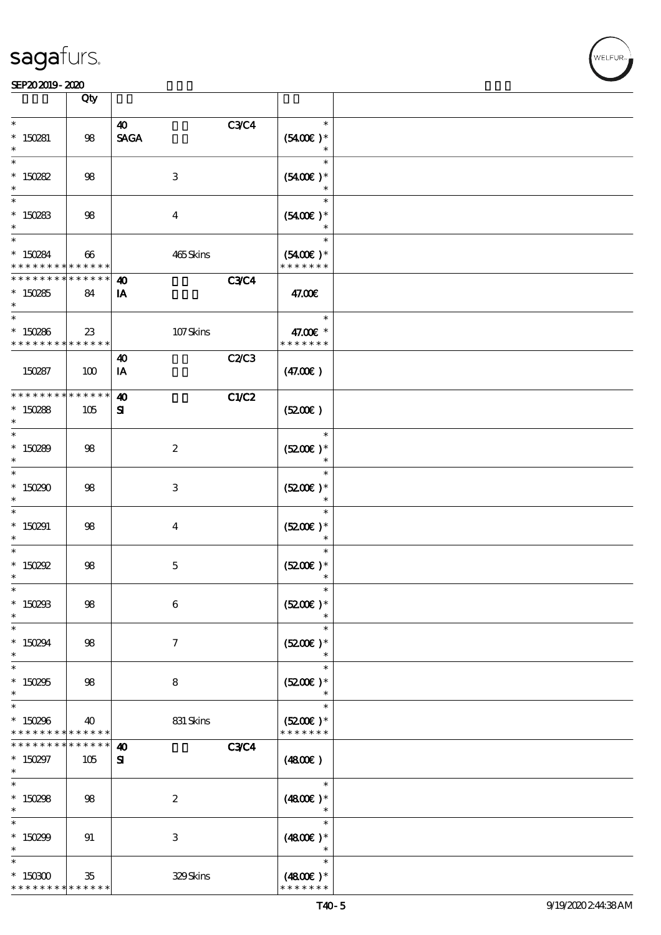#### SEP202019-2020

|                                                                    | Qty                   |                                                   |                                       |  |
|--------------------------------------------------------------------|-----------------------|---------------------------------------------------|---------------------------------------|--|
| $\ast$                                                             |                       |                                                   | $\ast$                                |  |
| $*$ 150281<br>$\ast$                                               | 98                    | C3C4<br>$\boldsymbol{\omega}$<br><b>SAGA</b>      | $(5400)$ *                            |  |
| $\ast$<br>$* 150282$<br>$\ast$                                     | $98$                  | $\ensuremath{\mathbf{3}}$                         | $\ast$<br>$(5400)$ *                  |  |
| $\ast$<br>$^*$ 150283 $\,$<br>$\ast$                               | 98                    | $\boldsymbol{4}$                                  | $\ast$<br>$(5400)$ *<br>$\ast$        |  |
| $\ast$<br>$* 150284$<br>* * * * * * * *                            | 66<br>* * * * * *     | 465Skins                                          | $\ast$<br>$(5400)$ *<br>* * * * * * * |  |
| * * * * * * * *<br>$*150285$<br>$\ast$                             | * * * * * *<br>84     | <b>C3C4</b><br>40<br>IA                           | 47.00€                                |  |
| $\ast$<br>$* 150286$<br>* * * * * * * * <mark>* * * * * * *</mark> | 23                    | 107Skins                                          | $\ast$<br>47.00€ *<br>* * * * * * *   |  |
| 150287                                                             | 100                   | C2/C3<br>$\boldsymbol{\omega}$<br>IA              | (47.00)                               |  |
| * * * * * * * *<br>$* 150288$<br>$\ast$                            | * * * * * *<br>105    | C1/C2<br>$\boldsymbol{\omega}$<br>${\bf s}$       | (5200)                                |  |
| $\ast$<br>$* 150289$<br>$\ast$                                     | 98                    | $\boldsymbol{2}$                                  | $\ast$<br>$(5200)$ *<br>$\ast$        |  |
| $\ast$<br>$*150290$<br>$\ast$                                      | $98$                  | $\,3$                                             | $\ast$<br>$(5200)$ *<br>$\ast$        |  |
| $\ast$<br>$*$ 150291                                               | 98                    | $\boldsymbol{4}$                                  | $\ast$<br>$(5200)$ *                  |  |
| $\ast$<br>$*$ 150292<br>$\ast$                                     | 98                    | $\mathbf 5$                                       | $\ast$<br>$(5200)$ *                  |  |
| $\ast$<br>$* 150293$<br>$\ast$                                     | $98$                  | $\bf 6$                                           | $(5200)$ *                            |  |
| $\ast$<br>$* 150294$<br>$\ast$                                     | 98                    | $\boldsymbol{7}$                                  | $\ast$<br>$(5200)$ *<br>$\ast$        |  |
| $\ast$<br>$^\ast$ 150295<br>$\ast$                                 | 98                    | $\bf8$                                            | $\ast$<br>$(5200)$ *<br>$\ast$        |  |
| $\ast$<br>$*150296$<br>* * * * * * * *                             | 40<br>$* * * * * * *$ | $831\,$ Skins                                     | $\ast$<br>$(5200)$ *<br>* * * * * * * |  |
| * * * * * * *<br>$* 150297$<br>$\ast$                              | * * * * * *<br>105    | <b>C3C4</b><br>$\boldsymbol{\omega}$<br>${\bf s}$ | (4800)                                |  |
| $\ast$<br>$* 150298$<br>$\ast$                                     | 98                    | $\boldsymbol{2}$                                  | $\ast$<br>$(4800)$ *                  |  |
| $\ast$<br>$* 150299$<br>$\ast$                                     | 91                    | $\,3$                                             | $\ast$<br>$(4800)$ *                  |  |
| $\ast$<br>$^\ast$ 150300<br>* * * * * * * *                        | 35<br>* * * * * *     | 329Skins                                          | $\ast$<br>$(4800)$ *<br>* * * * * * * |  |

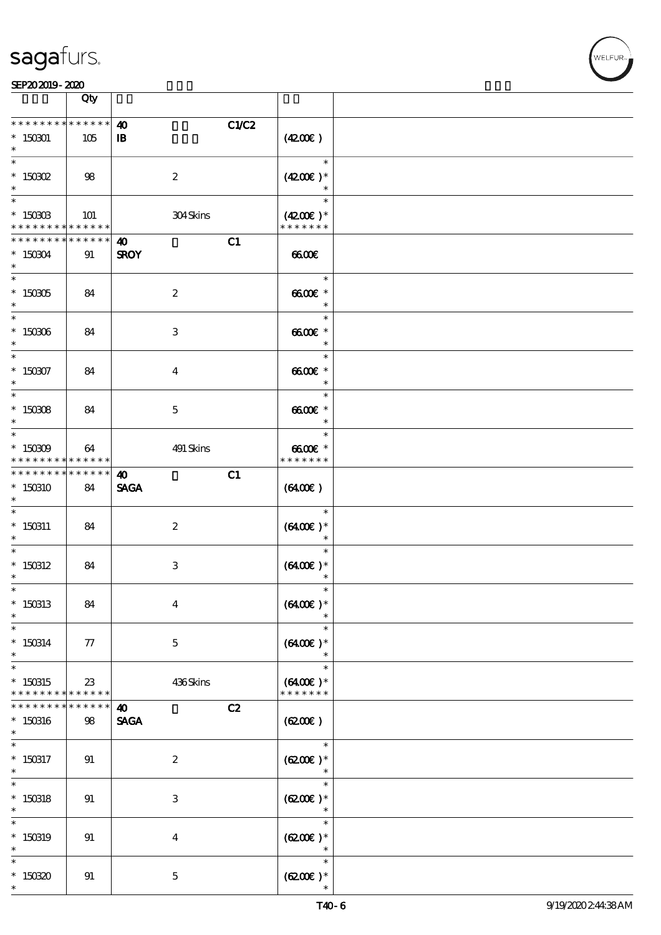**NELFUR** 

#### SEP202019-2020

|                                                                          | Qty                   |                                                |                                       |  |
|--------------------------------------------------------------------------|-----------------------|------------------------------------------------|---------------------------------------|--|
| * * * * * * * *<br>$*150001$<br>$\ast$                                   | * * * * * *<br>105    | C1/C2<br>$\boldsymbol{\omega}$<br>$\mathbf{B}$ | (4200)                                |  |
| $\ast$<br>$*$ 150302<br>$\ast$                                           | 98                    | $\boldsymbol{2}$                               | $\ast$<br>$(4200)$ *<br>$\ast$        |  |
| $\overline{\ast}$<br>$^*$ 150303<br>* * * * * * * * * * * * * *          | 101                   | 304Skins                                       | $\ast$<br>$(4200)$ *<br>* * * * * * * |  |
| * * * * * * * *<br>$*150304$<br>$\ast$                                   | $* * * * * * *$<br>91 | C1<br>$\boldsymbol{\omega}$<br><b>SROY</b>     | 66000                                 |  |
| $^*$ 150305 $\,$<br>$\ast$                                               | 84                    | $\boldsymbol{2}$                               | $\ast$<br>$6600E$ *<br>$\ast$         |  |
| $\overline{\ast}$<br>$^\ast$ 150306<br>$\ast$                            | 84                    | $\,3\,$                                        | $\ast$<br>$6600E$ *<br>$\ast$         |  |
| $\ast$<br>$* 150307$<br>$\ast$                                           | 84                    | $\boldsymbol{4}$                               | $\ast$<br>$6600E$ *<br>$\ast$         |  |
| $\ast$<br>$^*$ 150308 $\,$<br>$\ast$                                     | 84                    | $\mathbf 5$                                    | $\ast$<br>$6600E$ *<br>$\ast$         |  |
| $*$<br>$* 150309$<br>* * * * * * * * * * * * * *                         | 64                    | 491 Skins                                      | $\ast$<br>$6600E$ *<br>* * * * * * *  |  |
| * * * * * * * *<br>$*150310$<br>$\ast$                                   | ******<br>84          | C1<br>$\boldsymbol{\omega}$<br><b>SAGA</b>     | (6400)                                |  |
| $\ast$<br>$* 150311$<br>$\ast$                                           | 84                    | $\boldsymbol{2}$                               | $\ast$<br>$(6400)$ *<br>$\ast$        |  |
| $\ast$<br>$*$ 150312<br>$\ast$                                           | 84                    | $\,3\,$                                        | $\ast$<br>$(6400)$ *<br>$\ast$        |  |
| $*$<br>$*150313$<br>$\ast$                                               | 84                    | $\boldsymbol{4}$                               | $\ast$<br>$(6400)$ *                  |  |
| $\ast$<br>$* 150314$<br>$\ast$<br>$\ast$                                 | 77                    | $\mathbf 5$                                    | $\ast$<br>$(6400)$ *<br>$\ast$        |  |
| $*150315$<br>* * * * * * * * <mark>* * * * * * *</mark><br>* * * * * * * | 23<br>$* * * * * *$   | 436Skins                                       | $\ast$<br>$(6400)$ *<br>* * * * * * * |  |
| $*150316$<br>$\ast$<br>$\ast$                                            | 98                    | C2<br>$\boldsymbol{\omega}$<br><b>SAGA</b>     | (6200)<br>$\ast$                      |  |
| $*$ 150317<br>$\ast$<br>$\overline{\ast}$                                | 91                    | $\boldsymbol{2}$                               | $(6200)$ *<br>$\ast$<br>$\ast$        |  |
| $*$ 150318<br>$\ast$<br>$\ast$                                           | 91                    | $\,3$                                          | $(6200)$ *<br>$\ast$<br>$\ast$        |  |
| $*$ 150319<br>$\ast$<br>$\ast$                                           | 91                    | $\boldsymbol{4}$                               | $(6200)$ *<br>$\ast$<br>$\ast$        |  |
| $*15030$<br>$\ast$                                                       | 91                    | $\mathbf 5$                                    | $(6200\varepsilon)*$                  |  |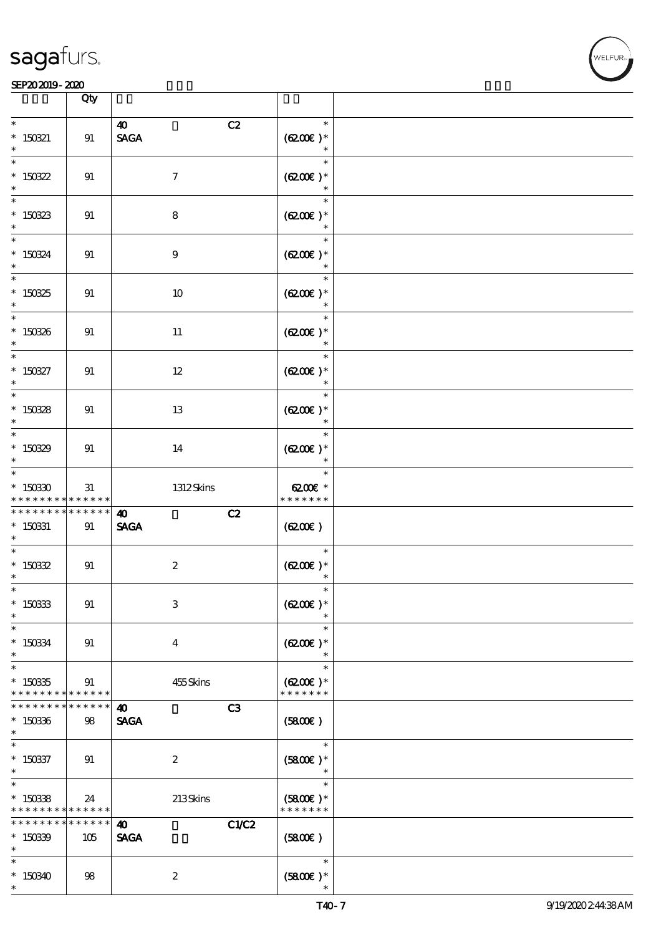|                                                      | Qty                |                                                        |                                       |  |
|------------------------------------------------------|--------------------|--------------------------------------------------------|---------------------------------------|--|
| $\ast$                                               |                    | C2<br>$\boldsymbol{\omega}$                            | $\ast$                                |  |
| $*$ 150321<br>$\ast$                                 | 91                 | $\operatorname{\mathsf{SAGA}}$                         | $(6200)$ *<br>$\ast$                  |  |
| $\overline{\ast}$<br>$*$ 150322<br>$\ast$            | 91                 | $\boldsymbol{7}$                                       | $\ast$<br>$(6200)$ *<br>$\ast$        |  |
| $\ast$<br>$* 150323$<br>$\ast$                       | 91                 | $\bf8$                                                 | $\ast$<br>$(6200)$ *<br>$\ast$        |  |
| $\ast$<br>* 150324                                   | 91                 | $\boldsymbol{9}$                                       | $\ast$<br>$(6200)$ *<br>$\ast$        |  |
| $\overline{\ast}$<br>$*150325$<br>$\ast$             | 91                 | $10\,$                                                 | $\ast$<br>$(6200)$ *                  |  |
| $\ast$<br>$* 150336$<br>$\ast$                       | 91                 | $11\,$                                                 | $\ast$<br>$(6200)$ *                  |  |
| $\overline{\phantom{0}}$<br>$^\ast$ 150327<br>$\ast$ | 91                 | $12\,$                                                 | $(6200)$ *<br>$\ast$                  |  |
| $\overline{\phantom{0}}$<br>$^\ast$ 150328<br>$\ast$ | 91                 | $13\,$                                                 | $\ast$<br>$(6200)$ *<br>$\ast$        |  |
| $*$<br>$* 15039$<br>$\ast$                           | 91                 | 14                                                     | $\ast$<br>$(6200)$ *<br>$\ast$        |  |
| $\ast$<br>$^\ast$ 150330<br>* * * * * * * *          | 31<br>******       | 1312Skins                                              | $\ast$<br>6200€ *<br>* * * * * * *    |  |
| * * * * * * * *<br>$* 150331$<br>$\ast$              | $******$<br>91     | C2<br>$\boldsymbol{\omega}$<br><b>SAGA</b>             | (6200)                                |  |
| $\ast$<br>$^*$ 150322<br>$\ast$                      | 91                 | $\boldsymbol{2}$                                       | $\ast$<br>$(6200)$ *                  |  |
| $\ast$<br>$^*$ 150333<br>$\ast$                      | 91                 | $\ensuremath{\mathbf{3}}$                              | $(6200)$ *                            |  |
| $\ast$<br>$^\ast$ 150334<br>$\ast$                   | 91                 | $\boldsymbol{4}$                                       | $\ast$<br>$(6200)$ *                  |  |
| $\ast$<br>$^\ast$ 150335<br>* * * * * * * *          | 91<br>* * * * * *  | 455Skins                                               | $\ast$<br>$(6200)$ *<br>* * * * * * * |  |
| * * * * * * *<br>$*150336$<br>$\ast$                 | * * * * * *<br>98  | C <sub>3</sub><br>$\boldsymbol{\omega}$<br><b>SAGA</b> | (5800)                                |  |
| $\ast$<br>$^\ast$ 150337<br>$\ast$                   | 91                 | $\boldsymbol{2}$                                       | $\ast$<br>$(5800)$ *                  |  |
| $\ast$<br>$*150338$<br>* * * * * * * *               | 24<br>* * * * * *  | 213Skins                                               | $\ast$<br>$(5800)$ *<br>* * * * * * * |  |
| * * * * * * *<br>$*15039$<br>$\ast$                  | * * * * * *<br>105 | C1/C2<br>$\boldsymbol{\omega}$<br><b>SAGA</b>          | (5800)                                |  |
| $\ast$<br>$*150340$<br>$\ast$                        | 98                 | $\boldsymbol{2}$                                       | $\ast$<br>$(5800)$ *                  |  |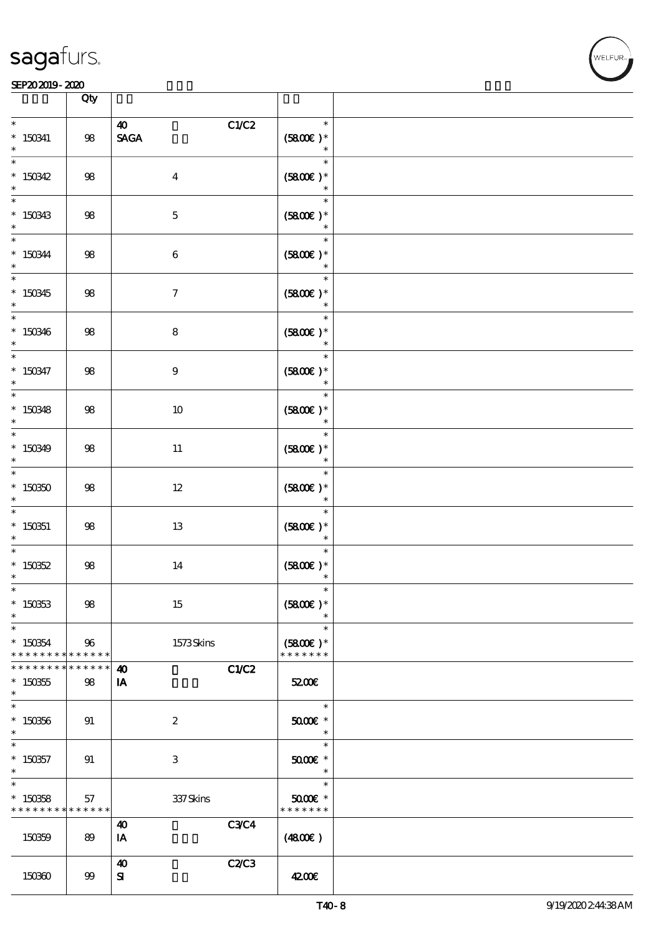

|                                                     | Qty                 |                                                                  |                                        |  |
|-----------------------------------------------------|---------------------|------------------------------------------------------------------|----------------------------------------|--|
| $\ast$<br>$* 150341$<br>$\ast$                      | $98\,$              | C1/C2<br>$\boldsymbol{\omega}$<br>$\operatorname{\mathsf{SAGA}}$ | $\ast$<br>$(5800\epsilon)^*$<br>$\ast$ |  |
| $\ast$<br>$*150342$<br>$\ast$                       | $98$                | $\boldsymbol{4}$                                                 | $\ast$<br>$(5800)$ *<br>$\ast$         |  |
| $\ast$<br>$*150343$<br>$\ast$                       | $98$                | $\mathbf 5$                                                      | $\ast$<br>$(5800)$ *<br>$\ast$         |  |
| $\ast$<br>$^*$ 150344 $\,$<br>$\ast$                | $98\,$              | $\bf 6$                                                          | $\ast$<br>$(5800)$ *                   |  |
| $\overline{\phantom{0}}$<br>$*150345$<br>$\ast$     | $98$                | $\boldsymbol{7}$                                                 | $\ast$<br>$(5800)$ *<br>$\ast$         |  |
| $\ast$<br>$*150346$<br>$\ast$                       | $98$                | $\bf8$                                                           | $\ast$<br>$(5800)$ *<br>$\ast$         |  |
| $\ast$<br>$* 150347$<br>$\ast$                      | $98$                | $\boldsymbol{9}$                                                 | $\ast$<br>$(5800)$ *<br>$\ast$         |  |
| $\overline{\ast}$<br>$*150348$<br>$\ast$            | $98$                | 10                                                               | $\ast$<br>$(5800)$ *<br>$\ast$         |  |
| $\overline{\ast}$<br>$*150349$<br>$\ast$            | $98$                | 11                                                               | $\ast$<br>$(5800)$ *<br>$\ast$         |  |
| $\ast$<br>$*150350$<br>$\ast$                       | $98$                | $12\,$                                                           | $\ast$<br>$(5800)$ *                   |  |
| $\ast$<br>$*$ 150351<br>$\ast$                      | $98$                | $13\,$                                                           | $\ast$<br>$(5800)$ *<br>$\ast$         |  |
| $\ast$<br>$*$ 150352<br>$\ast$                      | $98$                | 14                                                               | $\ast$<br>$(5800)$ *<br>$\ast$         |  |
| $\ast$<br>$*150353$<br>$\ast$                       | $98$                | $15\,$                                                           | $\ast$<br>$(5800)$ *                   |  |
| $\ast$<br>$*150854$<br>* * * * * * * *              | 96<br>* * * * * *   | 1573Skins                                                        | $\ast$<br>$(5800)$ *<br>* * * * * * *  |  |
| * * * * * * *<br>$* 150355$<br>$\ast$               | * * * * * *<br>$98$ | <b>C1/C2</b><br>$\boldsymbol{\omega}$<br>IA                      | 5200E                                  |  |
| $\ast$<br>$*150356$<br>$\ast$                       | 91                  | $\boldsymbol{2}$                                                 | $\ast$<br>5000€ *<br>$\ast$            |  |
| $\ast$<br>$*$ 150357<br>$\ast$                      | 91                  | $\ensuremath{\mathbf{3}}$                                        | $\ast$<br>$5000$ $*$<br>$\ast$         |  |
| $\ast$<br>$*$ 150858<br>* * * * * * * * * * * * * * | 57                  | 337Skins                                                         | $\ast$<br>$5000$ $*$<br>* * * * * * *  |  |
| 150359                                              | 89                  | <b>C3C4</b><br>$\boldsymbol{\omega}$<br>IA                       | (4800)                                 |  |
| 150360                                              | $99$                | C2/C3<br>40<br>${\bf s}$                                         | 4200E                                  |  |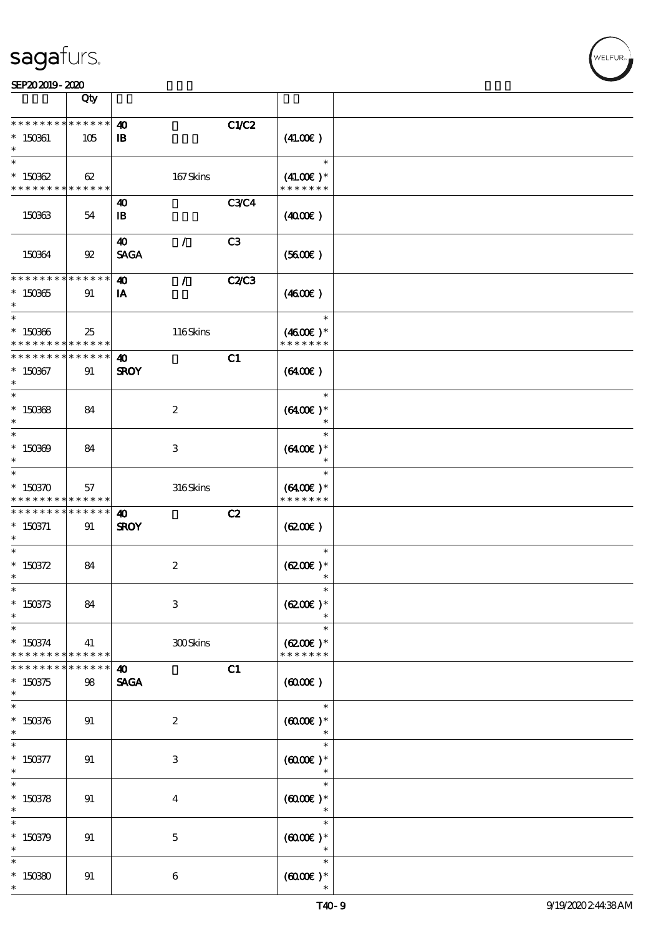|                                                                 | Qty                   |                                              |                |                                          |  |
|-----------------------------------------------------------------|-----------------------|----------------------------------------------|----------------|------------------------------------------|--|
| * * * * * * * *<br>$* 150361$                                   | $******$<br>105       | $\boldsymbol{\omega}$<br>$\mathbf{B}$        | C1/C2          | (41.00)                                  |  |
| $\ast$<br>$*150362$<br>* * * * * * * * <mark>* * * * * *</mark> | 62                    | 167Skins                                     |                | $\ast$<br>$(41.00)$ *<br>* * * * * * *   |  |
| 150363                                                          | 54                    | 40<br>$\mathbf{B}$                           | <b>C3C4</b>    | (400E)                                   |  |
| 150364                                                          | $\mathfrak{B}$        | 40<br>$\sqrt{2}$<br><b>SAGA</b>              | C <sub>3</sub> | (5600)                                   |  |
| * * * * * * * * * * * * * *<br>$*150365$<br>$\ast$              | 91                    | $\boldsymbol{\omega}$<br>$\mathcal{F}$<br>IA | <b>C2/C3</b>   | (460E)                                   |  |
| $\ast$<br>$*150366$<br>* * * * * * * * <mark>* * * * * *</mark> | 25                    | 116Skins                                     |                | $\ast$<br>$(4600)$ *<br>* * * * * * *    |  |
| * * * * * * * *<br>$*150367$<br>$\ast$                          | $* * * * * * *$<br>91 | $\boldsymbol{\omega}$<br><b>SROY</b>         | C1             | $(6400\varepsilon)$                      |  |
| $\overline{\ast}$<br>$*150368$<br>$\ast$                        | 84                    | $\boldsymbol{2}$                             |                | $\ast$<br>$(6400)$ *<br>$\ast$           |  |
| $*$<br>$*150309$<br>$\ast$                                      | 84                    | 3                                            |                | $\ast$<br>$(6400)$ *<br>$\ast$           |  |
| $\ast$<br>$* 150370$<br>* * * * * * * *                         | 57<br>* * * * * *     | 316Skins                                     |                | $\ast$<br>$(6400)$ *<br>* * * * * * *    |  |
| * * * * * * * *<br>$* 150371$<br>$\ast$                         | $* * * * * * *$<br>91 | 40<br><b>SROY</b>                            | C2             | (620)                                    |  |
| $\ast$<br>* $150372$<br>$^{\ast}$                               | 84                    | $\boldsymbol{2}$                             |                | $\ast$<br>$(6200)$ *<br>$\ast$           |  |
| $\ast$<br>$*150373$<br>$\ast$                                   | 84                    | $\,3$                                        |                | $\ast$<br>$(6200)$ *                     |  |
| $\ast$<br>$*150374$<br>* * * * * * * *                          | 41<br>* * * * * *     | 300Skins                                     |                | $\ast$<br>$(6200)$ *<br>* * * * * * *    |  |
| * * * * * * *<br>$*150375$<br>$\ast$                            | * * * * *<br>98       | $\boldsymbol{\omega}$<br><b>SAGA</b>         | C1             | (6000)                                   |  |
| $\ast$<br>$*150376$<br>$\ast$                                   | 91                    | $\boldsymbol{z}$                             |                | $\ast$<br>$(0,000)$ *<br>$\ast$          |  |
| $\ast$<br>$* 150377$<br>$\ast$                                  | 91                    | 3                                            |                | $\ast$<br>$(600)$ *<br>$\ast$            |  |
| $\overline{\ast}$<br>$*150378$<br>$\ast$                        | 91                    | $\bf{4}$                                     |                | $\ast$<br>$(6000\varepsilon)*$<br>$\ast$ |  |
| $\ast$<br>$*150379$                                             |                       | $\mathbf{5}$                                 |                | $\ast$<br>$(6000\varepsilon)*$           |  |
| $\ast$                                                          | 91                    |                                              |                | $\ast$<br>$\ast$                         |  |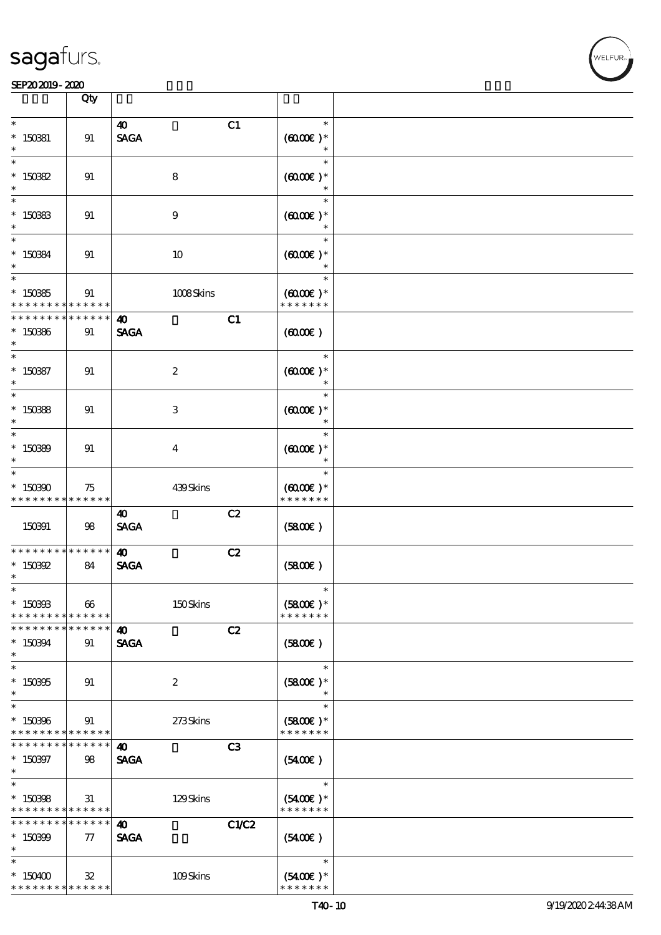|                                                                   | Qty                   |                                      |       |                                                 |  |
|-------------------------------------------------------------------|-----------------------|--------------------------------------|-------|-------------------------------------------------|--|
|                                                                   |                       |                                      |       |                                                 |  |
| $\ast$<br>$*$ 150381<br>$\ast$                                    | 91                    | $\boldsymbol{\omega}$<br><b>SAGA</b> | C1    | $\ast$<br>$(6000\varepsilon)*$                  |  |
| $\ast$<br>$* 15082$                                               | 91                    | 8                                    |       | $\ast$<br>$(0,000)$ *<br>$\ast$                 |  |
| $\ast$<br>$* 150333$                                              | 91                    | $\boldsymbol{9}$                     |       | $\ast$<br>$(6000)$ *<br>$\ast$                  |  |
| $\overline{\phantom{0}}$<br>$* 15084$<br>$\ast$                   | 91                    | 10                                   |       | $\ast$<br>$(6000\varepsilon)*$<br>$\ast$        |  |
| $\ast$<br>$*15035$                                                | 91<br>* * * * *       | 1008Skins                            |       | $\ast$<br>$(6000\varepsilon)*$<br>* * * * * * * |  |
| * * * * * *<br>$*150366$<br>$\ast$                                | * * * * *<br>91       | $\boldsymbol{\omega}$<br><b>SAGA</b> | C1    | (0,000)                                         |  |
| $*$<br>$* 150887$<br>$\ast$                                       | 91                    | $\boldsymbol{2}$                     |       | $\ast$<br>$(6000\varepsilon)*$<br>$\ast$        |  |
| $\overline{\ast}$<br>$*15088$<br>$\ast$                           | 91                    | 3                                    |       | $\ast$<br>$(6000)$ *<br>$\ast$                  |  |
| $\ast$<br>$*15089$<br>$\ast$                                      | 91                    | $\bf{4}$                             |       | $\ast$<br>$(0,000)$ *<br>$\ast$                 |  |
| $\ast$<br>$*150300$<br>* * * * * * * *                            | 75<br>$* * * * * * *$ | 439Skins                             |       | $\ast$<br>$(0,000)$ *<br>* * * * * * *          |  |
| 150391                                                            | 98                    | 40<br><b>SAGA</b>                    | C2    | (5800)                                          |  |
| * * * * * * * *<br>$* 150892$<br>$\ast$                           | * * * * * *<br>84     | $\boldsymbol{\omega}$<br><b>SAGA</b> | C2    | (5800)                                          |  |
| $\ast$<br>$*$ 150393<br>* * * * * * * * * * * * * *               | 66                    | 150Skins                             |       | $(5800)$ *<br>* * * * * * *                     |  |
| * * * * * * * *<br>* 150394<br>$\ast$                             | * * * * * *<br>91     | $\boldsymbol{\omega}$<br><b>SAGA</b> | C2    | (5800)                                          |  |
| $\ast$<br>$*150305$<br>$\ast$                                     | 91                    | $\boldsymbol{z}$                     |       | $\ast$<br>$(5800)$ *<br>$\ast$                  |  |
| $\ast$<br>$*150306$<br>* * * * * * * * * * * * * *                | 91                    | 273Skins                             |       | $\ast$<br>$(5800)$ *<br>* * * * * * *           |  |
| * * * * * * * *<br>$* 150397$<br>$\ast$                           | * * * * * *<br>98     | 40<br><b>SAGA</b>                    | C3    | $(5400\varepsilon)$                             |  |
| $\ast$<br>$*150398$<br>* * * * * * * * <mark>* * * * * * *</mark> | 31                    | 129Skins                             |       | $\ast$<br>$(5400)$ *<br>* * * * * * *           |  |
| * * * * * * * *<br>$*150399$<br>$\ast$                            | * * * * * *<br>$\tau$ | 40<br><b>SAGA</b>                    | C1/C2 | (5400)                                          |  |
| $\ast$<br>$*150400$<br>* * * * * * * * * * * * * *                | 32                    | 109Skins                             |       | $\ast$<br>$(5400)$ *<br>* * * * * * *           |  |

VELFUR-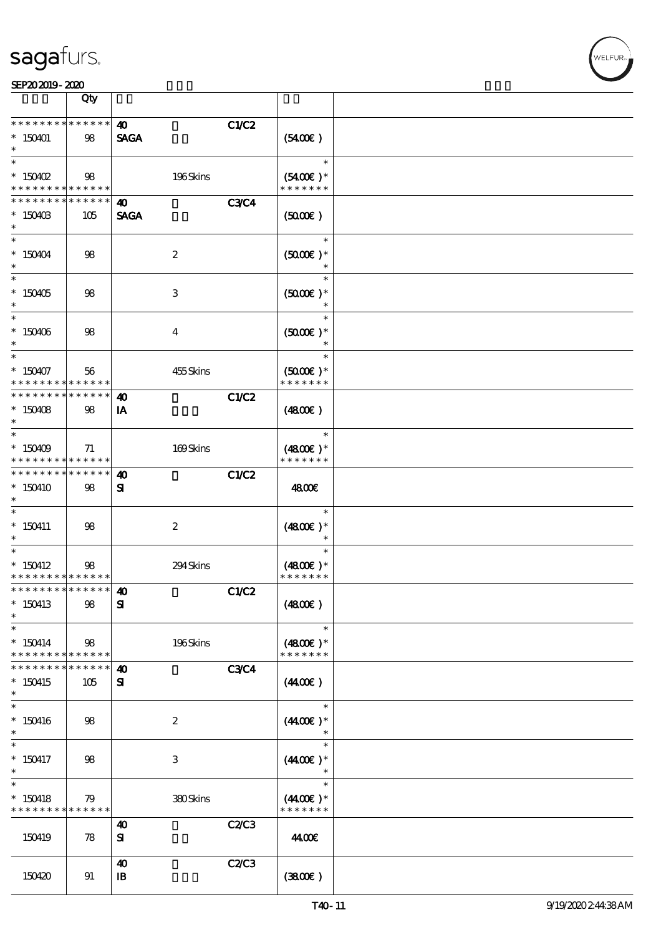|                                                                   | Qty                |                                       |             |                                          |  |
|-------------------------------------------------------------------|--------------------|---------------------------------------|-------------|------------------------------------------|--|
| * * * * * * * *<br>$*150401$<br>$\ast$                            | * * * * * *<br>98  | $\boldsymbol{\omega}$<br><b>SAGA</b>  | C1/C2       | (5400)                                   |  |
| $*$ 150402<br>* * * * * * * *                                     | 98<br>******       | 196Skins                              |             | $\ast$<br>$(5400)$ *<br>* * * * * * *    |  |
| * * * * * * * *<br>$*$ 150403<br>$\ast$                           | * * * * * *<br>105 | $\boldsymbol{\omega}$<br><b>SAGA</b>  | <b>C3C4</b> | $(5000\varepsilon)$                      |  |
| $\overline{\phantom{0}}$<br>* 150404<br>$\ast$                    | 98                 | $\boldsymbol{2}$                      |             | $\ast$<br>$(5000)$ *                     |  |
| $\overline{\ast}$<br>$*150405$<br>$\ast$                          | 98                 | 3                                     |             | $\ast$<br>$(5000\varepsilon)*$<br>$\ast$ |  |
| $\ast$<br>$*150406$<br>$\ast$                                     | 98                 | $\overline{4}$                        |             | $\ast$<br>$(5000)$ *<br>$\ast$           |  |
| $\ast$<br>$*150407$<br>* * * * * * * * <mark>*</mark>             | 56<br>******       | 455Skins                              |             | $\ast$<br>$(5000)$ *<br>* * * * * * *    |  |
| * * * * * * * * <mark>* * * * * * *</mark><br>$*150408$<br>$\ast$ | 98                 | $\boldsymbol{\omega}$<br>IA           | C1/C2       | $(4800\varepsilon)$                      |  |
| $*$<br>$*150409$<br>* * * * * * * * <mark>* * * * * *</mark>      | 71                 | 169Skins                              |             | $\ast$<br>$(4800)$ *<br>* * * * * * *    |  |
| * * * * * * * * <mark>* * * * * * *</mark><br>$*150410$<br>$\ast$ | 98                 | $\boldsymbol{\omega}$<br>${\bf s}$    | C1/C2       | 4800€                                    |  |
| $\ast$<br>$*150411$<br>$\ast$                                     | 98                 | $\boldsymbol{2}$                      |             | $\ast$<br>$(4800)$ *<br>$\ast$           |  |
| $\ast$<br>$*$ 150412<br>* * * * * * * * <mark>* * * * * *</mark>  | 98                 | 294Skins                              |             | $\ast$<br>$(4800)$ *<br>* * * * * * *    |  |
| *************** 10<br>$*150413$<br>$\ast$                         | 98                 | ${\bf s}$                             | C1/C2       | (4800)                                   |  |
| $\ast$<br>$* 150414$<br>* * * * * * * *                           | 98<br>$******$     | 196Skins                              |             | $\ast$<br>$(4800)$ *<br>* * * * * * *    |  |
| * * * * * * *<br>$*150415$<br>$\ast$                              | * * * * * *<br>105 | $\boldsymbol{\omega}$<br>${\bf s}$    | <b>C3C4</b> | (440E)                                   |  |
| $\ast$<br>$*150416$<br>$\ast$                                     | 98                 | $\boldsymbol{2}$                      |             | $\ast$<br>$(440E)^*$                     |  |
| $\ast$<br>$*150417$<br>$\ast$                                     | 98                 | 3                                     |             | $\ast$<br>$(4400\varepsilon)*$<br>$\ast$ |  |
| $\ast$<br>$*$ 150418<br>* * * * * * * *                           | 79<br>******       | 380Skins                              |             | $\ast$<br>$(440E)^*$<br>* * * * * * *    |  |
| 150419                                                            | 78                 | $\boldsymbol{\omega}$<br>${\bf s}$    | C2C3        | 44.00€                                   |  |
| 150420                                                            | 91                 | $\boldsymbol{\omega}$<br>$\mathbf{B}$ | C2C3        | (380)                                    |  |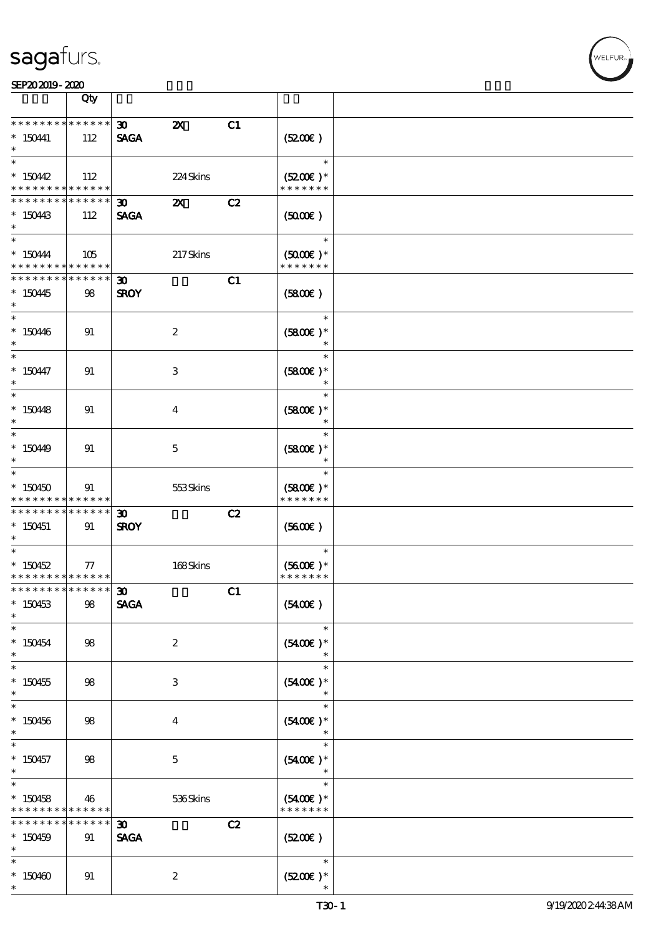|                                                        | Qty             |                                |                           |    |                                       |  |
|--------------------------------------------------------|-----------------|--------------------------------|---------------------------|----|---------------------------------------|--|
| * * * * * * * *                                        | $* * * * * * *$ | $\boldsymbol{\mathfrak{D}}$    | $\boldsymbol{\mathsf{z}}$ | C1 |                                       |  |
| $* 150441$<br>$\ast$                                   | 112             | <b>SAGA</b>                    |                           |    | (5200)                                |  |
| $\ast$                                                 |                 |                                |                           |    | $\ast$                                |  |
| $*150442$<br>* * * * * * * * <mark>* * * * * *</mark>  | 112             |                                | 224Skins                  |    | $(5200)$ *<br>* * * * * * *           |  |
| * * * * * * * *                                        | * * * * * *     | $\infty$                       | $\boldsymbol{\mathsf{X}}$ | C2 |                                       |  |
| $*$ 150443<br>$\ast$                                   | 112             | <b>SAGA</b>                    |                           |    | $(5000\varepsilon)$                   |  |
| $\overline{\phantom{0}}$                               |                 |                                |                           |    | $\ast$                                |  |
| $*$ 150444<br>* * * * * * * * <mark>* * * * * *</mark> | 105             |                                | 217Skins                  |    | $(5000\varepsilon)*$<br>* * * * * * * |  |
| * * * * * * * *                                        | ******          | $\boldsymbol{\mathfrak{D}}$    |                           | C1 |                                       |  |
| $*150445$<br>$\ast$                                    | 98              | <b>SROY</b>                    |                           |    | (5800)                                |  |
| $*$                                                    |                 |                                |                           |    | $\ast$                                |  |
| $*150446$<br>$\ast$                                    | 91              |                                | $\boldsymbol{2}$          |    | $(5800)$ *                            |  |
| $\overline{\phantom{0}}$                               |                 |                                |                           |    | $\ast$                                |  |
| $*150447$<br>$\ast$                                    | 91              |                                | 3                         |    | $(5800)$ *<br>$\ast$                  |  |
| $\overline{\phantom{0}}$                               |                 |                                |                           |    | $\ast$                                |  |
| $*15048$<br>$\ast$                                     | 91              |                                | $\overline{4}$            |    | $(5800)$ *<br>$\ast$                  |  |
| $*$                                                    |                 |                                |                           |    | $\ast$                                |  |
| $*15049$<br>$\ast$                                     | 91              |                                | $\mathbf 5$               |    | $(5800)$ *<br>$\ast$                  |  |
| $\ast$                                                 |                 |                                |                           |    | $\ast$                                |  |
| $*150450$<br>* * * * * * * * <mark>* * * * * *</mark>  | 91              |                                | 553Skins                  |    | $(5800)$ *<br>* * * * * * *           |  |
| ___<br>* * * * * * * * * * * * * *                     |                 |                                |                           |    |                                       |  |
| $*150451$<br>$\ast$                                    | 91              | 30 <sub>o</sub><br><b>SROY</b> |                           | C2 | (5600)                                |  |
| $\ast$                                                 |                 |                                |                           |    | $\ast$                                |  |
| $*$ 150452<br>* * * * * * * * <mark>* * * * * *</mark> | $77\,$          |                                | 168Skins                  |    | $(5600)$ *<br>* * * * * * *           |  |
| ************** 30                                      |                 |                                |                           |    |                                       |  |
| $*150453$<br>$\ast$                                    | 98              | <b>SAGA</b>                    |                           | C1 | (5400)                                |  |
| $\ast$                                                 |                 |                                |                           |    | $\ast$                                |  |
| $*150454$<br>$*$                                       | 98              |                                | $\boldsymbol{2}$          |    | $(5400)$ *<br>$\ast$                  |  |
| $\ast$                                                 |                 |                                |                           |    | $\ast$                                |  |
| $*150455$<br>$\ast$                                    | 98              |                                | 3                         |    | $(5400)$ *<br>$\ast$                  |  |
| $\ast$                                                 |                 |                                |                           |    | $\ast$                                |  |
| $*150456$<br>$\ast$                                    | 98              |                                | $\overline{\mathbf{4}}$   |    | $(5400)$ *<br>$\ast$                  |  |
| $\ast$                                                 |                 |                                |                           |    | $\ast$                                |  |
| $*150457$<br>$\ast$                                    | 98              |                                | $\overline{5}$            |    | $(5400)$ *                            |  |
| $\ast$                                                 |                 |                                |                           |    | $\ast$                                |  |
| $*150458$                                              | 46              |                                | 536Skins                  |    | $(5400)$ *                            |  |
| * * * * * * * *                                        | * * * * * *     |                                |                           |    | * * * * * * *                         |  |
| * * * * * * * *                                        | * * * * * *     | $\boldsymbol{\mathfrak{D}}$    |                           | C2 |                                       |  |
| $*150459$<br>$\ast$                                    | 91              | <b>SAGA</b>                    |                           |    | (5200)                                |  |
| $\ast$                                                 |                 |                                |                           |    | $\ast$                                |  |
| $*150460$<br>$\ast$                                    | 91              |                                | $\boldsymbol{2}$          |    | $(5200)$ *                            |  |
|                                                        |                 |                                |                           |    |                                       |  |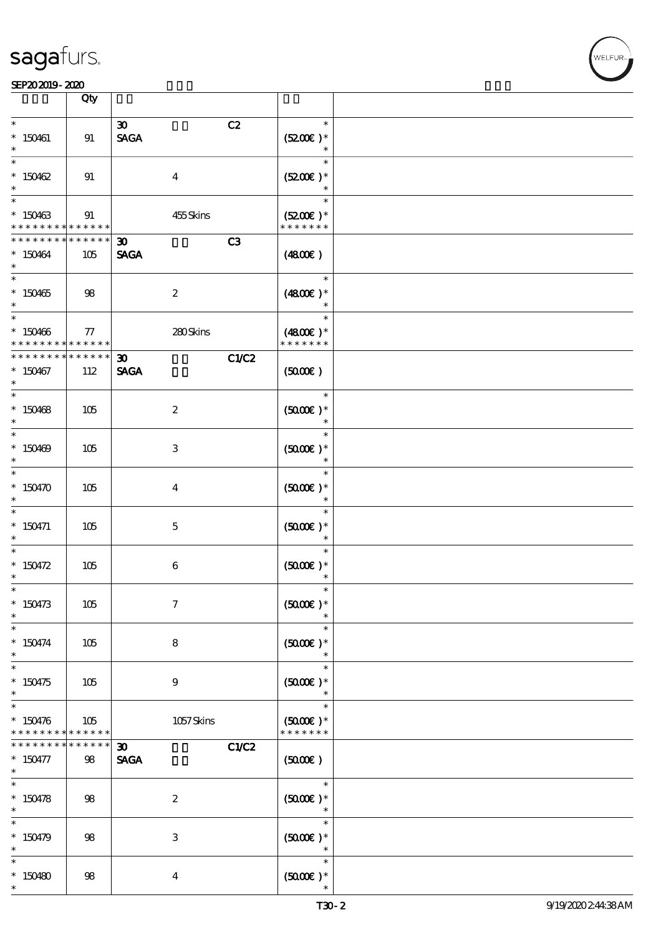|                                                          | Qty                    |                                                     |                                                 |  |
|----------------------------------------------------------|------------------------|-----------------------------------------------------|-------------------------------------------------|--|
| $\ast$<br>$*$ 150461                                     | 91                     | C2<br>$\boldsymbol{\mathfrak{D}}$<br><b>SAGA</b>    | $\ast$<br>$(5200)$ *<br>$\ast$                  |  |
| $\ast$<br>$*150462$<br>$\ast$                            | 91                     | $\boldsymbol{4}$                                    | $\ast$<br>$(5200)$ *<br>$\ast$                  |  |
| $\overline{\phantom{0}}$<br>$*150463$<br>* * * * * * * * | 91<br>* * * * * *      | 455Skins                                            | $\ast$<br>$(5200)$ *<br>* * * * * * *           |  |
| * * * * * * * *<br>$*150464$<br>$\ast$                   | * * * * * *<br>105     | C3<br>$\boldsymbol{\mathfrak{D}}$<br><b>SAGA</b>    | (4800)                                          |  |
| $*150465$<br>$*$                                         | 98                     | $\boldsymbol{z}$                                    | $\ast$<br>$(4800)$ *<br>$\ast$                  |  |
| * 150466<br>* * * * * * * *                              | 77<br>******           | 280Skins                                            | $\ast$<br>$(4800)$ *<br>* * * * * * *           |  |
| * * * * * * * *<br>$*150467$<br>$\ast$                   | * * * * * *<br>112     | C1/C2<br>$\boldsymbol{\mathfrak{D}}$<br><b>SAGA</b> | (5000)                                          |  |
| $*150468$<br>$\ast$                                      | 105                    | $\boldsymbol{z}$                                    | $\ast$<br>$(5000\varepsilon)*$<br>$\ast$        |  |
| $*150469$<br>$\ast$                                      | 105                    | 3                                                   | $\ast$<br>$(5000)$ *<br>$\ast$                  |  |
| * $150470$<br>$\ast$                                     | 105                    | $\bf{4}$                                            | $\ast$<br>$(5000)$ *<br>$\ast$                  |  |
| $\ast$<br>$*$ 150471<br>$\ast$                           | 105                    | $\mathbf{5}$                                        | $\ast$<br>$(5000)$ *<br>$\ast$                  |  |
| $\overline{\phantom{0}}$<br>* $150472$<br>$\ast$         | 105                    | 6                                                   | $\ast$<br>$(5000)$ *<br>$\ast$                  |  |
| $\ast$<br>$*150473$<br>$\ast$                            | 105                    | $\boldsymbol{7}$                                    | $\ast$<br>$(5000)$ *                            |  |
| $\ast$<br>$* 150474$<br>$\ast$                           | 105                    | 8                                                   | $\ast$<br>$(5000)$ *<br>$\ast$                  |  |
| $\overline{\phantom{0}}$<br>$*150475$<br>$\ast$          | 105                    | $\boldsymbol{9}$                                    | $\ast$<br>$(5000)$ *<br>$\ast$                  |  |
| $\ast$<br>$* 150476$<br>* * * * * * * *                  | $105\,$<br>* * * * * * | $1057$ Skins                                        | $\ast$<br>$(5000\varepsilon)*$<br>* * * * * * * |  |
| * * * * * * *<br>$* 150477$<br>$*$                       | $***$ * * * *<br>98    | C1/C2<br>$\boldsymbol{\mathfrak{D}}$<br><b>SAGA</b> | (500)                                           |  |
| $\overline{\ast}$<br>$* 150478$<br>$\ast$                | 98                     | $\boldsymbol{2}$                                    | $\ast$<br>$(5000)$ *<br>$\ast$                  |  |
| $\ast$<br>$* 150479$<br>$\ast$                           | 98                     | $\,3$                                               | $\ast$<br>$(5000)$ *<br>$\ast$                  |  |
| $\ast$<br>$*150480$<br>$\ast$                            | 98                     | $\bf{4}$                                            | $\ast$<br>$(5000)$ *                            |  |

 $\top$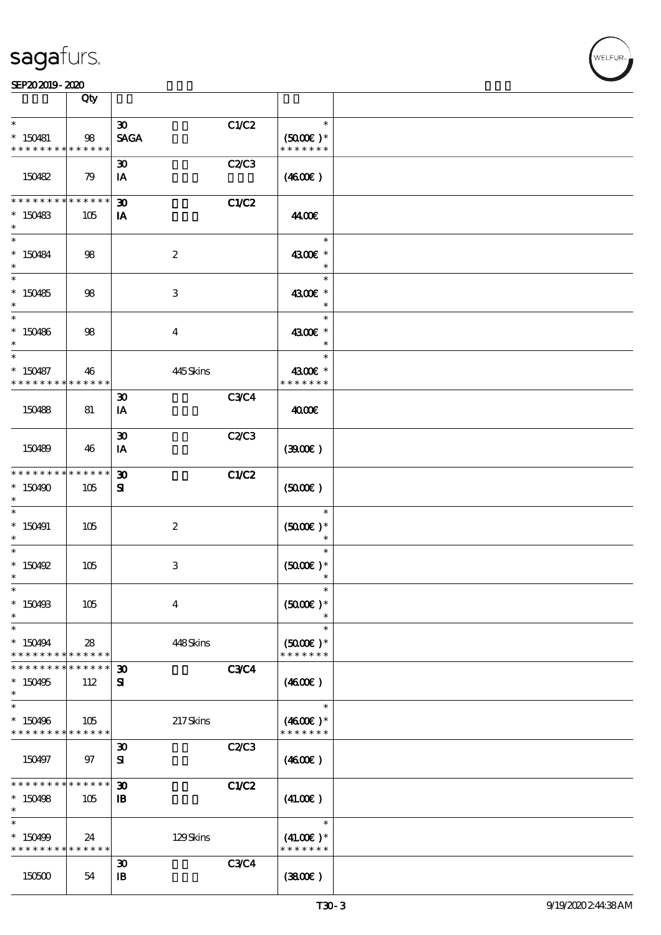|                                          | Qty                    |                                             |                           |             |                                          |  |
|------------------------------------------|------------------------|---------------------------------------------|---------------------------|-------------|------------------------------------------|--|
| $\ast$                                   |                        | $\boldsymbol{\mathfrak{D}}$                 |                           | C1/C2       | $\ast$                                   |  |
| $* 150481$<br>* * * * * * * *            | 98<br>* * * * * *      | <b>SAGA</b>                                 |                           |             | $(5000\varepsilon)*$<br>* * * * * * *    |  |
| 150482                                   | 79                     | $\boldsymbol{\mathfrak{D}}$<br>IA           |                           | C2C3        | (460E)                                   |  |
|                                          |                        |                                             |                           |             |                                          |  |
| * * * * * * * *<br>$*$ 150483<br>$\ast$  | ******<br>105          | $\boldsymbol{\mathfrak{D}}$<br>IA           |                           | C1/C2       | 44.00€                                   |  |
| $\ast$<br>$*$ 150484<br>$\ast$           | 98                     |                                             | $\boldsymbol{2}$          |             | $\ast$<br>4300€ *<br>$\ast$              |  |
| $*150485$<br>$\ast$                      | 98                     |                                             | 3                         |             | $\ast$<br>4300€ *<br>$\ast$              |  |
| $*$<br>$*150486$<br>$\ast$               | 98                     |                                             | $\boldsymbol{4}$          |             | $\ast$<br>4300€ *<br>$\ast$              |  |
| $\ast$                                   |                        |                                             |                           |             | $\ast$                                   |  |
| $* 150487$<br>* * * * * * * *            | 46<br>* * * * * *      |                                             | 445Skins                  |             | 4300€ *<br>* * * * * * *                 |  |
|                                          |                        | $\boldsymbol{\mathfrak{D}}$                 |                           | <b>C3C4</b> |                                          |  |
| 150488                                   | 81                     | IA                                          |                           |             | 400E                                     |  |
| 150489                                   | 46                     | $\boldsymbol{\mathfrak{D}}$<br>IA           |                           | C2C3        | (3900)                                   |  |
| * * * * * * * *<br>$*150490$<br>$\ast$   | $* * * * * * *$<br>105 | $\boldsymbol{\mathfrak{D}}$<br>${\bf s}$    |                           | C1/C2       | (5000)                                   |  |
| $\ast$<br>$*150491$<br>$\ast$            | 105                    |                                             | $\boldsymbol{2}$          |             | $\ast$<br>$(5000\varepsilon)*$<br>$\ast$ |  |
| $\ast$<br>$*$ 150492<br>$^{\ast}$        | 105                    |                                             | $\ensuremath{\mathbf{3}}$ |             | $\ast$<br>$(5000\varepsilon)*$<br>$\ast$ |  |
| $\ast$<br>* 150493<br>$\ast$             | 105                    |                                             | $\overline{4}$            |             | $\ast$<br>$(5000\text{E})*$              |  |
| $\ast$<br>* 150494<br>* * * * * * * *    | 28<br>******           |                                             | 448Skins                  |             | $\ast$<br>$(5000)$ *<br>* * * * * * *    |  |
| * * * * * * *                            | * * * * * *            | $\boldsymbol{\mathfrak{D}}$                 |                           | <b>C3C4</b> |                                          |  |
| $*150495$<br>$\ast$                      | 112                    | ${\bf s}$                                   |                           |             | (460E)                                   |  |
| $\ast$                                   |                        |                                             |                           |             | $\ast$                                   |  |
| $*150496$<br>* * * * * * * * * * * * * * | 105                    |                                             | 217Skins                  |             | $(4600E)*$<br>* * * * * * *              |  |
| 150497                                   | 97                     | $\boldsymbol{\mathfrak{D}}$<br>${\bf s}$    |                           | C2C3        | (460E)                                   |  |
| * * * * * * * *                          | * * * * * *            | $\boldsymbol{\mathfrak{D}}$                 |                           | C1/C2       |                                          |  |
| $*150498$<br>$\ast$                      | 105                    | $\mathbf{B}$                                |                           |             | (41.00)                                  |  |
| $\ast$                                   |                        |                                             |                           |             | $\ast$                                   |  |
| * 150499<br>* * * * * * * *              | 24<br>******           |                                             | 129Skins                  |             | $(41.00)$ *<br>* * * * * * *             |  |
| 150500                                   | 54                     | $\boldsymbol{\mathfrak{D}}$<br>$\mathbf{B}$ |                           | <b>C3C4</b> | (380)                                    |  |
|                                          |                        |                                             |                           |             |                                          |  |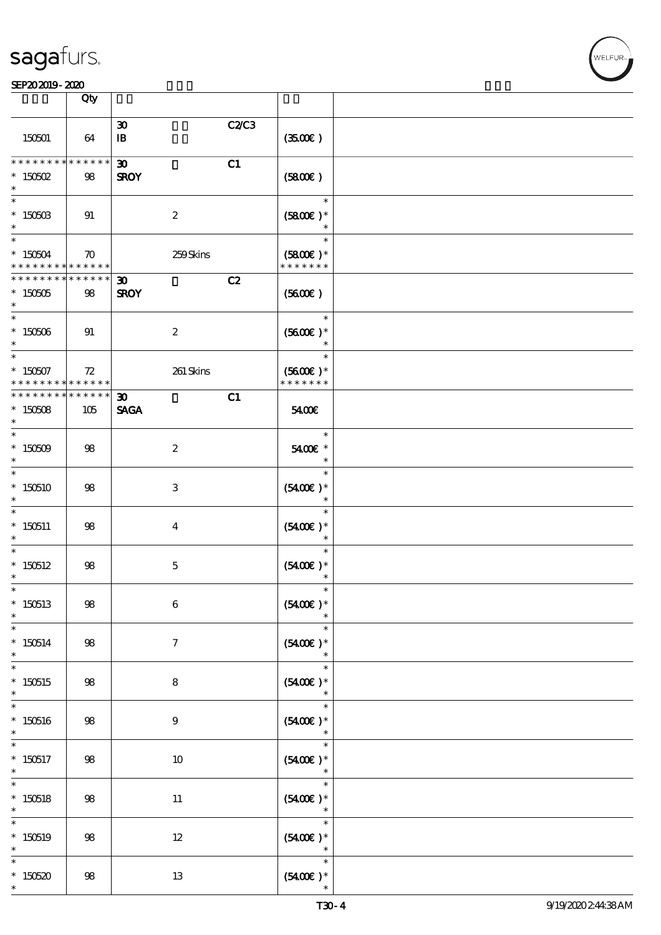|                                                                                   | $\overline{Q}$ ty     |                                                  |                                       |  |
|-----------------------------------------------------------------------------------|-----------------------|--------------------------------------------------|---------------------------------------|--|
| 150501                                                                            | 64                    | $\boldsymbol{\mathfrak{D}}$<br>$\mathbf{B}$      | C2/C3<br>(350)                        |  |
| * * * * * * * *<br>$*$ 150502<br>$\ast$                                           | * * * * * *<br>98     | $\boldsymbol{\mathfrak{D}}$<br>C1<br><b>SROY</b> | (SBOE)                                |  |
| $\ast$<br>$*$ 150503<br>$\ast$                                                    | 91                    | $\boldsymbol{2}$                                 | $\ast$<br>$(5800)$ *                  |  |
| $\overline{\phantom{0}}$<br>$*150504$<br>* * * * * * * * <mark>* * * * * *</mark> | $\boldsymbol{\pi}$    | 259Skins                                         | $\ast$<br>$(5800)$ *<br>* * * * * * * |  |
| * * * * * * * *<br>$* 150505$<br>$\ast$                                           | ******<br>98          | C2<br>$\boldsymbol{\mathfrak{D}}$<br><b>SROY</b> | (5600)                                |  |
| $\ast$<br>$*150506$                                                               | 91                    | $\boldsymbol{2}$                                 | $\ast$<br>$(5600)$ *<br>$\ast$        |  |
| $*$<br>$*150507$<br>* * * * * * * *                                               | 72<br>$* * * * * * *$ | 261 Skins                                        | $\ast$<br>$(5600)$ *<br>* * * * * * * |  |
| * * * * * * * *<br>$*150508$<br>$\ast$                                            | * * * * * *  <br>105  | C1<br>$\boldsymbol{\mathfrak{D}}$<br><b>SAGA</b> | 5400E                                 |  |
| $\ast$<br>$* 150509$<br>$\ast$                                                    | 98                    | $\boldsymbol{2}$                                 | $\ast$<br>5400€ *                     |  |
| $\overline{\phantom{0}}$<br>$*150510$<br>$^{\ast}$                                | 98                    | $\ensuremath{\mathbf{3}}$                        | $\ast$<br>$(5400)$ *<br>$\ast$        |  |
| $\ast$<br>$*150511$<br>$\ast$                                                     | 98                    | $\overline{\mathbf{4}}$                          | $\ast$<br>$(5400E)*$<br>$\ast$        |  |
| $\ast$<br>$*150512$<br>$\ast$                                                     | 98                    | $\mathbf 5$                                      | $\ast$<br>$(5400)$ *<br>$\ast$        |  |
| $\overline{\ast}$<br>$*150513$                                                    | ${\bf 98}$            | $\bf 6$                                          | $\ast$<br>$(5400\text{E})*$           |  |
| $\ast$<br>$*150514$<br>$\ast$                                                     | $98$                  | $\boldsymbol{\tau}$                              | $\ast$<br>$(5400)$ *                  |  |
| $\ast$<br>$*150515$<br>$\ast$                                                     | $98$                  | $\bf 8$                                          | $\ast$<br>$(5400)$ *                  |  |
| $\overline{\ast}$<br>$*150516$<br>$\ast$                                          | $98$                  | $\boldsymbol{9}$                                 | $\ast$<br>$(5400)$ *<br>$\ast$        |  |
| $\ast$<br>$*150517$<br>$\ast$                                                     | $98$                  | $10\,$                                           | $\ast$<br>$(5400)$ *<br>$\ast$        |  |
| $\ast$<br>$*150518$<br>$\ast$                                                     | $98$                  | $11\,$                                           | $\ast$<br>$(5400)$ *<br>$\ast$        |  |
| $\ast$<br>$*150519$<br>$\ast$                                                     | $98$                  | $12 \,$                                          | $\ast$<br>$(5400)$ *<br>$\ast$        |  |
| $\ast$<br>$*150520$<br>$\ast$                                                     | $98$                  | $13\,$                                           | $\ast$<br>$(5400)$ *                  |  |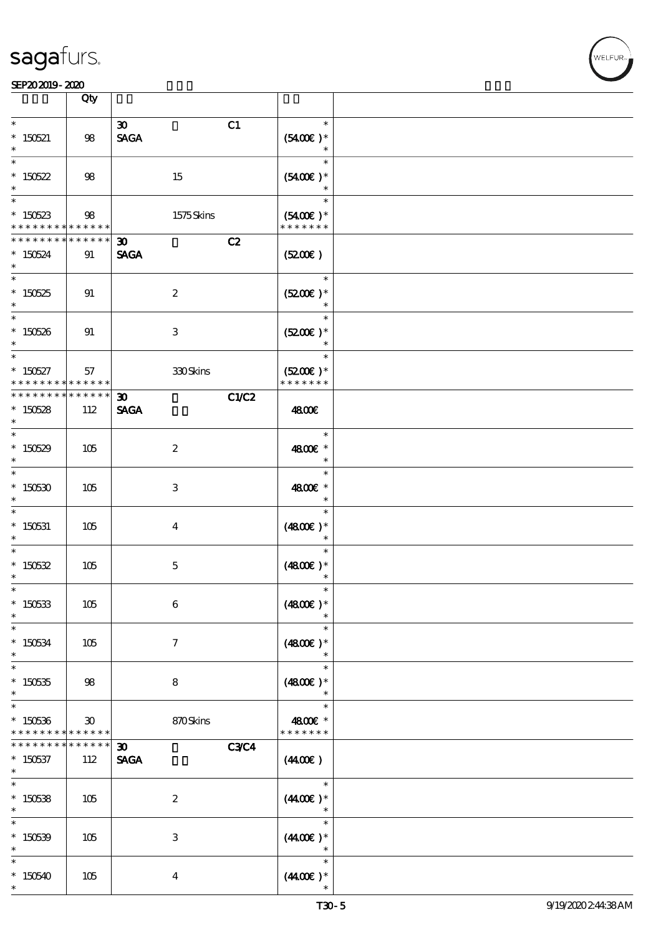|                                                      | Qty                                            |                                                           |                                       |  |
|------------------------------------------------------|------------------------------------------------|-----------------------------------------------------------|---------------------------------------|--|
| $\ast$<br>$*$ 150521<br>$\ast$                       | 98                                             | C1<br>$\boldsymbol{\mathfrak{D}}$<br><b>SAGA</b>          | $\ast$<br>$(5400)$ *<br>$\ast$        |  |
| $\ast$<br>$*150522$<br>$\ast$                        | 98                                             | 15                                                        | $\ast$<br>$(5400)$ *<br>$\ast$        |  |
| $\overline{\ast}$<br>$*150523$<br>* * * * * * * *    | 98<br>* * * * * *                              | 1575Skins                                                 | $\ast$<br>$(5400)$ *<br>* * * * * * * |  |
| * * * * * * * *<br>$*150524$<br>$\ast$               | * * * * * *<br>91                              | C2<br>$\boldsymbol{\mathfrak{D}}$<br><b>SAGA</b>          | (5200)                                |  |
| $\overline{\phantom{0}}$<br>$^\ast$ 150525<br>$\ast$ | 91                                             | $\boldsymbol{2}$                                          | $\ast$<br>$(5200)$ *<br>$\ast$        |  |
| $\overline{\ast}$<br>$* 150526$<br>$\ast$            | 91                                             | $\,3\,$                                                   | $\ast$<br>$(5200\text{E})*$<br>$\ast$ |  |
| $\ast$<br>$* 150527$<br>* * * * * * * *              | 57<br>******                                   | $330\mathrm{S}$ kins                                      | $\ast$<br>$(5200)$ *<br>* * * * * * * |  |
| * * * * * * * *<br>$*150528$<br>$\ast$               | ******<br>112                                  | C1/C2<br>$\boldsymbol{\mathfrak{D}}$<br><b>SAGA</b>       | 4800€                                 |  |
| $*$<br>$*150529$<br>$\ast$                           | 105                                            | $\boldsymbol{2}$                                          | $\ast$<br>4800€ *<br>$\ast$           |  |
| $\ast$<br>$* 150530$<br>$\ast$                       | 105                                            | $\,3$                                                     | $\ast$<br>4800€ *<br>$\ast$           |  |
| $\ast$<br>$*$ 150531<br>$\ast$                       | 105                                            | $\boldsymbol{4}$                                          | $\ast$<br>$(4800)$ *<br>$\ast$        |  |
| $\ast$<br>$* 150532$<br>$\ast$                       | 105                                            | $\mathbf 5$                                               | $\ast$<br>$(4800)$ *<br>$\ast$        |  |
| $\ast$<br>$* 150533$<br>$\ast$                       | 105                                            | $\,6\,$                                                   | $\ast$<br>$(4800)$ *                  |  |
| $\ast$<br>$^*$ 150534 $\,$<br>$\ast$                 | 105                                            | $\boldsymbol{\tau}$                                       | $\ast$<br>$(4800)$ *<br>$\ast$        |  |
| $\ast$<br>$* 150535$<br>$\ast$                       | 98                                             | 8                                                         | $\ast$<br>$(4800)$ *                  |  |
| $\ast$<br>$*150536$<br>* * * * * * * *               | $\boldsymbol{\mathfrak{D}}$<br>$* * * * * * *$ | 870Skins                                                  | $\ast$<br>4800€ *<br>* * * * * * *    |  |
| $*150537$<br>$\ast$                                  | * * * * * *<br>112                             | <b>C3C4</b><br>$\boldsymbol{\mathfrak{D}}$<br><b>SAGA</b> | (440E)                                |  |
| $\ast$<br>$*$ 150538<br>$\ast$                       | 105                                            | $\boldsymbol{2}$                                          | $\ast$<br>$(440E)^*$<br>$\ast$        |  |
| $\ast$<br>$* 150539$<br>$\ast$                       | 105                                            | $\,3\,$                                                   | $\ast$<br>$(440E)$ *<br>$\ast$        |  |
| $\ast$<br>$*150540$<br>$\ast$                        | 105                                            | $\boldsymbol{4}$                                          | $\ast$<br>$(440E)$ *                  |  |

r<br>WELFUR<br>'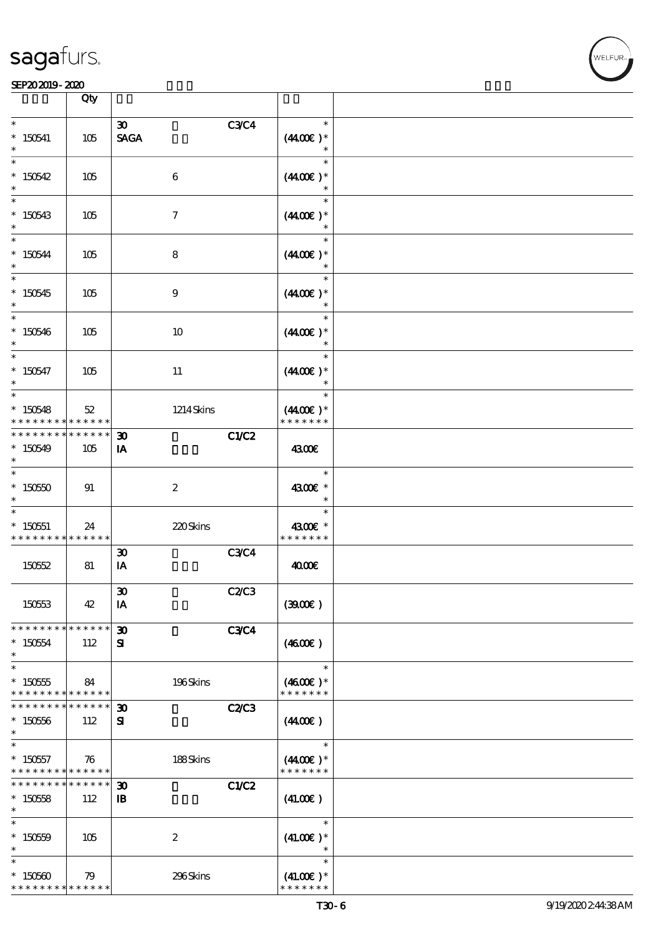

|                                                                  | Qty                |                                             |              |                                        |  |
|------------------------------------------------------------------|--------------------|---------------------------------------------|--------------|----------------------------------------|--|
| $\ast$<br>$*$ 150541<br>$\ast$                                   | 105                | 30 <sub>o</sub><br><b>SAGA</b>              | <b>C3C4</b>  | $\ast$<br>$(440E)^*$<br>$\ast$         |  |
| $\ast$<br>$*150542$<br>$\ast$                                    | 105                | $\boldsymbol{6}$                            |              | $\ast$<br>$(440E)^*$<br>$\ast$         |  |
| $\ast$<br>$*150543$<br>$\ast$                                    | 105                | $\tau$                                      |              | $\ast$<br>$(440E)^*$                   |  |
| $\ast$<br>$*150544$<br>$\ast$                                    | 105                | 8                                           |              | $\ast$<br>$(440E)^*$                   |  |
| $\overline{\ast}$<br>$*150545$<br>$\ast$                         | 105                | $\boldsymbol{9}$                            |              | $\ast$<br>$(440E)^*$<br>$\ast$         |  |
| $\ast$<br>$*150546$<br>$\ast$                                    | 105                | 10                                          |              | $\ast$<br>$(440E)^*$<br>$\ast$         |  |
| $\ast$<br>$* 150547$<br>$\ast$                                   | 105                | 11                                          |              | $\ast$<br>$(440E)^*$<br>$\ast$         |  |
| $\ast$<br>$*150548$<br>* * * * * * * *                           | 52<br>* * * * * *  | 1214Skins                                   |              | $\ast$<br>$(440E)^*$<br>* * * * * * *  |  |
| * * * * * * * *<br>$*150549$<br>$\ast$                           | * * * * * *<br>105 | $\boldsymbol{\mathfrak{D}}$<br>IA           | C1/C2        | 4300E                                  |  |
| $\ast$<br>$^*$ 150550 $\,$<br>$\ast$                             | 91                 | $\boldsymbol{2}$                            |              | $\ast$<br>4300€ *<br>$\ast$            |  |
| $\ast$<br>$*$ 150551<br>* * * * * * * * <mark>* * * * * *</mark> | 24                 | 220Skins                                    |              | $\ast$<br>4300€ *<br>* * * * * * *     |  |
| 15052                                                            | 81                 | $\boldsymbol{\mathfrak{D}}$<br>IA           | <b>C3C4</b>  | 4000E                                  |  |
| 150553                                                           | 42                 | $\pmb{\mathfrak{D}}$<br>IA                  | C2/C3        | (300)                                  |  |
| * * * * * * * * * * * * * *<br>$*150554$<br>$\ast$               | 112                | $\boldsymbol{\mathfrak{D}}$<br>${\bf s}$    | <b>C3C4</b>  | (460E)                                 |  |
| $\ast$<br>$* 150555$<br>* * * * * * * * <mark>* * * * * *</mark> | 84                 | 196Skins                                    |              | $\ast$<br>$(4600)$ *<br>* * * * * * *  |  |
| * * * * * * * *<br>$*150556$<br>$\ast$                           | * * * * * *<br>112 | $\boldsymbol{\mathfrak{D}}$<br>${\bf s}$    | <b>C2/C3</b> | (440E)                                 |  |
| $\ast$<br>$* 150557$<br>* * * * * * * * <mark>* * * * * *</mark> | 76                 | $188S$ kins                                 |              | $\ast$<br>$(4400)$ *<br>* * * * * * *  |  |
| * * * * * * * *<br>$*15058$<br>$\ast$                            | * * * * * *<br>112 | $\boldsymbol{\mathfrak{D}}$<br>$\mathbf{B}$ | C1/C2        | (41.00)                                |  |
| $\ast$<br>$^*$ 150559 $\,$<br>$\ast$                             | 105                | $\boldsymbol{2}$                            |              | $\ast$<br>$(41.00)$ *<br>$\ast$        |  |
| $\ast$<br>$*150560$<br>* * * * * * * * <mark>* * * * * *</mark>  | 79                 | 296Skins                                    |              | $\ast$<br>$(41.00)$ *<br>* * * * * * * |  |

WELFUR<br>
WELFUR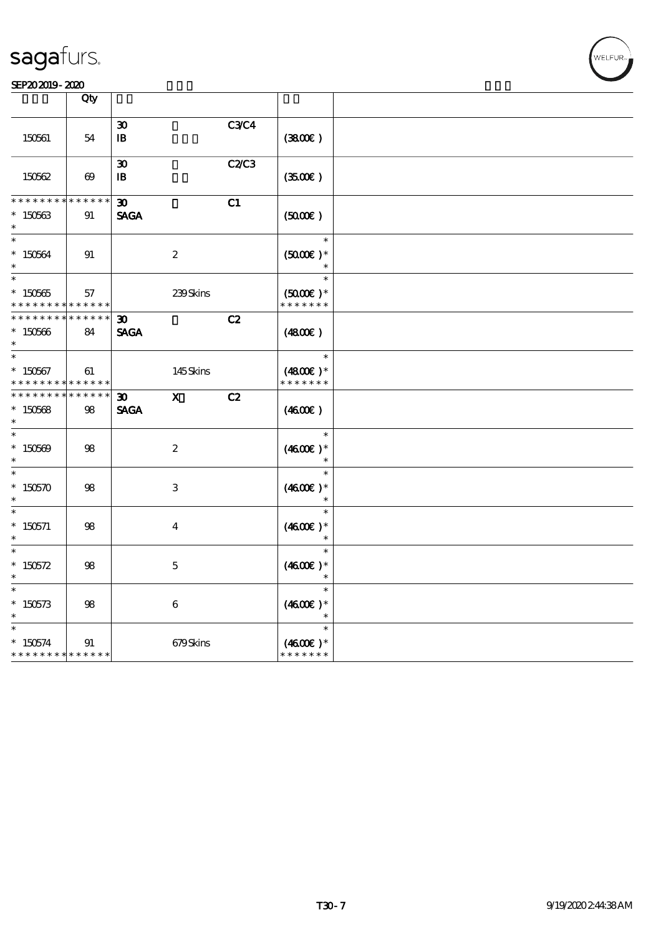|                                                    | Qty                   |                                             |                  |              |                                                 |  |
|----------------------------------------------------|-----------------------|---------------------------------------------|------------------|--------------|-------------------------------------------------|--|
| 150561                                             | 54                    | $\boldsymbol{\mathfrak{D}}$<br>${\bf I\!B}$ |                  | <b>C3C4</b>  | (380)                                           |  |
| 150562                                             | $\boldsymbol{\omega}$ | $\boldsymbol{\mathfrak{D}}$<br>$\mathbf{B}$ |                  | <b>C2/C3</b> | (350)                                           |  |
| * * * * * * *<br>$*150563$<br>$\ast$               | * * * * * *<br>91     | $\boldsymbol{\mathfrak{D}}$<br><b>SAGA</b>  |                  | C1           | (5000)                                          |  |
| $\ast$<br>$* 150564$                               | 91                    |                                             | $\boldsymbol{2}$ |              | $\ast$<br>$(5000)$ *<br>$\ast$                  |  |
| $\ast$<br>$*150565$<br>* * * * * * * *             | 57<br>* * * * * *     |                                             | 239Skins         |              | $\ast$<br>$(5000\varepsilon)*$<br>* * * * * * * |  |
| * * * * * * * *<br>$*150566$<br>$\ast$             | * * * * * *<br>84     | 30 <sub>o</sub><br><b>SAGA</b>              |                  | C2           | (4800)                                          |  |
| $\ast$<br>$*150567$<br>* * * * * * * *             | 61<br>* * * * * *     |                                             | 145Skins         |              | $\ast$<br>$(4800)$ *<br>* * * * * * *           |  |
| ********<br>$*150568$<br>$\ast$                    | $******$<br>98        | $\boldsymbol{\mathfrak{D}}$<br><b>SAGA</b>  | $\mathbf{x}$     | C2           | (4600E)                                         |  |
| $\ast$<br>$*150509$<br>$\ast$                      | $98\,$                |                                             | $\boldsymbol{2}$ |              | $\ast$<br>$(4600E)*$<br>$\ast$                  |  |
| $\ast$<br>$*150570$<br>$\ast$                      | $98\,$                |                                             | 3                |              | $\ast$<br>$(4600)$ *<br>$\ast$                  |  |
| $\ast$<br>$*$ 150571                               | 98                    |                                             | 4                |              | $\ast$<br>$(4600E)*$<br>$\ast$                  |  |
| $\ast$<br>* $150572$<br>$\ast$                     | 98                    |                                             | $\mathbf 5$      |              | $\ast$<br>$(4600)$ *<br>$\ast$                  |  |
| $\ast$<br>$*150573$                                | 98                    |                                             | 6                |              | $\ast$<br>$(4600)$ *<br>$\ast$                  |  |
| $\ast$<br>$*150574$<br>* * * * * * * * * * * * * * | 91                    |                                             | 679Skins         |              | $\ast$<br>$(4600E)*$<br>* * * * * * *           |  |

WELFUR<br>
VELFUR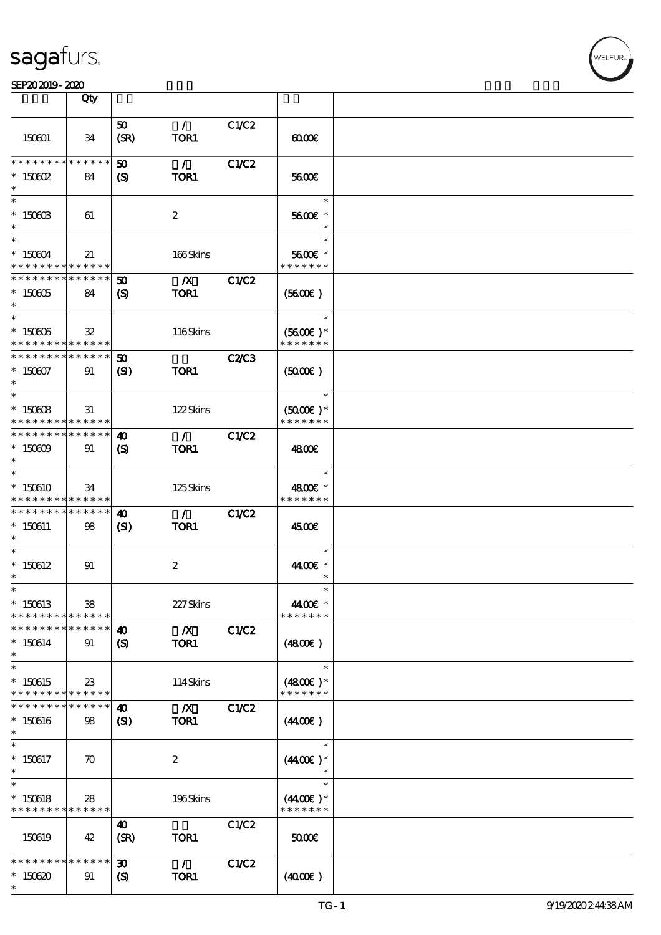#### SEP202019-2020 EXP = 2020 EXP = 2020 EXP = 2020 EXP = 2020 EXP = 2020 EXP = 2020 EXP = 2020 EXP = 2020 EXP = 2

|                                                             | Qty                |                             |                          |              |                             |  |
|-------------------------------------------------------------|--------------------|-----------------------------|--------------------------|--------------|-----------------------------|--|
|                                                             |                    | 50                          | $\mathcal{L}$            | C1/C2        |                             |  |
| 150601                                                      | 34                 | (SR)                        | TOR1                     |              | 0000                        |  |
| * * * * * * * * <mark>* * * * * *</mark>                    |                    | $\boldsymbol{\omega}$       | $\mathcal{L}$            | C1/C2        |                             |  |
| $*$ 150602                                                  | 84                 | $\boldsymbol{\mathsf{S}}$   | TOR1                     |              | 5600E                       |  |
| $\ast$                                                      |                    |                             |                          |              | $\ast$                      |  |
| $*$ 150603<br>$\ast$                                        | 61                 |                             | $\boldsymbol{2}$         |              | 5600€ *<br>$\ast$           |  |
| $*$                                                         |                    |                             |                          |              | $\ast$                      |  |
| $*150604$<br>* * * * * * * * <mark>* * * * * * *</mark>     | 21                 |                             | 166Skins                 |              | 5600€ *<br>* * * * * * *    |  |
| * * * * * * * * <mark>* * * * * * *</mark>                  |                    | $50^{\circ}$                | $\boldsymbol{X}$         | C1/C2        |                             |  |
| $* 150005$<br>$\ast$                                        | 84                 | $\boldsymbol{S}$            | TOR1                     |              | (5600)                      |  |
| $*$                                                         |                    |                             |                          |              | $\ast$                      |  |
| $* 150006$<br>* * * * * * * * <mark>* * * * * *</mark> *    | $\mathbf{32}$      |                             | 116Skins                 |              | $(5600)$ *<br>* * * * * * * |  |
| * * * * * * * * * * * * * * *                               |                    | 50                          |                          | <b>C2/C3</b> |                             |  |
| $*150007$<br>$\ast$                                         | 91                 | (S)                         | <b>TOR1</b>              |              | (5000)                      |  |
|                                                             |                    |                             |                          |              | $\ast$                      |  |
| $* 150008$                                                  | 31                 |                             | 122Skins                 |              | $(5000\varepsilon)*$        |  |
| * * * * * * * * <mark>* * * * * * *</mark>                  |                    |                             |                          |              | * * * * * * *               |  |
| * * * * * * * * <mark>* * * * * *</mark>                    |                    | $\boldsymbol{\omega}$       | $\mathcal{L}$            | <b>C1/C2</b> |                             |  |
| $* 15000$<br>$\ast$                                         | 91                 | $\mathbf{S}$                | TOR1                     |              | 4800€                       |  |
| $\ast$                                                      |                    |                             |                          |              | $\ast$                      |  |
| $*150610$                                                   | 34                 |                             | 125Skins                 |              | 4800€ *                     |  |
| * * * * * * * * * * * * * * *                               |                    |                             |                          |              | * * * * * * *               |  |
| * * * * * * * * <mark>* * * * * *</mark>                    |                    | 40                          | $\mathcal{L}$            | C1/C2        |                             |  |
| $*150611$<br>$\ast$                                         | 98                 | $\mathbf{C}$                | TOR1                     |              | 4500€                       |  |
| $\ast$                                                      |                    |                             |                          |              | $\ast$                      |  |
| $*150612$                                                   | 91                 |                             | $\boldsymbol{2}$         |              | 44.00€ *                    |  |
| $^{\ast}$<br>$\ast$                                         |                    |                             |                          |              | $\ast$<br>$\ast$            |  |
| $*150613$                                                   | 38                 |                             | 227Skins                 |              | 44.00€ *                    |  |
| * * * * * * * *                                             | ******             |                             |                          |              | * * * * * * *               |  |
| * * * * * * * *                                             | * * * * * *        | 40                          | $\mathbf{X}$             | C1/C2        |                             |  |
| $*150614$<br>$\ast$                                         | 91                 | $\boldsymbol{\mathcal{S}}$  | TOR1                     |              | (480)                       |  |
| $\ast$                                                      |                    |                             |                          |              | $\ast$                      |  |
| $*150615$                                                   | $23\,$             |                             | 114Skins                 |              | $(4800)$ *                  |  |
| * * * * * * * * <mark>* * * * * *</mark><br>* * * * * * * * | * * * * * *        |                             |                          |              | * * * * * * *               |  |
| $*150616$                                                   | 98                 | 40<br>$\mathbf{S}$          | $\boldsymbol{X}$<br>TOR1 | C1/C2        | (440E)                      |  |
| $\ast$                                                      |                    |                             |                          |              |                             |  |
| $\ast$                                                      |                    |                             |                          |              | $\ast$                      |  |
| $*150617$<br>$\ast$                                         | $\boldsymbol{\pi}$ |                             | $\boldsymbol{z}$         |              | $(440E)^*$                  |  |
| $\ast$                                                      |                    |                             |                          |              | $\ast$                      |  |
| $*150618$                                                   | 28                 |                             | 196Skins                 |              | $(440E)^*$                  |  |
| * * * * * * * * * * * * * * *                               |                    |                             |                          |              | * * * * * * *               |  |
|                                                             |                    | 40                          |                          | C1/C2        |                             |  |
| 150619                                                      | 42                 | (SR)                        | TOR1                     |              | 5000E                       |  |
| * * * * * * * *                                             | * * * * * *        | 30 <sub>o</sub>             | $\mathcal{L}$            | C1/C2        |                             |  |
| $*150620$                                                   | 91                 | $\boldsymbol{\mathrm{(S)}}$ | TOR1                     |              | (400E)                      |  |
| $\ast$                                                      |                    |                             |                          |              |                             |  |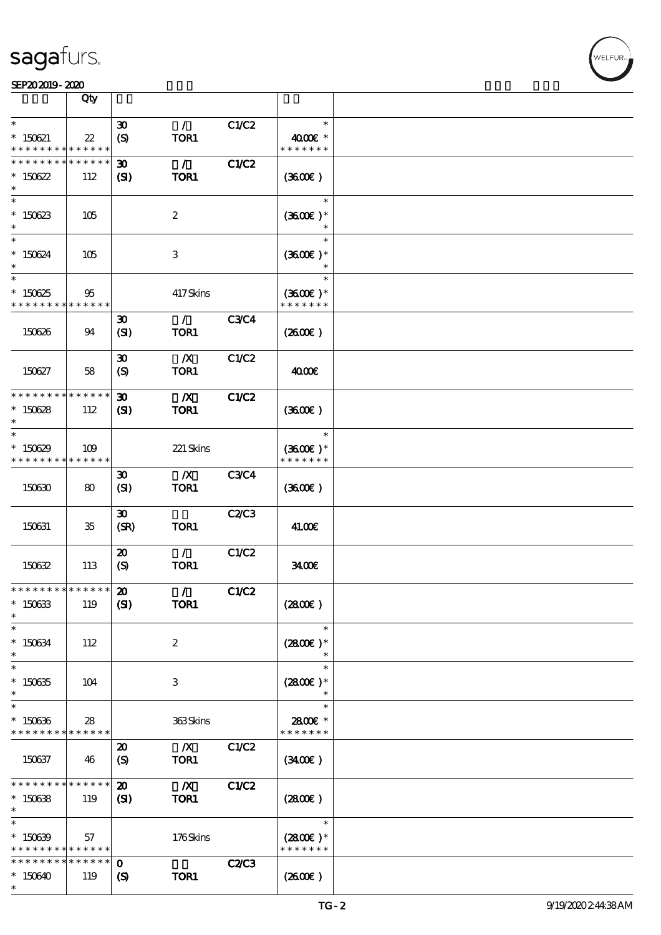#### SEP202019-2020

|                                                                   | Qty                   |                                                           |                                 |              |                                       |  |
|-------------------------------------------------------------------|-----------------------|-----------------------------------------------------------|---------------------------------|--------------|---------------------------------------|--|
| $\ast$                                                            |                       | $\boldsymbol{\mathfrak{D}}$                               | $\mathcal{L}$                   | C1/C2        | $\ast$                                |  |
| $* 150621$<br>* * * * * * * *                                     | $22\,$<br>* * * * * * | (S)                                                       | TOR1                            |              | 4000€ *<br>* * * * * * *              |  |
| * * * * * * * *                                                   | * * * * * *           | $\boldsymbol{\mathfrak{D}}$                               | $\mathcal{L}$                   | C1/C2        |                                       |  |
| $*150622$<br>$\ast$                                               | 112                   | (S)                                                       | TOR1                            |              | (3600)                                |  |
| $\ast$<br>$* 150623$<br>$\ast$                                    | 105                   |                                                           | $\boldsymbol{2}$                |              | $\ast$<br>$(3600)$ *                  |  |
| $\ast$<br>$* 150624$<br>$\ast$                                    | 105                   |                                                           | $\,3$                           |              | $\ast$<br>$(3600)$ *                  |  |
| $\ast$<br>$*150625$<br>* * * * * * * *                            | 95<br>* * * * * *     |                                                           | 417Skins                        |              | $\ast$<br>$(3600)$ *<br>* * * * * * * |  |
| 150626                                                            | 94                    | $\boldsymbol{\mathfrak{D}}$<br>(SI)                       | $\mathcal{L}$<br>TOR1           | <b>C3C4</b>  | $(2600\varepsilon)$                   |  |
| 150627                                                            | 58                    | $\boldsymbol{\mathfrak{D}}$<br>(S)                        | $\boldsymbol{X}$<br>TOR1        | C1/C2        | 4000€                                 |  |
| * * * * * * * * * * * * * *                                       |                       | $\boldsymbol{\mathfrak{D}}$                               | $\boldsymbol{X}$                | C1/C2        |                                       |  |
| $*150628$<br>$\ast$                                               | 112                   | (S)                                                       | TOR1                            |              | (360)                                 |  |
| $\ast$<br>$*150629$<br>* * * * * * * * * * * * * *                | 109                   |                                                           | 221 Skins                       |              | $\ast$<br>$(3600)$ *<br>* * * * * * * |  |
| 150630                                                            | 80                    | $\boldsymbol{\mathfrak{D}}$<br>(SI)                       | $\boldsymbol{X}$<br>TOR1        | <b>C3C4</b>  | (3600)                                |  |
| 150631                                                            | 35                    | $\boldsymbol{\mathfrak{D}}$<br>(SR)                       | TOR1                            | C2/C3        | 41.00€                                |  |
| 150632                                                            | 113                   | $\boldsymbol{\mathfrak{D}}$<br>$\boldsymbol{S}$           | $\mathcal{L}$<br>TOR1           | C1/C2        | 3400                                  |  |
| *************** 20<br>$^\ast$ 150633<br>$\ast$                    | 119                   | (S)                                                       | $\mathcal{L}$<br>TOR1           | C1/C2        | (2800)                                |  |
| $\ast$<br>$^\ast$ 150634<br>$\ast$                                | 112                   |                                                           | $\boldsymbol{2}$                |              | $\ast$<br>$(2800)$ *<br>$\ast$        |  |
| $\ast$<br>$*$ 150635<br>$\ast$                                    | 104                   |                                                           | 3                               |              | $\ast$<br>$(2800)$ *                  |  |
| $\ast$<br>$*150636$<br>* * * * * * * * <mark>* * * * * * *</mark> | 28                    |                                                           | 363Skins                        |              | $\ast$<br>2800€ *<br>* * * * * * *    |  |
| 150637                                                            | 46                    | $\boldsymbol{\mathfrak{D}}$<br>$\boldsymbol{\mathcal{S}}$ | $\boldsymbol{X}$<br>TOR1        | C1/C2        | (3400)                                |  |
| * * * * * * * *<br>$^\ast$ 150638<br>$\ast$                       | * * * * * *<br>119    | $\boldsymbol{\mathfrak{D}}$<br>(S)                        | $\overline{\mathbf{X}}$<br>TOR1 | <b>C1/C2</b> | (2800)                                |  |
| $\ast$<br>$* 150639$<br>* * * * * * * * <mark>* * * * * *</mark>  | 57                    |                                                           | 176Skins                        |              | $\ast$<br>$(2800)$ *<br>* * * * * * * |  |
| * * * * * * * *                                                   | * * * * * *           | $\mathbf 0$                                               |                                 | <b>C2/C3</b> |                                       |  |
| $*150640$<br>$\ast$                                               | 119                   | $\boldsymbol{\mathcal{S}}$                                | TOR1                            |              | (260E)                                |  |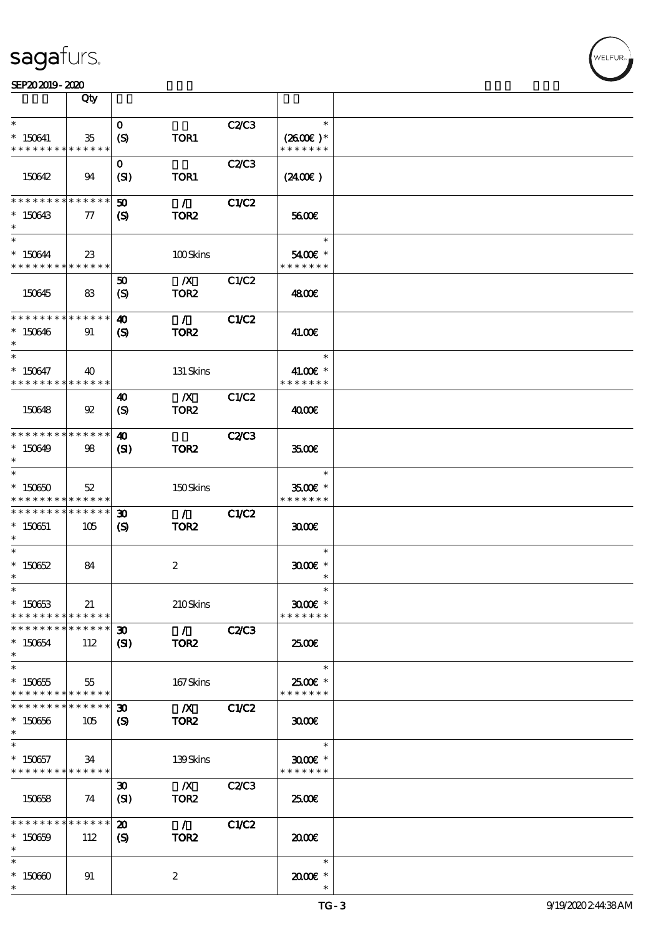|                                                                | Qty                   |                                                     |                                                 |              |                                                |  |
|----------------------------------------------------------------|-----------------------|-----------------------------------------------------|-------------------------------------------------|--------------|------------------------------------------------|--|
| $\ast$                                                         |                       | $\mathbf{o}$                                        |                                                 |              | $\ast$                                         |  |
| $*150641$<br>* * * * * * * *                                   | 35<br>* * * * * *     | (S)                                                 | TOR1                                            | C2/C3        | $(2600)$ *<br>* * * * * * *                    |  |
| 150642                                                         | 94                    | $\mathbf{O}$<br>(SI)                                | TOR1                                            | <b>C2/C3</b> | $(2400\varepsilon)$                            |  |
| * * * * * * * *<br>$*150643$<br>$\ast$                         | * * * * * *<br>$\tau$ | $\boldsymbol{\mathfrak{D}}$<br>(S)                  | $\mathcal{L}$<br>TOR <sub>2</sub>               | <b>C1/C2</b> | 5600E                                          |  |
| $\ast$<br>* 150644<br>* * * * * * * * * * * * * *              | $23\,$                |                                                     | 100Skins                                        |              | $\ast$<br>5400€ *<br>* * * * * * *             |  |
| 150645                                                         | 83                    | 50<br>$\boldsymbol{S}$                              | $\mathbf{X}$<br>TOR <sub>2</sub>                | C1/C2        | 4800€                                          |  |
| * * * * * * * * * * * * * *<br>$*150646$<br>$\ast$             | 91                    | $\boldsymbol{\omega}$<br>$\boldsymbol{\mathcal{S}}$ | $\mathcal{L}$<br>TOR <sub>2</sub>               | <b>C1/C2</b> | 41.00€                                         |  |
| $\ast$<br>$* 150647$<br>* * * * * * * * * * * * * * *          | 40                    |                                                     | 131 Skins                                       |              | $\ast$<br>41.00€ *<br>* * * * * * *            |  |
| 150648                                                         | 92                    | 40<br>(S)                                           | $\mathbf{X}$<br>TOR <sub>2</sub>                | C1/C2        | 4000E                                          |  |
| * * * * * * * * * * * * * *<br>$*150649$<br>$\ast$             | 98                    | 40<br>$\mathbf{S}$                                  | TOR <sub>2</sub>                                | <b>C2/C3</b> | 3500                                           |  |
| $\ast$<br>$*15060$<br>* * * * * * * * <mark>* * * * * *</mark> | 52                    |                                                     | 150Skins                                        |              | $\ast$<br>$3500$ $\epsilon$ *<br>* * * * * * * |  |
| * * * * * * * *<br>$*150651$<br>$\ast$                         | * * * * * *<br>105    | $\boldsymbol{\mathfrak{D}}$<br>(S)                  | $\mathcal{L}$<br>TOR <sub>2</sub>               | <b>C1/C2</b> | 3000                                           |  |
| $\ast$<br>$* 150652$<br>$\ast$                                 | 84                    |                                                     | $\boldsymbol{2}$                                |              | $\ast$<br>$3000$ $*$<br>$\ast$                 |  |
| $*$<br>$* 15063$<br>* * * * * * * *                            | 21<br>* * * * * *     |                                                     | 210Skins                                        |              | $\ast$<br>$3000$ $*$<br>* * * * * * *          |  |
| * * * * * * * *<br>$* 150654$<br>$\ast$                        | * * * * * *<br>112    | 30 <sup>°</sup><br>$\mathbf{C}$                     | $\mathcal{L} = \mathcal{L}$<br>TOR <sub>2</sub> | <b>C2/C3</b> | 2500€                                          |  |
| $\ast$<br>$* 150655$<br>* * * * * * * * * * * * * *            | 55                    |                                                     | 167Skins                                        |              | $\ast$<br>2500€ *<br>* * * * * * *             |  |
| * * * * * * * *<br>$*150656$<br>$\ast$                         | * * * * * *<br>105    | $\boldsymbol{\mathfrak{D}}$<br>(S)                  | $\mathbf{X}$<br>TOR <sub>2</sub>                | C1/C2        | 3000                                           |  |
| $\ast$<br>$*150657$<br>* * * * * * * * * * * * * *             | 34                    |                                                     | 139Skins                                        |              | $\ast$<br>$3000$ $*$<br>* * * * * * *          |  |
| 150658                                                         | 74                    | $\boldsymbol{\mathfrak{D}}$<br>(SI)                 | $\mathbf{X}$<br>TOR <sub>2</sub>                | C2/C3        | 2500E                                          |  |
| * * * * * * * *<br>$* 150659$<br>$\ast$                        | * * * * * *<br>112    | $\boldsymbol{\mathfrak{D}}$<br>$\boldsymbol{S}$     | $\mathcal{L}$<br>TOR <sub>2</sub>               | C1/C2        | 2000                                           |  |
| $\ast$<br>$*15060$<br>$\ast$                                   | 91                    |                                                     | 2                                               |              | $\ast$<br>$2000$ $*$                           |  |

VELFUR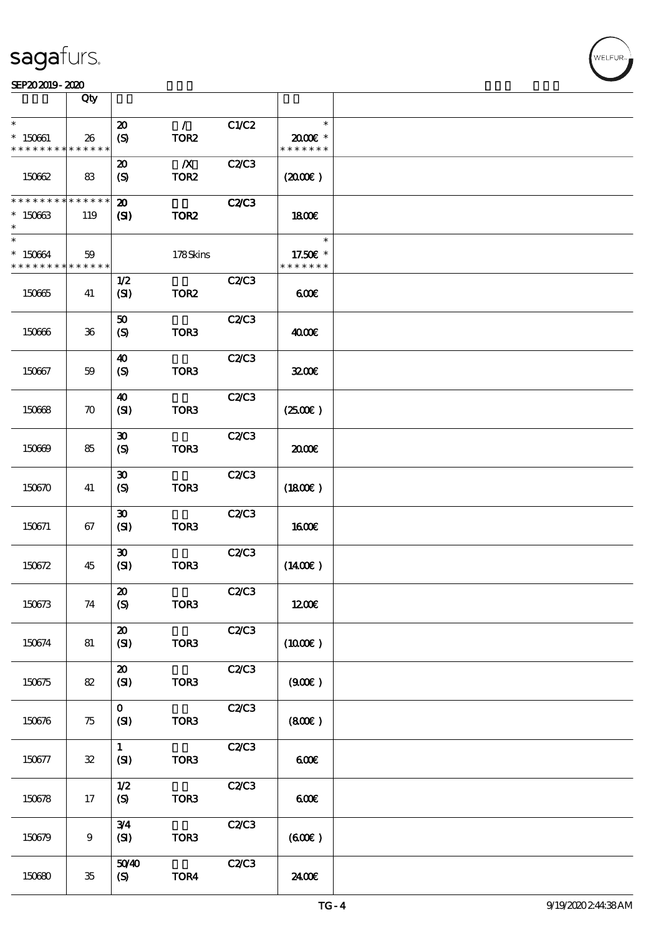|                                         | Qty                |                                                          |                                      |              |                                     |  |
|-----------------------------------------|--------------------|----------------------------------------------------------|--------------------------------------|--------------|-------------------------------------|--|
| $\ast$<br>$* 150601$<br>* * * * * * * * | 26<br>* * * * * *  | $\boldsymbol{\mathbf{z}}$<br>$\boldsymbol{\mathrm{(S)}}$ | $\mathcal{L}$<br>TOR <sub>2</sub>    | C1/C2        | $\ast$<br>2000E *<br>* * * * * * *  |  |
| 150662                                  | 83                 | $\boldsymbol{\mathfrak{D}}$<br>(S)                       | $\boldsymbol{X}$<br>TOR <sub>2</sub> | C2C3         | (200E)                              |  |
| * * * * * * * *<br>$*15063$<br>$\ast$   | * * * * * *<br>119 | $\boldsymbol{\mathbf{z}}$<br>$\mathbf{C}$                | TOR <sub>2</sub>                     | <b>C2/C3</b> | 1800E                               |  |
| $\ast$<br>* 150664<br>* * * * * * * *   | 59<br>* * * * * *  |                                                          | 178Skins                             |              | $\ast$<br>17.50€ *<br>* * * * * * * |  |
| 150665                                  | 41                 | 1/2<br>(SI)                                              | TOR <sub>2</sub>                     | C2/C3        | 600                                 |  |
| 150666                                  | $36\,$             | 50<br>(S)                                                | TOR3                                 | C2C3         | 4000€                               |  |
| 150667                                  | 59                 | $\boldsymbol{\omega}$<br>$\boldsymbol{\mathrm{(S)}}$     | TOR <sub>3</sub>                     | C2C3         | 3200E                               |  |
| 150668                                  | $\boldsymbol{\pi}$ | 40<br>(SI)                                               | TOR3                                 | C2C3         | (250)                               |  |
| 150669                                  | 85                 | $\boldsymbol{\mathfrak{D}}$<br>$\boldsymbol{S}$          | TOR <sub>3</sub>                     | C2C3         | 2000                                |  |
| 150670                                  | 41                 | $\boldsymbol{\mathfrak{D}}$<br>(S)                       | TOR <sub>3</sub>                     | C2/C3        | (1800)                              |  |
| 150671                                  | 67                 | $\boldsymbol{\mathfrak{D}}$<br>(SI)                      | TOR <sub>3</sub>                     | C2/C3        | <b>160€</b>                         |  |
| 150672                                  | 45                 | $\boldsymbol{\mathfrak{D}}$<br>(SI)                      | TOR <sub>3</sub>                     | C2/C3        | $(1400\varepsilon)$                 |  |
| 150673                                  | 74                 | $\pmb{\mathcal{Z}}$<br>(S)                               | TOR3                                 | C2C3         | 1200E                               |  |
| 150674                                  | 81                 | $\boldsymbol{\mathsf{20}}$<br>(SI)                       | TOR3                                 | C2C3         | $(1000\varepsilon)$                 |  |
| 150675                                  | 82                 | $\boldsymbol{\mathbf{z}}$<br>(SI)                        | TOR <sub>3</sub>                     | <b>C2/C3</b> | (900)                               |  |
| 150676                                  | 75                 | $\mathbf{o}$<br>(SI)                                     | TOR <sub>3</sub>                     | C2C3         | (800)                               |  |
| 150677                                  | ${\bf 32}$         | $\mathbf{1}$<br>(SI)                                     | TOR3                                 | C2C3         | 600                                 |  |
| 150678                                  | 17                 | 1/2<br>(S)                                               | TOR3                                 | C2C3         | 600                                 |  |
| 150679                                  | $\boldsymbol{9}$   | 3/4<br>(SI)                                              | TOR3                                 | C2C3         | (60E)                               |  |
| 150680                                  | $35\,$             | 5040<br>(S)                                              | TOR4                                 | C2C3         | 24.00€                              |  |

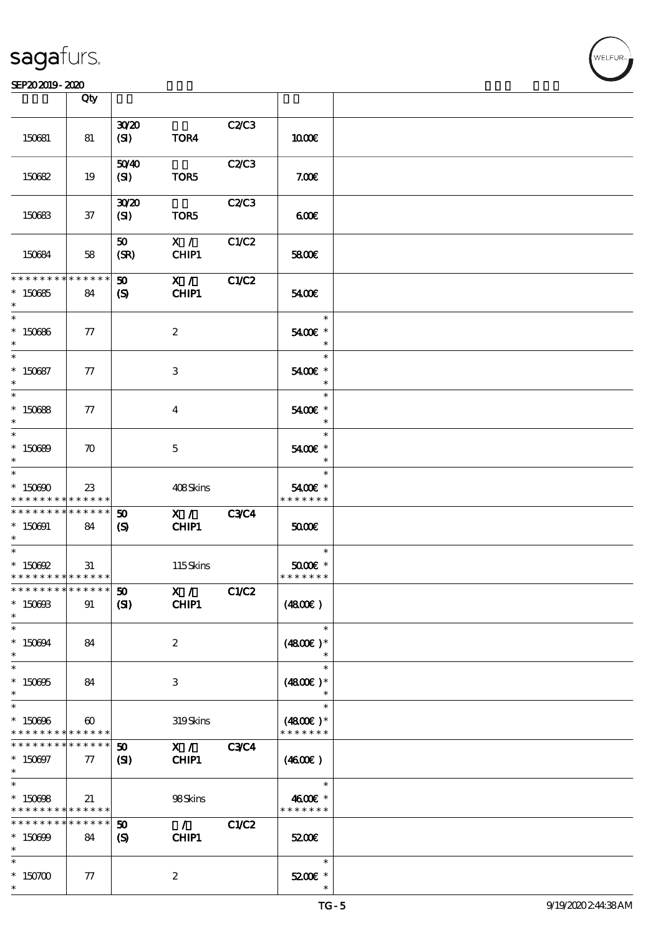#### SEP202019-2020

|                                            | Qty                                  |                             |                          |             |                             |  |
|--------------------------------------------|--------------------------------------|-----------------------------|--------------------------|-------------|-----------------------------|--|
|                                            |                                      |                             |                          |             |                             |  |
| 150681                                     | 81                                   | 3020<br>(SI)                | TOR4                     | C2/C3       | 1000E                       |  |
|                                            |                                      | 5040                        |                          | C2/C3       |                             |  |
| 150682                                     | 19                                   | (SI)                        | TOR5                     |             | 7.00E                       |  |
|                                            |                                      | 3020                        |                          | C2/C3       |                             |  |
| 150683                                     | 37                                   | (SI)                        | TOR5                     |             | 600                         |  |
|                                            |                                      | 50                          | X /                      | C1/C2       |                             |  |
| 150684                                     | 58                                   | (SR)                        | CHIP1                    |             | 5800€                       |  |
| * * * * * * * *                            | $\ast\ast\ast\ast\ast\ast$           | $\boldsymbol{\omega}$       | X /                      | C1/C2       |                             |  |
| $*150685$                                  | 84                                   | $\boldsymbol{S}$            | CHIP1                    |             | 5400€                       |  |
| $\ast$                                     |                                      |                             |                          |             | $\ast$                      |  |
| $*150666$<br>$\ast$                        | 77                                   |                             | $\boldsymbol{2}$         |             | 5400€ *<br>$\ast$           |  |
| $\overline{\ast}$                          |                                      |                             |                          |             | $\ast$                      |  |
| $* 150687$<br>$\ast$                       | 77                                   |                             | 3                        |             | 5400€ *<br>$\ast$           |  |
| $\ast$                                     |                                      |                             |                          |             | $\ast$                      |  |
| $*150688$<br>$\ast$                        | 77                                   |                             | $\bf{4}$                 |             | 5400€ *<br>$\ast$           |  |
| $\ast$                                     |                                      |                             |                          |             | $\ast$                      |  |
| $*150690$<br>$\ast$                        | $\boldsymbol{\pi}$                   |                             | $\mathbf{5}$             |             | 5400€ *<br>$\ast$           |  |
| $\ast$                                     |                                      |                             |                          |             | $\ast$                      |  |
| $*15000$<br>* * * * * * * *                | $23\,$<br>$***$ * * * *              |                             | 408Skins                 |             | 5400€ *<br>* * * * * * *    |  |
| * * * * * * * * * * * * * *                |                                      | $\boldsymbol{\omega}$       | $\mathbf{X}$ /           | <b>C3C4</b> |                             |  |
|                                            |                                      |                             | CHIP1                    |             | 5000                        |  |
| $* 150001$<br>$\ast$                       | 84                                   | $\boldsymbol{\mathcal{S}}$  |                          |             |                             |  |
| $\ast$                                     |                                      |                             |                          |             | $\overline{\phantom{a}}$    |  |
| $*$ 150692                                 | 31                                   |                             | 115Skins                 |             | $5000$ $*$                  |  |
| * * * * * * * * <mark>* * * * * * *</mark> |                                      |                             |                          |             | * * * * * * *               |  |
| * * * * * * * * <mark>* * * * * *</mark>   |                                      | $\boldsymbol{\omega}$       | $\overline{\mathbf{X}$ / | C1/C2       |                             |  |
| $*$ 150603<br>$\ast$                       | 91                                   | (S)                         | CHIP1                    |             | (4800)                      |  |
| $\ast$                                     |                                      |                             |                          |             | $\ast$                      |  |
| $* 150694$<br>$*$                          | 84                                   |                             | $\boldsymbol{2}$         |             | $(4800)$ *<br>$\ast$        |  |
| $\overline{\ast}$                          |                                      |                             |                          |             | $\ast$                      |  |
| $* 150005$<br>$\ast$                       | 84                                   |                             | 3                        |             | $(4800)$ *<br>$\ast$        |  |
| $\ast$                                     |                                      |                             |                          |             | $\ast$                      |  |
| $*150606$<br>* * * * * * * *               | $\boldsymbol{\omega}$<br>* * * * * * |                             | 319Skins                 |             | $(4800)$ *<br>* * * * * * * |  |
| * * * * * * * *                            | $\ast\ast\ast\ast\ast\ast$           | $\boldsymbol{\mathfrak{D}}$ | X /                      | <b>C3C4</b> |                             |  |
| $* 150007$<br>$\ast$                       | 77                                   | $\mathbf{C}$                | CHIP1                    |             | (460)                       |  |
| $\ast$                                     |                                      |                             |                          |             | $\ast$                      |  |
| $*150008$                                  | 21                                   |                             | 98Skins                  |             | 4600€ *                     |  |
| * * * * * * * * <mark>* * * * * * *</mark> |                                      |                             |                          |             | * * * * * * *               |  |
| * * * * * * * *                            | * * * * * *                          | $\boldsymbol{\mathfrak{D}}$ | $\mathcal{L}$            | C1/C2       |                             |  |
| $* 150699$                                 | 84                                   | $\boldsymbol{\mathcal{S}}$  | CHIP1                    |             | 5200E                       |  |
| $\ast$                                     |                                      |                             |                          |             |                             |  |
| $\ast$                                     |                                      |                             |                          |             | $\ast$                      |  |
| $*150700$                                  | 77                                   |                             | $\boldsymbol{z}$         |             | $5200$ $\varepsilon$ *      |  |
| $\ast$                                     |                                      |                             |                          |             |                             |  |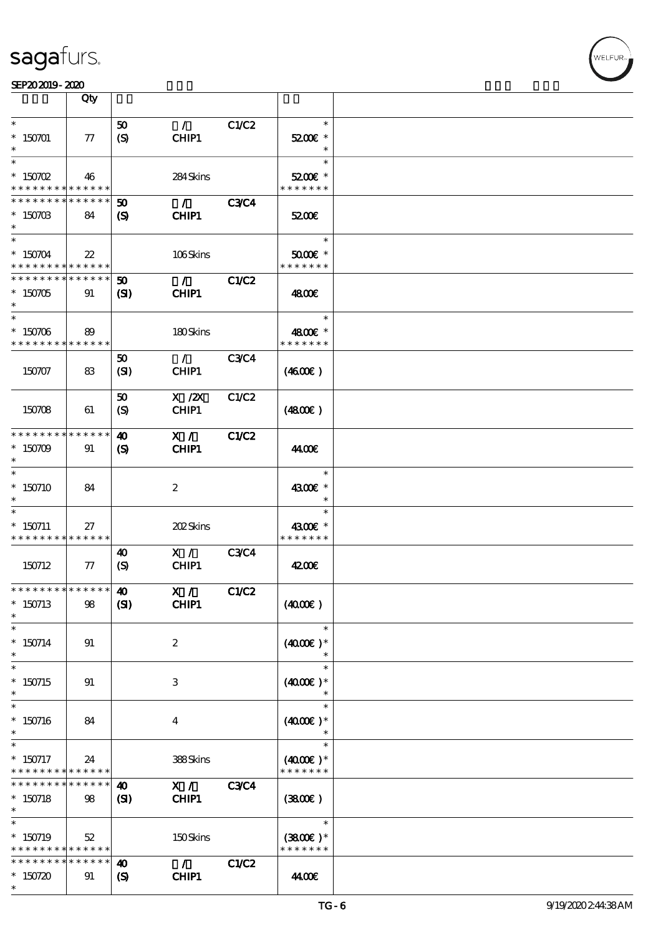

|                                                          | Qty             |                                                     |                                   |              |                             |  |
|----------------------------------------------------------|-----------------|-----------------------------------------------------|-----------------------------------|--------------|-----------------------------|--|
| $\ast$                                                   |                 | 50                                                  | $\mathcal{L}$                     | C1/C2        | $\ast$                      |  |
| $* 150701$                                               | ${\bf \pi}$     | (S)                                                 | CHIP1                             |              | 5200€ *                     |  |
| $\ast$<br>$\ast$                                         |                 |                                                     |                                   |              | $\ast$<br>$\ast$            |  |
| $*$ 150702                                               | 46              |                                                     | 284Skins                          |              | 5200€ *                     |  |
| * * * * * * * *                                          | * * * * * *     |                                                     |                                   |              | * * * * * * *               |  |
| * * * * * * * *                                          | * * * * * *     | $\boldsymbol{\mathfrak{D}}$                         | $\mathcal{L}$                     | <b>C3C4</b>  |                             |  |
| $* 15070B$<br>$\ast$                                     | 84              | (S)                                                 | CHIP1                             |              | 5200E                       |  |
| $\ast$                                                   |                 |                                                     |                                   |              | $\ast$                      |  |
| $^*$ 150704 $\,$                                         | $22\,$          |                                                     | 106Skins                          |              | $5000$ $*$                  |  |
| * * * * * * * * * * * * * *                              |                 |                                                     |                                   |              | * * * * * * *               |  |
| * * * * * * * * * * * * * *                              |                 | $\boldsymbol{\omega}$                               | $\mathcal{L}$                     | <b>C1/C2</b> |                             |  |
| $*150705$<br>$\ast$                                      | 91              | $\mathbf{S}$                                        | CHIP1                             |              | 4800€                       |  |
| $\ast$                                                   |                 |                                                     |                                   |              | $\ast$                      |  |
| $^\ast$ 150706                                           | 89              |                                                     | 180Skins                          |              | 4800€ *                     |  |
| * * * * * * * * * * * * * *                              |                 |                                                     |                                   |              | * * * * * * *               |  |
|                                                          |                 | 50                                                  | $\mathcal{L}$                     | <b>C3C4</b>  |                             |  |
| 150707                                                   | 83              | (SI)                                                | CHIP1                             |              | (460E)                      |  |
|                                                          |                 | 50                                                  | $X$ / $ZX$                        | C1/C2        |                             |  |
| 150708                                                   | 61              | (S)                                                 | CHIP1                             |              | (4800)                      |  |
|                                                          |                 |                                                     |                                   |              |                             |  |
| * * * * * * * * * * * * * *<br>$*150709$                 | 91              | $\boldsymbol{\omega}$<br>$\boldsymbol{\mathcal{S}}$ | X /<br>CHIP1                      | C1/C2        | 44.00€                      |  |
| $\ast$                                                   |                 |                                                     |                                   |              |                             |  |
| $\ast$                                                   |                 |                                                     |                                   |              | $\ast$                      |  |
| $*150710$                                                | 84              |                                                     | $\boldsymbol{2}$                  |              | 4300€ *                     |  |
|                                                          |                 |                                                     |                                   |              | $\ast$<br>$\ast$            |  |
| $*$ 150711                                               | 27              |                                                     | <b>202Skins</b>                   |              | 4300€ *                     |  |
| * * * * * * * * * * * * * *                              |                 |                                                     |                                   |              | * * * * * * *               |  |
|                                                          |                 | $\boldsymbol{\omega}$                               | X /                               | <b>C3C4</b>  |                             |  |
| 150712                                                   | $\tau$          | (S)                                                 | CHIP1                             |              | 4200E                       |  |
| ***************** 10                                     |                 |                                                     | X /                               | C1/C2        |                             |  |
| $*150713$                                                | 98              | (S)                                                 | CHIP1                             |              | (400E)                      |  |
| $\ast$                                                   |                 |                                                     |                                   |              |                             |  |
| $\ast$<br>$* 150714$                                     |                 |                                                     |                                   |              | $\ast$<br>$(4000)$ *        |  |
| $\ast$                                                   | 91              |                                                     | $\boldsymbol{z}$                  |              | $\ast$                      |  |
| $\ast$                                                   |                 |                                                     |                                   |              | $\ast$                      |  |
| $* 150715$                                               | 91              |                                                     | 3                                 |              | $(4000)$ *                  |  |
| $\ast$<br>$\ast$                                         |                 |                                                     |                                   |              | $\ast$                      |  |
| $* 150716$                                               | 84              |                                                     | $\overline{\mathbf{4}}$           |              | $(4000)$ *                  |  |
| $\ast$                                                   |                 |                                                     |                                   |              |                             |  |
| $\ast$                                                   |                 |                                                     |                                   |              | $\ast$                      |  |
| $*$ 150717<br>* * * * * * * * <mark>* * * * * * *</mark> | 24              |                                                     | 388Skins                          |              | $(4000)$ *<br>* * * * * * * |  |
| * * * * * * * *                                          | $* * * * * * *$ | $\boldsymbol{\omega}$                               | $X / \sqrt{2}$                    | <b>C3C4</b>  |                             |  |
| $* 150718$                                               | 98              | (S)                                                 | <b>CHIP1</b>                      |              | (3800)                      |  |
| $\ast$                                                   |                 |                                                     |                                   |              |                             |  |
| $\ast$                                                   |                 |                                                     |                                   |              | $\ast$                      |  |
| $*$ 150719<br>* * * * * * * * <mark>* * * * * * *</mark> | 52              |                                                     | 150Skins                          |              | $(3800)$ *<br>* * * * * * * |  |
| * * * * * * * *                                          | * * * * * *     | $\boldsymbol{\omega}$                               | $\mathcal{L} \subset \mathcal{L}$ | C1/C2        |                             |  |
| $*150720$                                                | 91              | $\boldsymbol{\mathcal{S}}$                          | CHIP1                             |              | 44.00€                      |  |
| $\ast$                                                   |                 |                                                     |                                   |              |                             |  |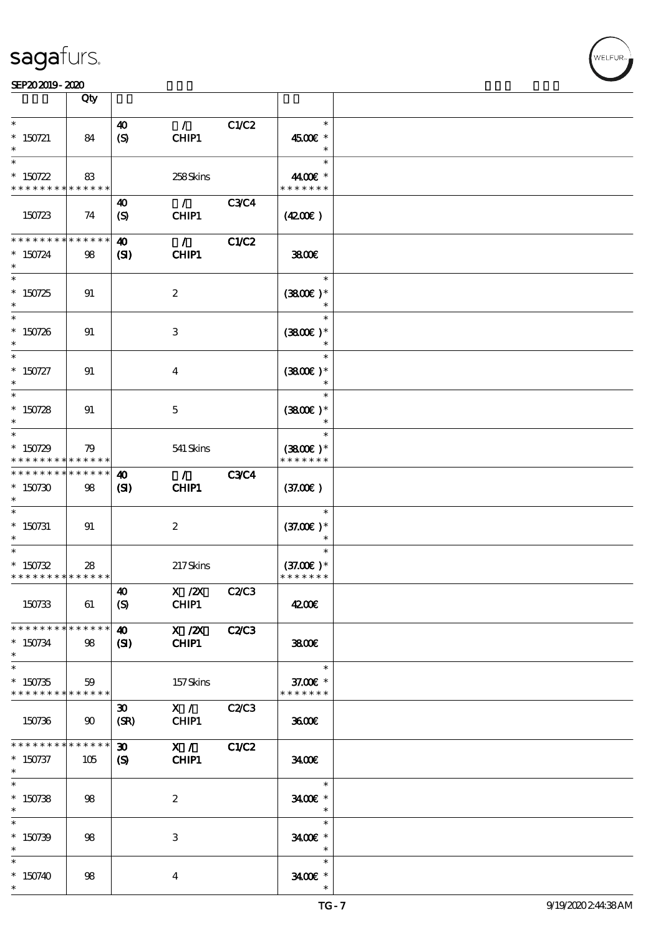# **VELFUR**

#### SEP202019-2020

|                                                                  | Qty               |                                                           |                        |              |                                        |  |
|------------------------------------------------------------------|-------------------|-----------------------------------------------------------|------------------------|--------------|----------------------------------------|--|
| $\ast$<br>$*$ 150721<br>$\ast$                                   | 84                | $\boldsymbol{\omega}$<br>$\boldsymbol{S}$                 | $\mathcal{L}$<br>CHIP1 | C1/C2        | $\ast$<br>4500€ *<br>$\ast$            |  |
| $\ast$<br>$* 150722$<br>* * * * * * * * <mark>* * * * * *</mark> | 83                |                                                           | 258Skins               |              | $\ast$<br>4400€ *<br>* * * * * * *     |  |
| 150723                                                           | 74                | $\boldsymbol{\omega}$<br>$\boldsymbol{S}$                 | $\mathcal{L}$<br>CHIP1 | <b>C3C4</b>  | (420)                                  |  |
| * * * * * * * * * * * * * *<br>$* 150724$<br>$\ast$              | 98                | $\boldsymbol{\omega}$<br>(S)                              | $\mathcal{L}$<br>CHIP1 | C1/C2        | 3800€                                  |  |
| $\overline{\ast}$<br>$* 150725$<br>$\ast$                        | 91                |                                                           | $\boldsymbol{2}$       |              | $\ast$<br>$(3800)$ *<br>$\ast$         |  |
| $\ast$<br>$* 150726$<br>$\ast$                                   | 91                |                                                           | 3                      |              | $\ast$<br>$(3800)$ *<br>$\ast$         |  |
| $\ast$<br>$* 150727$<br>$\ast$                                   | 91                |                                                           | $\bf{4}$               |              | $\ast$<br>$(3800)$ *<br>$\ast$         |  |
| $\ast$<br>$* 150728$<br>$\ast$                                   | 91                |                                                           | $\mathbf{5}$           |              | $\ast$<br>$(3800)$ *<br>$\ast$         |  |
| $\ast$<br>$*150729$<br>* * * * * * * * * * * * * *               | 79                |                                                           | 541 Skins              |              | $\ast$<br>$(3800)$ *<br>* * * * * * *  |  |
| * * * * * * * *<br>$*150730$<br>$\ast$                           | * * * * * *<br>98 | $\boldsymbol{\omega}$<br>(S)                              | $\mathcal{L}$<br>CHIP1 | <b>C3C4</b>  | (37.00)                                |  |
| $\ast$<br>$*$ 150731<br>$\ast$                                   | 91                |                                                           | $\boldsymbol{z}$       |              | $\ast$<br>$(37.00)$ *<br>$\ast$        |  |
| $\ast$<br>$* 150732$<br>* * * * * * * * * * * * * *              | 28                |                                                           | 217Skins               |              | $\ast$<br>$(37.00)$ *<br>* * * * * * * |  |
| 150733                                                           | 61                | $\boldsymbol{40}$<br>(S)                                  | $X \, /ZX$<br>CHIP1    | C2C3         | 4200€                                  |  |
| * * * * * * * * * * * * * *<br>$* 150734$<br>$\ast$              | 98                | $\boldsymbol{\omega}$<br>$\mathbf{C}$                     | X / ZX<br>CHIP1        | C2C3         | 3800€                                  |  |
| $\ast$<br>$*150735$<br>* * * * * * * * <mark>* * * * * *</mark>  | 59                |                                                           | 157Skins               |              | $\ast$<br>37.00€ *<br>* * * * * * *    |  |
| 150736                                                           | $90^{\circ}$      | $\boldsymbol{\mathfrak{D}}$<br>(SR)                       | X /<br>CHIP1           | <b>C2/C3</b> | 3600                                   |  |
| * * * * * * * * * * * * * *<br>$*$ 150737<br>$*$                 | 105               | $\boldsymbol{\mathfrak{D}}$<br>$\boldsymbol{\mathcal{S}}$ | X /<br><b>CHIP1</b>    | C1/C2        | 3400                                   |  |
| $\overline{\phantom{0}}$<br>$* 150738$<br>$*$                    | 98                |                                                           | $\boldsymbol{2}$       |              | $\ast$<br>3400€ *<br>$\ast$            |  |
| $\ast$<br>$* 150739$<br>$\ast$                                   | 98                |                                                           | $\,3$                  |              | $\ast$<br>3400€ *<br>$\ast$            |  |
| $\ast$<br>$*150740$<br>$\ast$                                    | 98                |                                                           | $\boldsymbol{4}$       |              | $\ast$<br>3400€ *<br>$\ast$            |  |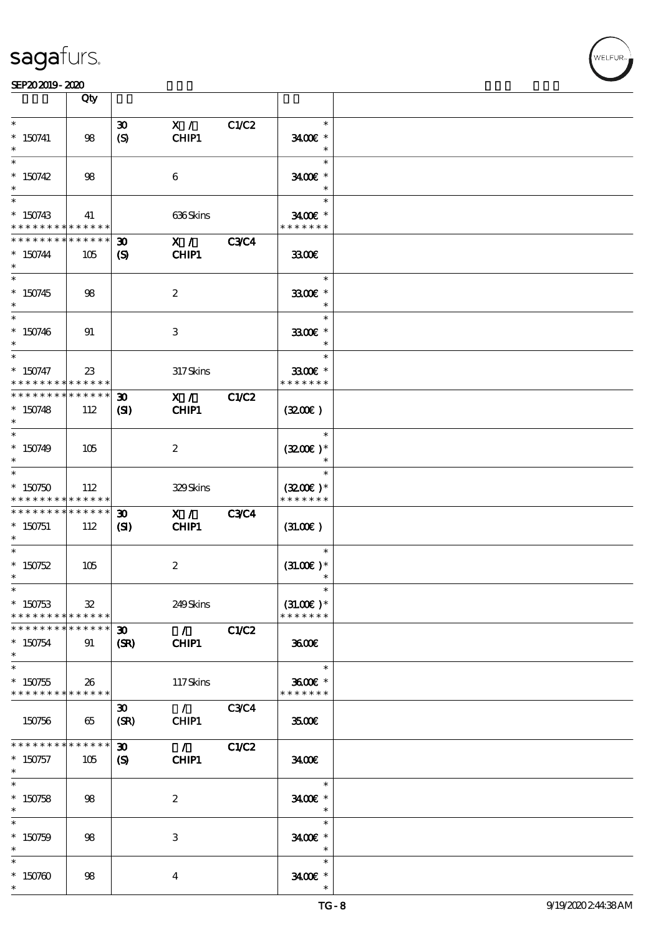



#### SEP202019-2020

|                                                                  | Qty                    |                                                           |                                          |             |                                        |  |
|------------------------------------------------------------------|------------------------|-----------------------------------------------------------|------------------------------------------|-------------|----------------------------------------|--|
| $\ast$<br>$*$ 150741<br>$\ast$                                   | 98                     | $\boldsymbol{\mathfrak{D}}$<br>$\boldsymbol{S}$           | X /<br>CHIP1                             | C1/C2       | $\ast$<br>3400€ *<br>$\ast$            |  |
| $\ast$<br>$*150742$<br>$\ast$                                    | 98                     |                                                           | 6                                        |             | $\ast$<br>3400€ *<br>$\ast$            |  |
| $\ast$<br>$*150743$<br>* * * * * * * * * * * * * *               | 41                     |                                                           | 636Skins                                 |             | $\ast$<br>3400€ *<br>* * * * * * *     |  |
| * * * * * * * *<br>$* 150744$<br>$\ast$                          | * * * * * *<br>105     | $\boldsymbol{\mathfrak{D}}$<br>$\boldsymbol{\mathsf{S}}$  | $X / \sqrt{2}$<br>CHIP1                  | <b>C3C4</b> | 3300€                                  |  |
| $\overline{\ast}$<br>$* 150745$<br>$\ast$                        | 98                     |                                                           | $\boldsymbol{2}$                         |             | $\ast$<br>3300€ *<br>$\ast$            |  |
| $\ast$<br>$* 150746$<br>$\ast$                                   | 91                     |                                                           | 3                                        |             | $\ast$<br>3300€ *<br>$\ast$            |  |
| $\ast$<br>$* 150747$<br>* * * * * * * * * * * * * *              | $23\,$                 |                                                           | 317Skins                                 |             | $\ast$<br>3300€ *<br>* * * * * * *     |  |
| * * * * * * * * <mark>* * * * * *</mark><br>$* 150748$<br>$\ast$ | 112                    | $\boldsymbol{\mathfrak{D}}$<br>$\mathbf{C}$               | X /<br>CHIP1                             | C1/C2       | (320)                                  |  |
| $\ast$<br>$*150749$<br>$\ast$                                    | 105                    |                                                           | $\boldsymbol{z}$                         |             | $\ast$<br>$(3200)$ *<br>$\ast$         |  |
| $\ast$<br>$*150750$<br>* * * * * * * * * * * * * *               | 112                    |                                                           | 329Skins                                 |             | $\ast$<br>$(3200)$ *<br>* * * * * * *  |  |
| * * * * * * * *<br>$* 150751$<br>$\ast$                          | $* * * * * * *$<br>112 | $\boldsymbol{\mathfrak{D}}$<br>$\mathbf{Z}$               | X /<br>CHIP1                             | <b>C3C4</b> | (31.00)                                |  |
| $\ast$<br>$* 150752$<br>$\ast$                                   | 105                    |                                                           | $\boldsymbol{2}$                         |             | $\ast$<br>$(31.00)$ *<br>$\ast$        |  |
| $*$<br>$*150753$<br>* * * * * * * *                              | 32<br>* * * * * *      |                                                           | 249Skins                                 |             | $\ast$<br>$(31.00)$ *<br>* * * * * * * |  |
| * * * * * * *<br>$*150754$<br>$\ast$                             | * * * * * *<br>91      | $\boldsymbol{\mathfrak{D}}$<br>(SR)                       | $\mathcal{L}$ and $\mathcal{L}$<br>CHIP1 | C1/C2       | 3600                                   |  |
| $\overline{\ast}$<br>$*150755$<br>* * * * * * * * * * * * * *    | 26                     |                                                           | 117Skins                                 |             | $\ast$<br>3600€ *<br>* * * * * * *     |  |
| 150756                                                           | 65                     | $\boldsymbol{\mathfrak{D}}$<br>(SR)                       | $\mathcal{L}$<br>CHIP1                   | <b>C3C4</b> | 3500                                   |  |
| * * * * * * * * * * * * * *<br>$*150757$<br>$*$                  | 105                    | $\boldsymbol{\mathfrak{D}}$<br>$\boldsymbol{\mathcal{S}}$ | $\mathcal{L}$<br>CHIP1                   | C1/C2       | 3400                                   |  |
| $\overline{\ast}$<br>$* 150758$<br>$\ast$                        | 98                     |                                                           | $\boldsymbol{2}$                         |             | $\ast$<br>3400€ *<br>$\ast$            |  |
| $\ast$<br>$* 150759$<br>$\ast$                                   | 98                     |                                                           | $\,3$                                    |             | $\ast$<br>3400€ *<br>$\ast$            |  |
| $\ast$<br>$*150760$<br>$\ast$                                    | 98                     |                                                           | 4                                        |             | $\ast$<br>$3400$ £ *<br>$\ast$         |  |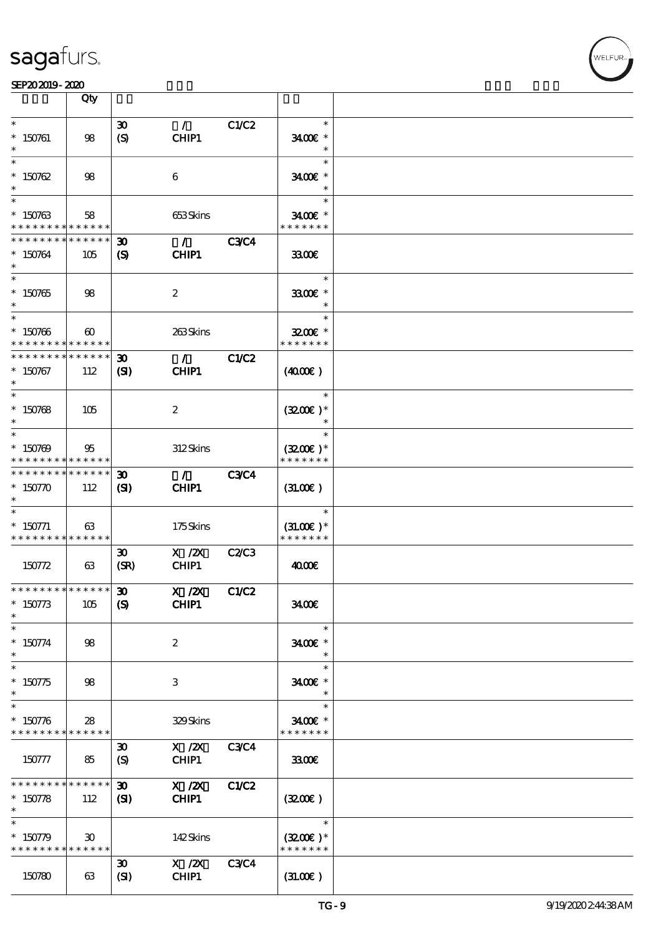

|                                                                    | Qty                                  |                                                            |                                          |              |                                        |  |
|--------------------------------------------------------------------|--------------------------------------|------------------------------------------------------------|------------------------------------------|--------------|----------------------------------------|--|
| $\ast$<br>$* 150761$<br>$\ast$                                     | 98                                   | $\boldsymbol{\mathfrak{D}}$<br>(S)                         | $\mathcal{L}$<br>CHIP1                   | C1/C2        | $\ast$<br>3400€ *<br>$\ast$            |  |
| $\ast$<br>$*150762$<br>$\ast$                                      | 98                                   |                                                            | 6                                        |              | $\ast$<br>3400€ *<br>$\ast$            |  |
| $\ast$<br>$* 150763$<br>* * * * * * * * * * * * * *                | 58                                   |                                                            | 653Skins                                 |              | $\ast$<br>3400€ *<br>* * * * * * *     |  |
| * * * * * * * *<br>$* 150764$<br>$\ast$                            | * * * * * *<br>105                   | $\boldsymbol{\mathfrak{D}}$<br>$\boldsymbol{\mathrm{(S)}}$ | $\mathcal{L}$<br>CHIP1                   | <b>C3C4</b>  | 3300                                   |  |
| $\overline{\ast}$<br>$^\ast$ 150765<br>$\ast$                      | 98                                   |                                                            | $\boldsymbol{2}$                         |              | $\ast$<br>3300€ *<br>$\ast$            |  |
| $\ast$<br>$* 150766$<br>* * * * * * * *                            | $\boldsymbol{\omega}$<br>* * * * * * |                                                            | 263Skins                                 |              | $\ast$<br>$3200$ $*$<br>* * * * * * *  |  |
| * * * * * * * *<br>$* 150767$<br>$\ast$                            | * * * * * *<br>112                   | $\boldsymbol{\mathfrak{D}}$<br>(S)                         | $\mathcal{F}$ and $\mathcal{F}$<br>CHIP1 | C1/C2        | (400E)                                 |  |
| $\ast$<br>$* 150768$<br>$\ast$                                     | 105                                  |                                                            | $\boldsymbol{2}$                         |              | $\ast$<br>$(3200)$ *<br>$\ast$         |  |
| $\ast$<br>$* 150769$<br>* * * * * * * * * * * * * *                | 95                                   |                                                            | 312Skins                                 |              | $\ast$<br>$(3200)$ *<br>* * * * * * *  |  |
| * * * * * * * * <mark>* * * * * *</mark> *<br>$* 150770$           | 112                                  | $\boldsymbol{\mathfrak{D}}$<br>(S)                         | $\mathcal{F}$<br>CHIP1                   | <b>C3C4</b>  | (31.00)                                |  |
| $* 150771$<br>* * * * * * * * * * * * * *                          | 63                                   |                                                            | 175Skins                                 |              | $\ast$<br>$(31.00)$ *<br>* * * * * * * |  |
| 150772                                                             | 63                                   | $\boldsymbol{\mathfrak{D}}$<br>(SR)                        | $X$ / $ZX$<br>CHIP1                      | C2C3         | 4000E                                  |  |
| $x******** ******* $ 30<br>$* 150773$<br>$\ast$                    | 105                                  | $\boldsymbol{S}$                                           | X / ZX<br>CHIP1                          | <b>C1/C2</b> | 3400                                   |  |
| $\ast$<br>$* 150774$<br>$\ast$                                     | 98                                   |                                                            | $\boldsymbol{2}$                         |              | $\ast$<br>3400€ *<br>$\ast$            |  |
| $\ast$<br>$* 150775$<br>$\ast$                                     | 98                                   |                                                            | 3                                        |              | $\ast$<br>3400E *<br>$\ast$            |  |
| $\ast$<br>$* 150776$<br>* * * * * * * * <mark>* * * * * * *</mark> | 28                                   |                                                            | 329Skins                                 |              | $\ast$<br>3400€ *<br>* * * * * * *     |  |
| 150777                                                             | 85                                   | $\boldsymbol{\mathfrak{D}}$<br>$\boldsymbol{\mathrm{(S)}}$ | $X \, /ZX$<br>CHIP1                      | <b>C3C4</b>  | 3300                                   |  |
| * * * * * * * *<br>$* 150778$<br>$\ast$                            | * * * * * *<br>112                   | $\boldsymbol{\mathfrak{D}}$<br>(S)                         | $X$ / $ZX$<br>CHIP1                      | C1/C2        | (320)                                  |  |
| $\ast$<br>$* 150779$<br>* * * * * * * * * * * * * *                | $\boldsymbol{\mathfrak{D}}$          |                                                            | 142Skins                                 |              | $\ast$<br>$(3200)$ *<br>* * * * * * *  |  |
| 150780                                                             | 63                                   | $\boldsymbol{\mathfrak{D}}$<br>(SI)                        | X / ZX<br>CHIP1                          | <b>C3C4</b>  | (31.00)                                |  |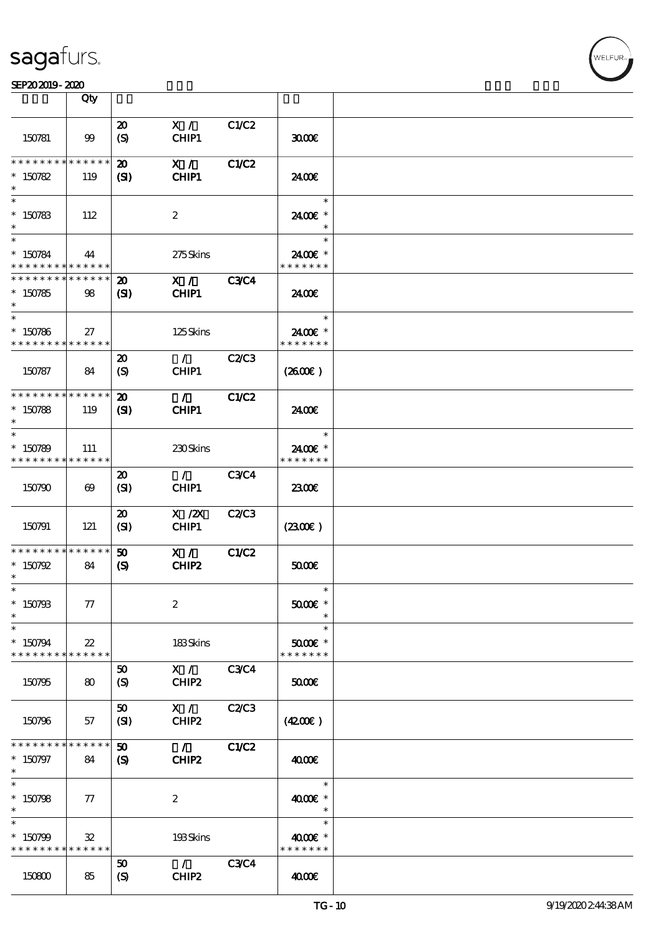#### SEP202019-2020

|                                          | Qty                      |                             |                  |              |                             |  |
|------------------------------------------|--------------------------|-----------------------------|------------------|--------------|-----------------------------|--|
|                                          |                          | $\boldsymbol{\mathfrak{D}}$ | X /              | C1/C2        |                             |  |
| 150781                                   | 99                       | $\boldsymbol{S}$            | CHIP1            |              | 3000                        |  |
| * * * * * * * *                          | * * * * * *              | $\boldsymbol{\mathfrak{D}}$ | X /              | C1/C2        |                             |  |
| $* 150782$                               | 119                      | (S)                         | <b>CHIP1</b>     |              | 2400E                       |  |
| $\ast$                                   |                          |                             |                  |              | $\ast$                      |  |
| $* 150783$<br>$\ast$                     | 112                      |                             | $\boldsymbol{2}$ |              | 2400€ *<br>$\ast$           |  |
| $\ast$                                   |                          |                             |                  |              | $\ast$                      |  |
| * 150784<br>* * * * * * * *              | 44<br>* * * * * *        |                             | 275Skins         |              | 2400E *<br>* * * * * * *    |  |
| * * * * * * * * <mark>* * * * * *</mark> |                          | $\boldsymbol{\mathbf{z}}$   | X /              | <b>C3C4</b>  |                             |  |
| $*150785$<br>$\ast$                      | 98                       | $\mathbf{S}$                | CHIP1            |              | 24.00E                      |  |
| $\ast$                                   |                          |                             |                  |              | $\ast$                      |  |
| $*150786$<br>* * * * * * * *             | 27<br>******             |                             | 125Skins         |              | 2400E *<br>* * * * * * *    |  |
|                                          |                          | $\boldsymbol{\mathfrak{D}}$ | $\mathcal{L}$    | C2/C3        |                             |  |
| 150787                                   | 84                       | (S)                         | CHIP1            |              | (260E)                      |  |
| * * * * * * * * <mark>* * * * * *</mark> |                          | $\boldsymbol{\mathfrak{D}}$ | $\mathcal{F}$    | C1/C2        |                             |  |
| $*150788$                                | 119                      | $\mathbf{C}$                | CHIP1            |              | 2400€                       |  |
| $\ast$                                   |                          |                             |                  |              | $\ast$                      |  |
| $*150789$<br>* * * * * * * *             | 111<br>$* * * * * * *$   |                             | 230Skins         |              | 2400E *<br>* * * * * * *    |  |
|                                          |                          | 20                          | $\mathcal{L}$    | <b>C3C4</b>  |                             |  |
| 150790                                   | $\boldsymbol{\omega}$    | (SI)                        | CHIP1            |              | 2300E                       |  |
|                                          |                          | $\boldsymbol{\mathfrak{D}}$ | $X$ / $ZX$       | C2C3         |                             |  |
| 150791                                   | 121                      | (SI)                        | CHIP1            |              | (230)                       |  |
| * * * * * * * *                          | * * * * * *              | 50                          | X /              | C1/C2        |                             |  |
| $* 150792$<br>$\ast$                     | 84                       | $\boldsymbol{\mathcal{S}}$  | CHIP2            |              | 5000                        |  |
| $\ast$                                   |                          |                             |                  |              | $\ast$                      |  |
| $*$ 150793<br>$\ast$                     | 77                       |                             | $\boldsymbol{2}$ |              | $5000$ $*$                  |  |
| $\ast$                                   |                          |                             |                  |              | $\ast$                      |  |
| $*150794$<br>* * * * * * * *             | $2\!2$<br>* * * * * *    |                             | 183Skins         |              | $5000$ $*$<br>* * * * * * * |  |
|                                          |                          | 50                          | X /              | <b>C3C4</b>  |                             |  |
| 150795                                   | 80                       | (S)                         | CHIP2            |              | 50000                       |  |
|                                          |                          | 50                          | X /              | <b>C2/C3</b> |                             |  |
| 150796                                   | 57                       | (SI)                        | CHIP2            |              | (4200)                      |  |
| * * * * * * * *                          | * * * * * *              | $\boldsymbol{\mathfrak{D}}$ | $\mathcal{L}$    | C1/C2        |                             |  |
| $* 150797$<br>$\ast$                     | 84                       | (S)                         | CHIP2            |              | 400E                        |  |
| $\overline{\ast}$                        |                          |                             |                  |              | $\ast$                      |  |
| $*150798$<br>$\ast$                      | $\tau$                   |                             | $\boldsymbol{2}$ |              | 4000 £*<br>$\ast$           |  |
| $\ast$                                   |                          |                             |                  |              | $\ast$                      |  |
| $*150799$<br>* * * * * * * *             | $\mathfrak{B}$<br>****** |                             | 193Skins         |              | 4000 £*<br>* * * * * * *    |  |
|                                          |                          | 50                          | $\mathcal{L}$    | <b>C3C4</b>  |                             |  |
| 150800                                   | 85                       | (S)                         | CHIP2            |              | 4000E                       |  |

ℸ

.<br>FUR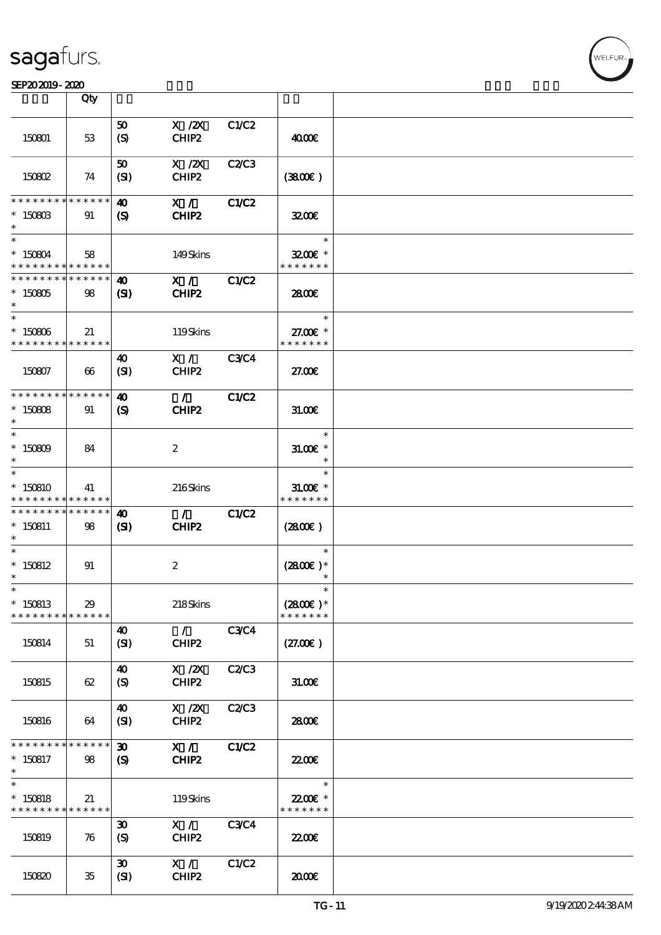#### SEP202019-2020 EXP = 2020 EXP = 2020 EXP = 2020 EXP = 2020 EXP = 2020 EXP = 2020 EXP = 2020 EXP = 2020 EXP = 2

|                              | Qty                   |                             |                                        |              |                             |  |
|------------------------------|-----------------------|-----------------------------|----------------------------------------|--------------|-----------------------------|--|
|                              |                       |                             |                                        |              |                             |  |
| 150801                       | 53                    | 50                          | $X$ / $ZX$<br>CHIP2                    | C1/C2        | 4000€                       |  |
|                              |                       | (S)                         |                                        |              |                             |  |
|                              |                       | 50                          | $X$ / $ZX$                             | C2/C3        |                             |  |
| 150802                       | 74                    | (SI)                        | CHIP2                                  |              | (380)                       |  |
|                              |                       |                             |                                        |              |                             |  |
| * * * * * * * *              | * * * * * *           | 40                          | $X / \sqrt{2}$                         | C1/C2        |                             |  |
| $*$ 150803                   | 91                    | (S)                         | CHIP2                                  |              | 3200                        |  |
| $\ast$                       |                       |                             |                                        |              |                             |  |
| $\overline{\phantom{0}}$     |                       |                             |                                        |              | $\ast$                      |  |
| $*150804$                    | 58                    |                             | 149Skins                               |              | $3200$ $*$                  |  |
| * * * * * * * * * * * * * *  |                       |                             |                                        |              | * * * * * * *               |  |
| * * * * * * * * * * * * * *  |                       | $\boldsymbol{\omega}$       | X /                                    | <b>C1/C2</b> |                             |  |
| $*150805$                    | 98                    | $\mathbf{C}$                | CHIP2                                  |              | 2800€                       |  |
| $*$                          |                       |                             |                                        |              |                             |  |
| $\overline{\phantom{0}}$     |                       |                             |                                        |              | $\ast$                      |  |
| $* 150806$                   | 21                    |                             | 119Skins                               |              | 27.00 £*                    |  |
| * * * * * * * *              | * * * * * *           |                             |                                        |              | * * * * * * *               |  |
|                              |                       | $\boldsymbol{\omega}$       | X /                                    | <b>C3C4</b>  |                             |  |
| 150807                       | $\boldsymbol{\omega}$ | (SI)                        | CHIP2                                  |              | 27.00E                      |  |
|                              |                       |                             |                                        |              |                             |  |
| * * * * * * * * * * * * * *  |                       | 40                          | $\mathcal{L}$                          | C1/C2        |                             |  |
| $*150808$                    | 91                    | $\boldsymbol{\mathcal{S}}$  | CHIP <sub>2</sub>                      |              | 31.00                       |  |
| $\ast$<br>$\ast$             |                       |                             |                                        |              |                             |  |
|                              |                       |                             |                                        |              | $\ast$                      |  |
| $* 150809$<br>$\ast$         | 84                    |                             | $\boldsymbol{2}$                       |              | $31.005*$                   |  |
| $\ast$                       |                       |                             |                                        |              | $\ast$<br>$\ast$            |  |
|                              |                       |                             |                                        |              |                             |  |
| $*150810$<br>* * * * * * * * | 41<br>* * * * * *     |                             | 216Skins                               |              | $31.00E$ *<br>* * * * * * * |  |
| * * * * * * * *              | * * * * * *           | 40                          | $\mathcal{L}$                          | C1/C2        |                             |  |
| $* 150811$                   | 98                    | $\mathbf{C}$                | CHIP <sub>2</sub>                      |              | $(2800\varepsilon)$         |  |
| $\ast$                       |                       |                             |                                        |              |                             |  |
| $\ast$                       |                       |                             |                                        |              | $\ast$                      |  |
| $*150812$                    | 91                    |                             | $\boldsymbol{2}$                       |              | $(2800)$ *                  |  |
| $\ast$                       |                       |                             |                                        |              | $\ast$                      |  |
| $\ast$                       |                       |                             |                                        |              | $\ast$                      |  |
| $*150813$                    | 29                    |                             | 218Skins                               |              | $(2800)$ *                  |  |
| * * * * * * * *              | * * * * * *           |                             |                                        |              | * * * * * * *               |  |
|                              |                       | 40                          | $\mathcal{L}$                          | <b>C3C4</b>  |                             |  |
| 150814                       | 51                    | (SI)                        | CHIP <sub>2</sub>                      |              | (27.00)                     |  |
|                              |                       |                             |                                        |              |                             |  |
|                              |                       | $\boldsymbol{\omega}$       | $X$ / $ZX$                             | C2C3         |                             |  |
| 150815                       | 62                    | (S)                         | CHIP2                                  |              | 31.00E                      |  |
|                              |                       |                             |                                        |              |                             |  |
|                              |                       | 40                          | $\boldsymbol{\mathrm{X}}$ / <b>Z</b> X | C2/C3        |                             |  |
| 150816                       | 64                    | (SI)                        | CHIP2                                  |              | 2800E                       |  |
| * * * * * * * *              | * * * * * *           | $\boldsymbol{\mathfrak{D}}$ | X /                                    | <b>C1/C2</b> |                             |  |
| $*150817$                    | 98                    | $\boldsymbol{\mathcal{S}}$  | CHIP2                                  |              | 22.00 <del>€</del>          |  |
| $\ast$                       |                       |                             |                                        |              |                             |  |
| $\overline{\ast}$            |                       |                             |                                        |              | $\ast$                      |  |
| $*150818$                    | 21                    |                             | 119Skins                               |              | 22.00€ *                    |  |
| * * * * * * * *              | * * * * * *           |                             |                                        |              | * * * * * * *               |  |
|                              |                       | $\boldsymbol{\mathfrak{D}}$ | X /                                    | <b>C3C4</b>  |                             |  |
| 150819                       | 76                    | $\boldsymbol{S}$            | CHIP2                                  |              | 2200                        |  |
|                              |                       |                             |                                        |              |                             |  |
|                              |                       | $\boldsymbol{\mathfrak{D}}$ | X /                                    | C1/C2        |                             |  |
| 150820                       | 35                    | (SI)                        | CHIP2                                  |              | 2000                        |  |
|                              |                       |                             |                                        |              |                             |  |

 $\overline{\mathbf{r}}$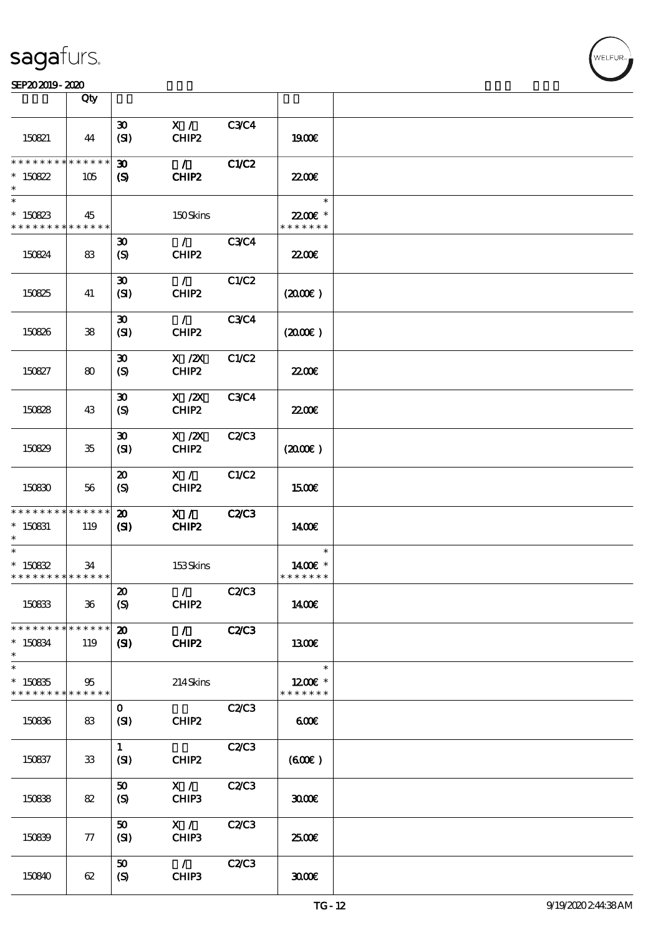|                                            | Qty          |                                     |                   |              |                           |  |
|--------------------------------------------|--------------|-------------------------------------|-------------------|--------------|---------------------------|--|
|                                            |              |                                     |                   |              |                           |  |
| 150821                                     | 44           | $\boldsymbol{\mathfrak{D}}$<br>(SI) | X /<br>CHIP2      | <b>C3C4</b>  | 1900E                     |  |
| * * * * * * * *                            | ******       | $\boldsymbol{\mathfrak{D}}$         | $\mathcal{L}$     | C1/C2        |                           |  |
| $*150822$                                  | 105          | (S)                                 | CHIP2             |              | 22.00 <del>€</del>        |  |
| $\ast$                                     |              |                                     |                   |              | $\ast$                    |  |
| $*150823$<br>* * * * * * * * * * * * * * * | 45           |                                     | 150Skins          |              | 22.00 £*<br>* * * * * * * |  |
|                                            |              | $\boldsymbol{\mathfrak{D}}$         | $\mathcal{L}$     | <b>C3C4</b>  |                           |  |
| 150824                                     | 83           | (S)                                 | CHIP2             |              | 2200                      |  |
|                                            |              | $\boldsymbol{\mathfrak{D}}$         | $\mathcal{L}$     | C1/C2        |                           |  |
| 150825                                     | 41           | (SI)                                | CHIP2             |              | (200E)                    |  |
|                                            |              | $\boldsymbol{\mathfrak{D}}$         | $\mathcal{L}$     | <b>C3C4</b>  |                           |  |
| 150826                                     | 38           | (SI)                                | CHIP <sub>2</sub> |              | (200)                     |  |
|                                            |              | $\boldsymbol{\mathfrak{D}}$         | $X$ / $ZX$        | C1/C2        |                           |  |
| 150827                                     | 80           | (S)                                 | CHIP2             |              | 2200                      |  |
|                                            |              | $\boldsymbol{\mathfrak{D}}$         | $X$ / $ZX$        | <b>C3C4</b>  |                           |  |
| 150828                                     | 43           | (S)                                 | CHIP2             |              | <b>22006</b>              |  |
|                                            |              | $\boldsymbol{\mathfrak{D}}$         | $X$ / $ZX$        | C2C3         |                           |  |
| 150829                                     | 35           | (SI)                                | CHIP <sub>2</sub> |              | (200E)                    |  |
|                                            |              | $\boldsymbol{\mathfrak{D}}$         | X /               | C1/C2        |                           |  |
| 150830                                     | 56           | (S)                                 | CHIP2             |              | <b>1500€</b>              |  |
| * * * * * * * * * * * * * * *              |              | $\boldsymbol{\mathfrak{D}}$         | $X / \sqrt{2}$    | <b>C2/C3</b> |                           |  |
| $* 150831$                                 | 119          | (S)                                 | CHIP2             |              | 1400E                     |  |
| $\ast$                                     |              |                                     |                   |              | $\ast$                    |  |
|                                            |              |                                     |                   |              |                           |  |
| $*15082$                                   | 34           |                                     | 153Skins          |              | 1400E *                   |  |
| * * * * * * * * <mark>* * * * * *</mark>   |              |                                     |                   |              | * * * * * * *             |  |
|                                            |              | $\boldsymbol{\mathsf{20}}$          | $\mathcal{L}$     | C2C3         |                           |  |
| 150833                                     | $36\,$       | $\boldsymbol{S}$                    | CHIP2             |              | 1400€                     |  |
| * * * * * * * * <mark>* * * * * *</mark>   |              | $\boldsymbol{\mathfrak{D}}$         | $\mathcal{L}$     | <b>C2/C3</b> |                           |  |
| $*150834$<br>$\ast$                        | 119          | $\mathbf{C}$                        | CHIP2             |              | 1300E                     |  |
| $\ast$                                     |              |                                     |                   |              | $\ast$                    |  |
| $*150835$<br>* * * * * * * *               | 95<br>****** |                                     | 214Skins          |              | 1200E *<br>* * * * * * *  |  |
|                                            |              | $\mathbf 0$                         |                   | C2/C3        |                           |  |
| 150836                                     | 83           | (SI)                                | CHIP2             |              | 60E                       |  |
|                                            |              | $\mathbf{1}$                        |                   | C2C3         |                           |  |
| 150837                                     | $33\,$       | (SI)                                | CHIP2             |              | (60E)                     |  |
|                                            |              | 50                                  | X /               | C2/C3        |                           |  |
| 150838                                     | 82           | (S)                                 | CHIP3             |              | 3000                      |  |
|                                            |              | 50                                  | X /               | C2/C3        |                           |  |
| 150839                                     | 77           | (SI)                                | CHIP3             |              | 2500€                     |  |
|                                            |              | 50                                  | $\mathcal{L}$     | C2C3         |                           |  |
| 150840                                     | 62           | (S)                                 | CHIP3             |              | 3000                      |  |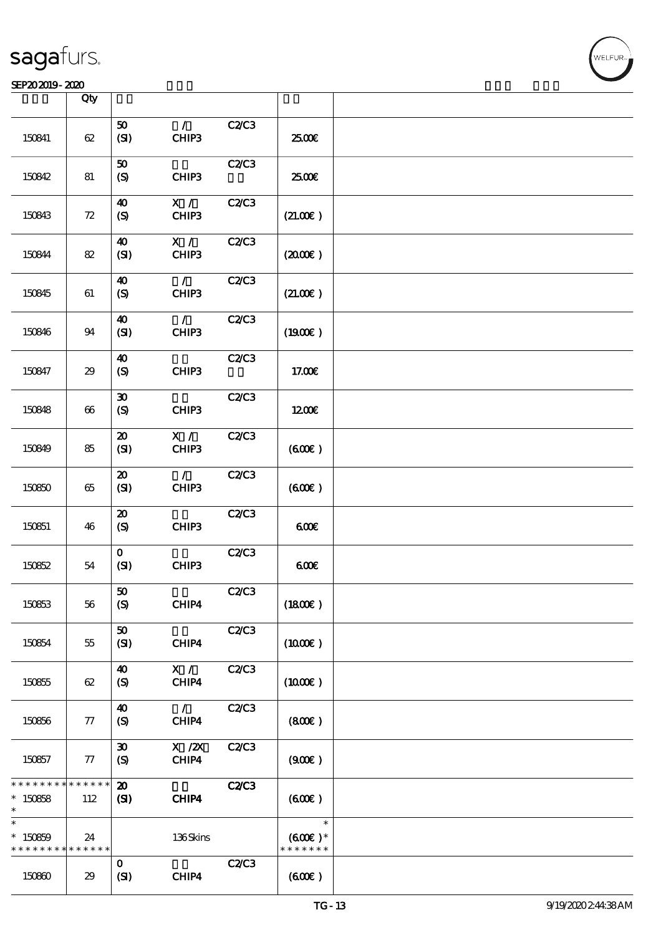### SEP202019-2020

|                                        | Qty                   |                                                 |                        |              |                                      |  |
|----------------------------------------|-----------------------|-------------------------------------------------|------------------------|--------------|--------------------------------------|--|
| 150841                                 | 62                    | 50<br>(SI)                                      | $\mathcal{L}$<br>CHIP3 | <b>C2/C3</b> | 2500€                                |  |
| 150842                                 | 81                    | ${\bf 50}$<br>(S)                               | CHIP3                  | C2C3         | 2500€                                |  |
| 150843                                 | 72                    | 40<br>(S)                                       | X /<br>CHIP3           | C2C3         | (21.00)                              |  |
| 150844                                 | 82                    | 40<br>(SI)                                      | X /<br>CHIP3           | C2C3         | (200E)                               |  |
| 150845                                 | 61                    | 40<br>(S)                                       | $\mathcal{L}$<br>CHIP3 | C2C3         | (21.00)                              |  |
| 150846                                 | 94                    | $\boldsymbol{\omega}$<br>(SI)                   | $\mathcal{L}$<br>CHIP3 | C2C3         | (1900E)                              |  |
| 150847                                 | 29                    | 40<br>(S)                                       | CHIP3                  | <b>C2/C3</b> | 17.00€                               |  |
| 150848                                 | 66                    | $\pmb{\mathfrak{D}}$<br>(S)                     | CHIP3                  | C2C3         | 1200E                                |  |
| 150849                                 | 85                    | $\boldsymbol{\mathbf{z}}$<br>(SI)               | X /<br>CHIP3           | C2C3         | (600)                                |  |
| 150850                                 | 65                    | $\boldsymbol{\mathfrak{D}}$<br>(SI)             | $\mathcal{L}$<br>CHIP3 | C2C3         | (60E)                                |  |
| 150851                                 | 46                    | $\boldsymbol{\mathbf{z}}$<br>(S)                | CHIP3                  | C2C3         | 600                                  |  |
| 150852                                 | 54                    | $\mathbf{o}$<br>(SI)                            | CHIP3                  | C2C3         | 600                                  |  |
| 150853                                 | 56                    | ${\bf 50}$<br>(S)                               | CHIP4                  | C2C3         | (1800)                               |  |
| 150854                                 | 55                    | 50<br>(SI)                                      | CHIP4                  | C2C3         | $(1000\varepsilon)$                  |  |
| 150855                                 | 62                    | $\boldsymbol{\omega}$<br>$\boldsymbol{S}$       | X /<br>CHIP4           | C2/C3        | $(1000\varepsilon)$                  |  |
| 150856                                 | 77                    | 40<br>(S)                                       | $\mathcal{L}$<br>CHIP4 | C2C3         | (800)                                |  |
| 150857                                 | 77                    | $\boldsymbol{\mathfrak{D}}$<br>$\boldsymbol{S}$ | X / ZX<br>CHIP4        | C2C3         | (900)                                |  |
| * * * * * * * *<br>$*150858$<br>$\ast$ | * * * * * *<br>112    | $\boldsymbol{\mathfrak{D}}$<br>(S)              | CHIP4                  | <b>C2/C3</b> | (60E)                                |  |
| $\ast$<br>$*150859$<br>* * * * * * * * | 24<br>$* * * * * * *$ |                                                 | 136Skins               |              | $\ast$<br>$(600)$ *<br>* * * * * * * |  |
| 150860                                 | 29                    | $\mathbf{O}$<br>(SI)                            | CHIP4                  | C2/C3        | (60E)                                |  |